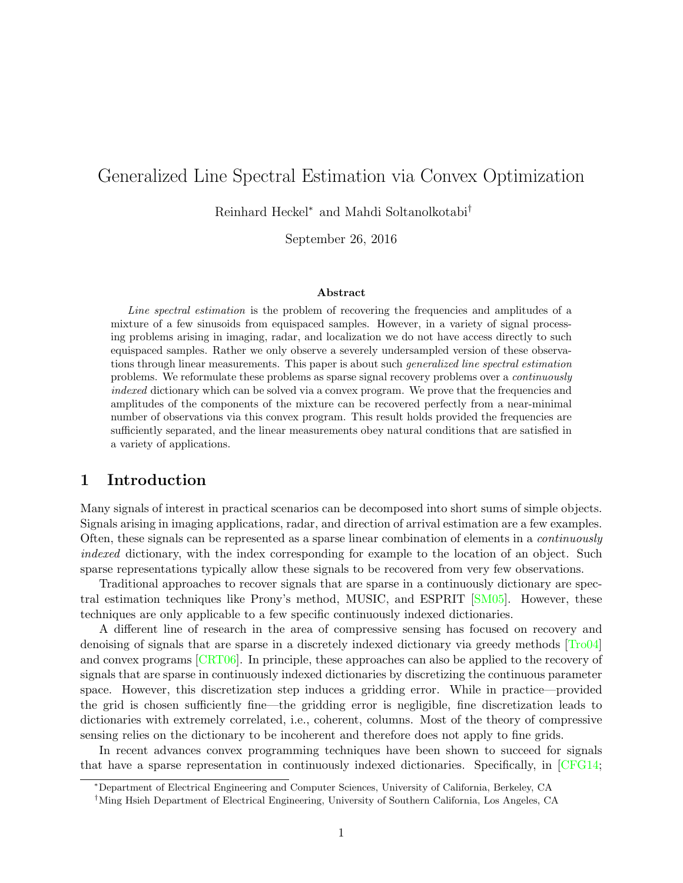# Generalized Line Spectral Estimation via Convex Optimization

Reinhard Heckel<sup>∗</sup> and Mahdi Soltanolkotabi†

September 26, 2016

#### Abstract

Line spectral estimation is the problem of recovering the frequencies and amplitudes of a mixture of a few sinusoids from equispaced samples. However, in a variety of signal processing problems arising in imaging, radar, and localization we do not have access directly to such equispaced samples. Rather we only observe a severely undersampled version of these observations through linear measurements. This paper is about such generalized line spectral estimation problems. We reformulate these problems as sparse signal recovery problems over a continuously indexed dictionary which can be solved via a convex program. We prove that the frequencies and amplitudes of the components of the mixture can be recovered perfectly from a near-minimal number of observations via this convex program. This result holds provided the frequencies are sufficiently separated, and the linear measurements obey natural conditions that are satisfied in a variety of applications.

## 1 Introduction

Many signals of interest in practical scenarios can be decomposed into short sums of simple objects. Signals arising in imaging applications, radar, and direction of arrival estimation are a few examples. Often, these signals can be represented as a sparse linear combination of elements in a continuously indexed dictionary, with the index corresponding for example to the location of an object. Such sparse representations typically allow these signals to be recovered from very few observations.

Traditional approaches to recover signals that are sparse in a continuously dictionary are spectral estimation techniques like Prony's method, MUSIC, and ESPRIT [\[SM05\]](#page-28-0). However, these techniques are only applicable to a few specific continuously indexed dictionaries.

A different line of research in the area of compressive sensing has focused on recovery and denoising of signals that are sparse in a discretely indexed dictionary via greedy methods [\[Tro04\]](#page-28-1) and convex programs [\[CRT06\]](#page-26-0). In principle, these approaches can also be applied to the recovery of signals that are sparse in continuously indexed dictionaries by discretizing the continuous parameter space. However, this discretization step induces a gridding error. While in practice—provided the grid is chosen sufficiently fine—the gridding error is negligible, fine discretization leads to dictionaries with extremely correlated, i.e., coherent, columns. Most of the theory of compressive sensing relies on the dictionary to be incoherent and therefore does not apply to fine grids.

In recent advances convex programming techniques have been shown to succeed for signals that have a sparse representation in continuously indexed dictionaries. Specifically, in [\[CFG14;](#page-26-1)

<sup>∗</sup>Department of Electrical Engineering and Computer Sciences, University of California, Berkeley, CA

<sup>†</sup>Ming Hsieh Department of Electrical Engineering, University of Southern California, Los Angeles, CA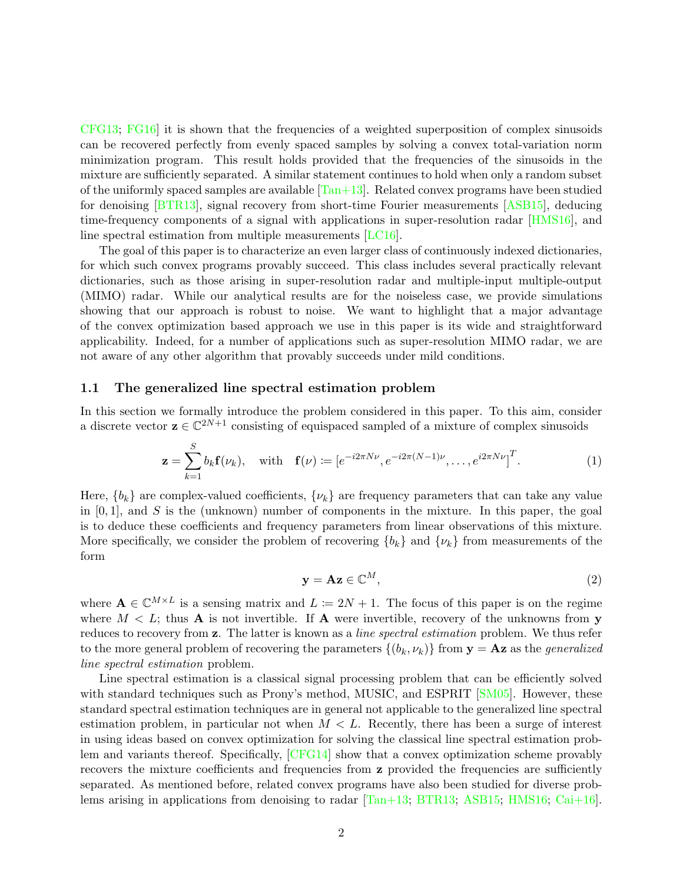$CFG13$ ;  $FG16$  it is shown that the frequencies of a weighted superposition of complex sinusoids can be recovered perfectly from evenly spaced samples by solving a convex total-variation norm minimization program. This result holds provided that the frequencies of the sinusoids in the mixture are sufficiently separated. A similar statement continues to hold when only a random subset of the uniformly spaced samples are available  $[Tan+13]$ . Related convex programs have been studied for denoising [\[BTR13\]](#page-26-3), signal recovery from short-time Fourier measurements [\[ASB15\]](#page-26-4), deducing time-frequency components of a signal with applications in super-resolution radar [\[HMS16\]](#page-27-1), and line spectral estimation from multiple measurements [\[LC16\]](#page-28-3).

The goal of this paper is to characterize an even larger class of continuously indexed dictionaries, for which such convex programs provably succeed. This class includes several practically relevant dictionaries, such as those arising in super-resolution radar and multiple-input multiple-output (MIMO) radar. While our analytical results are for the noiseless case, we provide simulations showing that our approach is robust to noise. We want to highlight that a major advantage of the convex optimization based approach we use in this paper is its wide and straightforward applicability. Indeed, for a number of applications such as super-resolution MIMO radar, we are not aware of any other algorithm that provably succeeds under mild conditions.

#### 1.1 The generalized line spectral estimation problem

In this section we formally introduce the problem considered in this paper. To this aim, consider a discrete vector  $\mathbf{z} \in \mathbb{C}^{2N+1}$  consisting of equispaced sampled of a mixture of complex sinusoids

$$
\mathbf{z} = \sum_{k=1}^{S} b_k \mathbf{f}(\nu_k), \quad \text{with} \quad \mathbf{f}(\nu) \coloneqq \left[ e^{-i2\pi N\nu}, e^{-i2\pi (N-1)\nu}, \dots, e^{i2\pi N\nu} \right]^T. \tag{1}
$$

Here,  ${b_k}$  are complex-valued coefficients,  ${\{\nu_k\}}$  are frequency parameters that can take any value in  $[0, 1]$ , and S is the (unknown) number of components in the mixture. In this paper, the goal is to deduce these coefficients and frequency parameters from linear observations of this mixture. More specifically, we consider the problem of recovering  ${b_k}$  and  ${\nu_k}$  from measurements of the form

<span id="page-1-1"></span><span id="page-1-0"></span>
$$
y = Az \in \mathbb{C}^M,\tag{2}
$$

where  $\mathbf{A} \in \mathbb{C}^{M \times L}$  is a sensing matrix and  $L := 2N + 1$ . The focus of this paper is on the regime where  $M < L$ ; thus **A** is not invertible. If **A** were invertible, recovery of the unknowns from **y** reduces to recovery from z. The latter is known as a *line spectral estimation* problem. We thus refer to the more general problem of recovering the parameters  $\{(b_k, \nu_k)\}\$  from  $\mathbf{y} = \mathbf{A}\mathbf{z}$  as the *generalized* line spectral estimation problem.

Line spectral estimation is a classical signal processing problem that can be efficiently solved with standard techniques such as Prony's method, MUSIC, and ESPRIT [\[SM05\]](#page-28-0). However, these standard spectral estimation techniques are in general not applicable to the generalized line spectral estimation problem, in particular not when  $M < L$ . Recently, there has been a surge of interest in using ideas based on convex optimization for solving the classical line spectral estimation problem and variants thereof. Specifically, [\[CFG14\]](#page-26-1) show that a convex optimization scheme provably recovers the mixture coefficients and frequencies from **z** provided the frequencies are sufficiently separated. As mentioned before, related convex programs have also been studied for diverse problems arising in applications from denoising to radar [\[Tan+13;](#page-28-2) [BTR13;](#page-26-3) [ASB15;](#page-26-4) [HMS16;](#page-27-1) [Cai+16\]](#page-26-5).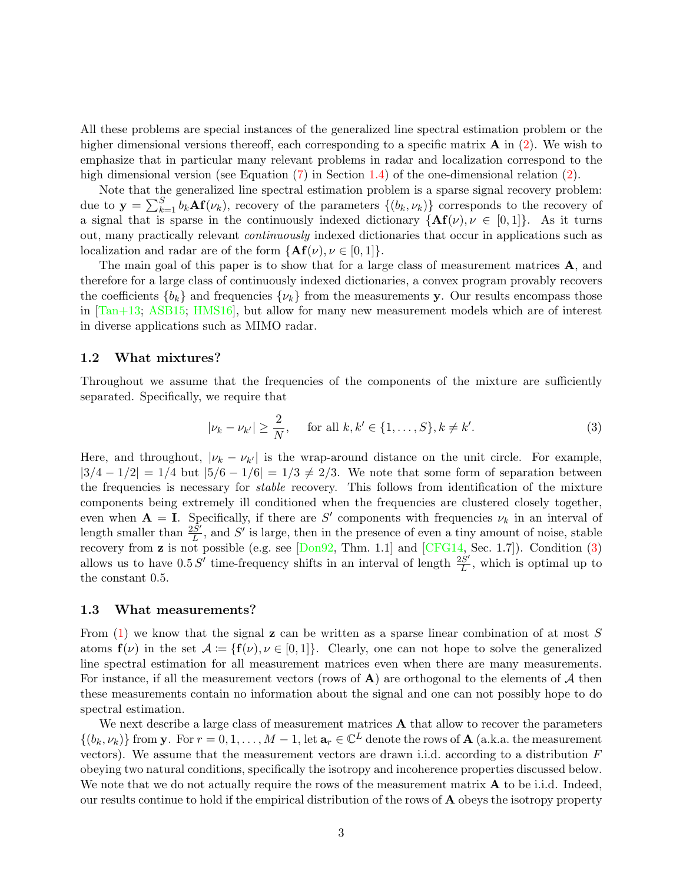All these problems are special instances of the generalized line spectral estimation problem or the higher dimensional versions thereoff, each corresponding to a specific matrix  $\bf{A}$  in [\(2\)](#page-1-0). We wish to emphasize that in particular many relevant problems in radar and localization correspond to the high dimensional version (see Equation  $(7)$  in Section [1.4\)](#page-5-1) of the one-dimensional relation  $(2)$ .

Note that the generalized line spectral estimation problem is a sparse signal recovery problem: due to  $\mathbf{y} = \sum_{k=1}^{S} b_k \mathbf{A} \mathbf{f}(\nu_k)$ , recovery of the parameters  $\{(b_k, \nu_k)\}$  corresponds to the recovery of a signal that is sparse in the continuously indexed dictionary  ${A\mathbf{f}(v), v \in [0,1]}$ . As it turns out, many practically relevant continuously indexed dictionaries that occur in applications such as localization and radar are of the form  $\{Af(\nu), \nu \in [0, 1]\}.$ 

The main goal of this paper is to show that for a large class of measurement matrices A, and therefore for a large class of continuously indexed dictionaries, a convex program provably recovers the coefficients  ${b_k}$  and frequencies  ${\{\nu_k\}}$  from the measurements y. Our results encompass those in [\[Tan+13;](#page-28-2) [ASB15;](#page-26-4) [HMS16\]](#page-27-1), but allow for many new measurement models which are of interest in diverse applications such as MIMO radar.

#### 1.2 What mixtures?

Throughout we assume that the frequencies of the components of the mixture are sufficiently separated. Specifically, we require that

<span id="page-2-0"></span>
$$
|\nu_k - \nu_{k'}| \ge \frac{2}{N}, \quad \text{ for all } k, k' \in \{1, \dots, S\}, k \ne k'.
$$
 (3)

Here, and throughout,  $|\nu_k - \nu_{k'}|$  is the wrap-around distance on the unit circle. For example,  $|3/4 - 1/2| = 1/4$  but  $|5/6 - 1/6| = 1/3 \neq 2/3$ . We note that some form of separation between the frequencies is necessary for stable recovery. This follows from identification of the mixture components being extremely ill conditioned when the frequencies are clustered closely together, even when  $A = I$ . Specifically, if there are S' components with frequencies  $\nu_k$  in an interval of length smaller than  $\frac{2\tilde{S}'}{L}$  $\frac{S'}{L}$ , and S' is large, then in the presence of even a tiny amount of noise, stable recovery from **z** is not possible (e.g. see  $[Don92, Thm. 1.1]$  $[Don92, Thm. 1.1]$  and  $[CFG14, Sec. 1.7]$  $[CFG14, Sec. 1.7]$ ). Condition [\(3\)](#page-2-0) allows us to have  $0.5 S'$  time-frequency shifts in an interval of length  $\frac{2S'}{L}$  $\frac{dS'}{L}$ , which is optimal up to the constant 0.5.

#### <span id="page-2-1"></span>1.3 What measurements?

From  $(1)$  we know that the signal z can be written as a sparse linear combination of at most S atoms  $f(\nu)$  in the set  $\mathcal{A} := \{f(\nu), \nu \in [0,1]\}.$  Clearly, one can not hope to solve the generalized line spectral estimation for all measurement matrices even when there are many measurements. For instance, if all the measurement vectors (rows of  $\bf{A}$ ) are orthogonal to the elements of  $\cal{A}$  then these measurements contain no information about the signal and one can not possibly hope to do spectral estimation.

We next describe a large class of measurement matrices  $A$  that allow to recover the parameters  $\{(b_k, \nu_k)\}\$ from y. For  $r = 0, 1, ..., M - 1$ , let  $\mathbf{a}_r \in \mathbb{C}^L$  denote the rows of  $\mathbf{A}$  (a.k.a. the measurement vectors). We assume that the measurement vectors are drawn i.i.d. according to a distribution F obeying two natural conditions, specifically the isotropy and incoherence properties discussed below. We note that we do not actually require the rows of the measurement matrix  $\bf{A}$  to be i.i.d. Indeed, our results continue to hold if the empirical distribution of the rows of A obeys the isotropy property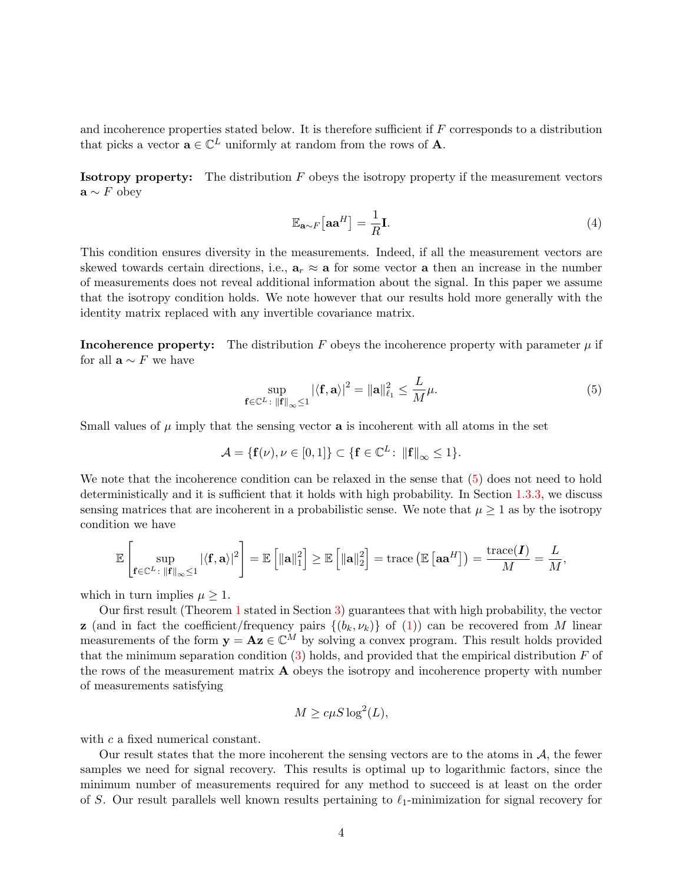and incoherence properties stated below. It is therefore sufficient if F corresponds to a distribution that picks a vector  $\mathbf{a} \in \mathbb{C}^L$  uniformly at random from the rows of **A**.

**Isotropy property:** The distribution  $F$  obeys the isotropy property if the measurement vectors  $\mathbf{a} \sim F$  obey

<span id="page-3-0"></span>
$$
\mathbb{E}_{\mathbf{a} \sim F}[\mathbf{a} \mathbf{a}^H] = \frac{1}{R} \mathbf{I}.
$$
 (4)

This condition ensures diversity in the measurements. Indeed, if all the measurement vectors are skewed towards certain directions, i.e.,  $a_r \approx a$  for some vector a then an increase in the number of measurements does not reveal additional information about the signal. In this paper we assume that the isotropy condition holds. We note however that our results hold more generally with the identity matrix replaced with any invertible covariance matrix.

**Incoherence property:** The distribution F obeys the incoherence property with parameter  $\mu$  if for all  $\mathbf{a} \sim F$  we have

$$
\sup_{\mathbf{f}\in\mathbb{C}^L\colon \|\mathbf{f}\|_{\infty}\leq 1} |\langle \mathbf{f}, \mathbf{a}\rangle|^2 = \|\mathbf{a}\|_{\ell_1}^2 \leq \frac{L}{M}\mu. \tag{5}
$$

Small values of  $\mu$  imply that the sensing vector **a** is incoherent with all atoms in the set

$$
\mathcal{A} = \{ \mathbf{f}(\nu), \nu \in [0,1] \} \subset \{ \mathbf{f} \in \mathbb{C}^L \colon \| \mathbf{f} \|_\infty \leq 1 \}.
$$

We note that the incoherence condition can be relaxed in the sense that  $(5)$  does not need to hold deterministically and it is sufficient that it holds with high probability. In Section [1.3.3,](#page-5-2) we discuss sensing matrices that are incoherent in a probabilistic sense. We note that  $\mu \geq 1$  as by the isotropy condition we have

$$
\mathbb{E}\left[\sup_{\mathbf{f}\in\mathbb{C}^L\colon\|\mathbf{f}\|_{\infty}\leq 1}|\langle\mathbf{f},\mathbf{a}\rangle|^2\right] = \mathbb{E}\left[\|\mathbf{a}\|_1^2\right] \geq \mathbb{E}\left[\|\mathbf{a}\|_2^2\right] = \text{trace}\left(\mathbb{E}\left[\mathbf{a}\mathbf{a}^H\right]\right) = \frac{\text{trace}(\mathbf{I})}{M} = \frac{L}{M},
$$

which in turn implies  $\mu \geq 1$ .

Our first result (Theorem [1](#page-9-0) stated in Section [3\)](#page-8-0) guarantees that with high probability, the vector **z** (and in fact the coefficient/frequency pairs  $\{(b_k, \nu_k)\}\$  of [\(1\)](#page-1-1)) can be recovered from M linear measurements of the form  $y = Az \in \mathbb{C}^M$  by solving a convex program. This result holds provided that the minimum separation condition  $(3)$  holds, and provided that the empirical distribution F of the rows of the measurement matrix A obeys the isotropy and incoherence property with number of measurements satisfying

$$
M \ge c\mu S \log^2(L),
$$

with c a fixed numerical constant.

Our result states that the more incoherent the sensing vectors are to the atoms in  $A$ , the fewer samples we need for signal recovery. This results is optimal up to logarithmic factors, since the minimum number of measurements required for any method to succeed is at least on the order of S. Our result parallels well known results pertaining to  $\ell_1$ -minimization for signal recovery for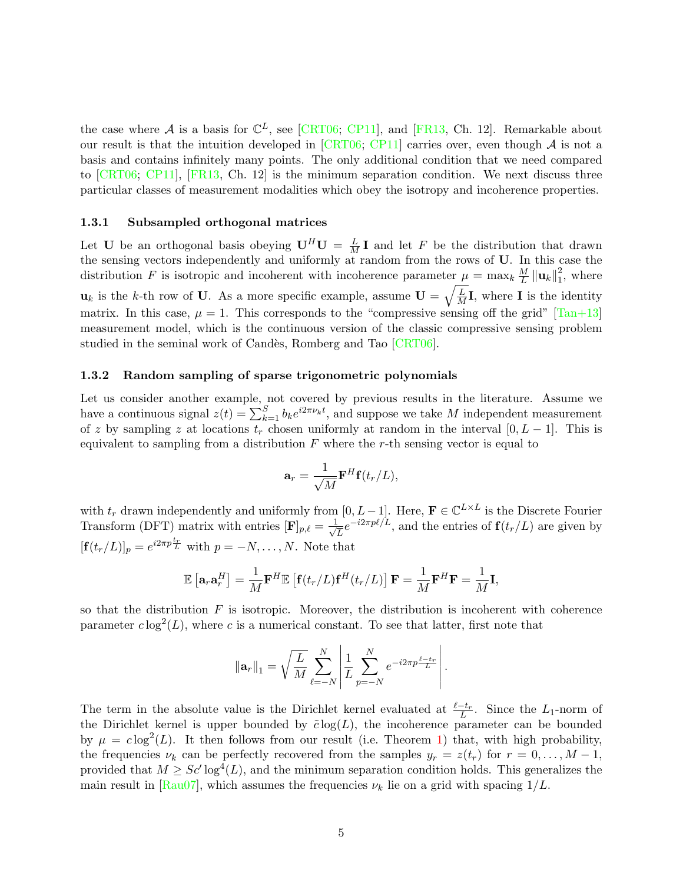the case where A is a basis for  $\mathbb{C}^L$ , see [\[CRT06;](#page-26-0) [CP11\]](#page-27-3), and [\[FR13,](#page-27-4) Ch. 12]. Remarkable about our result is that the intuition developed in  $[CRT06; CPI1]$  $[CRT06; CPI1]$  carries over, even though A is not a basis and contains infinitely many points. The only additional condition that we need compared to [\[CRT06;](#page-26-0) [CP11\]](#page-27-3), [\[FR13,](#page-27-4) Ch. 12] is the minimum separation condition. We next discuss three particular classes of measurement modalities which obey the isotropy and incoherence properties.

#### 1.3.1 Subsampled orthogonal matrices

Let U be an orthogonal basis obeying  $\mathbf{U}^H \mathbf{U} = \frac{L}{M} \mathbf{I}$  and let F be the distribution that drawn the sensing vectors independently and uniformly at random from the rows of U. In this case the distribution F is isotropic and incoherent with incoherence parameter  $\mu = \max_k \frac{M}{L}$  $\frac{M}{L}\left\Vert \mathbf{u}_{k}\right\Vert _{1}^{2}$  $1<sub>1</sub>$ , where  $\mathbf{u}_k$  is the k-th row of U. As a more specific example, assume  $\mathbf{U} = \sqrt{\frac{L}{M}}\mathbf{I}$ , where I is the identity matrix. In this case,  $\mu = 1$ . This corresponds to the "compressive sensing off the grid" [\[Tan+13\]](#page-28-2) measurement model, which is the continuous version of the classic compressive sensing problem studied in the seminal work of Candès, Romberg and Tao [\[CRT06\]](#page-26-0).

#### 1.3.2 Random sampling of sparse trigonometric polynomials

Let us consider another example, not covered by previous results in the literature. Assume we have a continuous signal  $z(t) = \sum_{k=1}^{S} b_k e^{i2\pi \nu_k t}$ , and suppose we take M independent measurement of z by sampling z at locations  $t_r$  chosen uniformly at random in the interval  $[0, L - 1]$ . This is equivalent to sampling from a distribution  $F$  where the r-th sensing vector is equal to

$$
\mathbf{a}_r = \frac{1}{\sqrt{M}} \mathbf{F}^H \mathbf{f}(t_r/L),
$$

with  $t_r$  drawn independently and uniformly from [0, L – 1]. Here,  $\mathbf{F} \in \mathbb{C}^{L \times L}$  is the Discrete Fourier Transform (DFT) matrix with entries  $[\mathbf{F}]_{p,\ell} = \frac{1}{\sqrt{\ell}}$  $\frac{1}{L}e^{-i2\pi p\ell/L}$ , and the entries of  $\mathbf{f}(t_r/L)$  are given by  $[\mathbf{f}(t_r/L)]_p = e^{i2\pi p \frac{t_r}{L}}$  with  $p = -N, \dots, N$ . Note that

$$
\mathbb{E}\left[\mathbf{a}_r\mathbf{a}_r^H\right] = \frac{1}{M}\mathbf{F}^H\mathbb{E}\left[\mathbf{f}(t_r/L)\mathbf{f}^H(t_r/L)\right]\mathbf{F} = \frac{1}{M}\mathbf{F}^H\mathbf{F} = \frac{1}{M}\mathbf{I},
$$

so that the distribution  $F$  is isotropic. Moreover, the distribution is incoherent with coherence parameter  $c \log^2(L)$ , where c is a numerical constant. To see that latter, first note that

$$
\|\mathbf{a}_r\|_1 = \sqrt{\frac{L}{M}} \sum_{\ell=-N}^N \left| \frac{1}{L} \sum_{p=-N}^N e^{-i2\pi p \frac{\ell - t_r}{L}} \right|.
$$

The term in the absolute value is the Dirichlet kernel evaluated at  $\frac{\ell-t_r}{L}$ . Since the L<sub>1</sub>-norm of the Dirichlet kernel is upper bounded by  $\tilde{c}\log(L)$ , the incoherence parameter can be bounded by  $\mu = c \log^2(L)$ . It then follows from our result (i.e. Theorem [1\)](#page-9-0) that, with high probability, the frequencies  $\nu_k$  can be perfectly recovered from the samples  $y_r = z(t_r)$  for  $r = 0, \ldots, M-1$ , provided that  $M \ge Sc' \log^4(L)$ , and the minimum separation condition holds. This generalizes the main result in  $\text{Rau07}$ , which assumes the frequencies  $\nu_k$  lie on a grid with spacing  $1/L$ .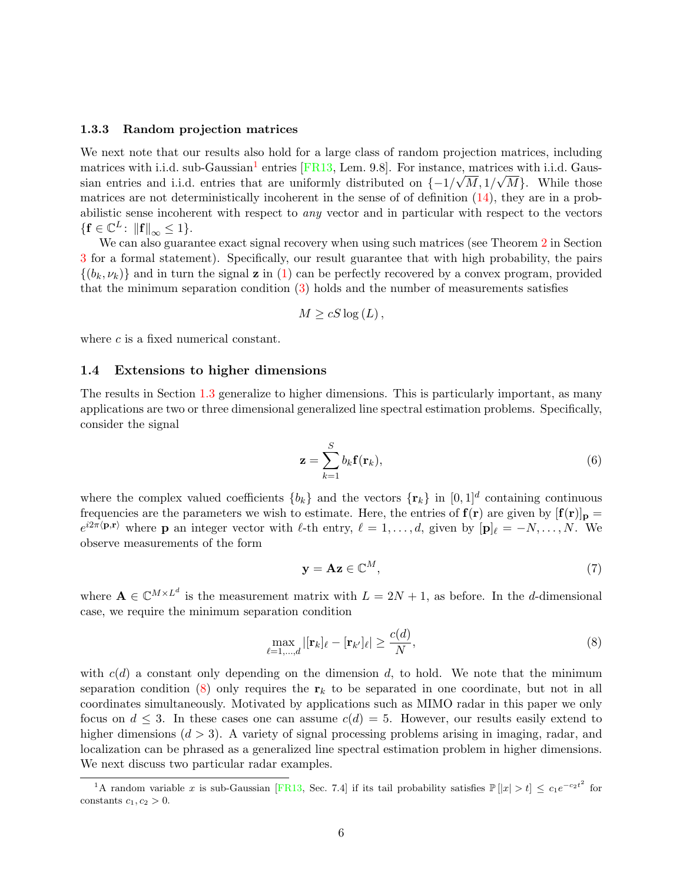#### <span id="page-5-2"></span>1.3.3 Random projection matrices

We next note that our results also hold for a large class of random projection matrices, including matrices with i.i.d. sub-Gaussian<sup>[1](#page-5-3)</sup> entries [\[FR13,](#page-27-4) Lem. 9.8]. For instance, matrices with i.i.d. Gaussian entries and i.i.d. entries that are uniformly distributed on  $\{-1/\sqrt{M}, 1/\sqrt{M}\}\$ . While those matrices are not deterministically incoherent in the sense of of definition  $(14)$ , they are in a probabilistic sense incoherent with respect to any vector and in particular with respect to the vectors  $\{ \mathbf{f} \in \mathbb{C}^L \colon \| \mathbf{f} \|_{\infty} \leq 1 \}.$ 

We can also guarantee exact signal recovery when using such matrices (see Theorem [2](#page-9-2) in Section [3](#page-8-0) for a formal statement). Specifically, our result guarantee that with high probability, the pairs  $\{(b_k, \nu_k)\}\$  and in turn the signal **z** in [\(1\)](#page-1-1) can be perfectly recovered by a convex program, provided that the minimum separation condition  $(3)$  holds and the number of measurements satisfies

$$
M \ge cS \log\left(L\right),\,
$$

where c is a fixed numerical constant.

#### <span id="page-5-1"></span>1.4 Extensions to higher dimensions

The results in Section [1.3](#page-2-1) generalize to higher dimensions. This is particularly important, as many applications are two or three dimensional generalized line spectral estimation problems. Specifically, consider the signal

<span id="page-5-5"></span>
$$
\mathbf{z} = \sum_{k=1}^{S} b_k \mathbf{f}(\mathbf{r}_k),\tag{6}
$$

where the complex valued coefficients  ${b_k}$  and the vectors  ${\lbrace \mathbf{r}_k \rbrace}$  in  $[0, 1]^d$  containing continuous frequencies are the parameters we wish to estimate. Here, the entries of  $f(r)$  are given by  $[f(r)]_p =$  $e^{i2\pi\langle \mathbf{p}, \mathbf{r} \rangle}$  where **p** an integer vector with  $\ell$ -th entry,  $\ell = 1, \ldots, d$ , given by  $[\mathbf{p}]_\ell = -N, \ldots, N$ . We observe measurements of the form

<span id="page-5-4"></span><span id="page-5-0"></span>
$$
y = Az \in \mathbb{C}^M,\tag{7}
$$

where  $\mathbf{A} \in \mathbb{C}^{M \times L^d}$  is the measurement matrix with  $L = 2N + 1$ , as before. In the d-dimensional case, we require the minimum separation condition

$$
\max_{\ell=1,\ldots,d} |[\mathbf{r}_k]_{\ell} - [\mathbf{r}_{k'}]_{\ell}| \ge \frac{c(d)}{N},\tag{8}
$$

with  $c(d)$  a constant only depending on the dimension d, to hold. We note that the minimum separation condition [\(8\)](#page-5-4) only requires the  $r_k$  to be separated in one coordinate, but not in all coordinates simultaneously. Motivated by applications such as MIMO radar in this paper we only focus on  $d \leq 3$ . In these cases one can assume  $c(d) = 5$ . However, our results easily extend to higher dimensions  $(d > 3)$ . A variety of signal processing problems arising in imaging, radar, and localization can be phrased as a generalized line spectral estimation problem in higher dimensions. We next discuss two particular radar examples.

<span id="page-5-3"></span><sup>&</sup>lt;sup>1</sup>A random variable x is sub-Gaussian [\[FR13,](#page-27-4) Sec. 7.4] if its tail probability satisfies  $\mathbb{P}[|x| > t] \leq c_1 e^{-c_2 t^2}$  for constants  $c_1, c_2 > 0$ .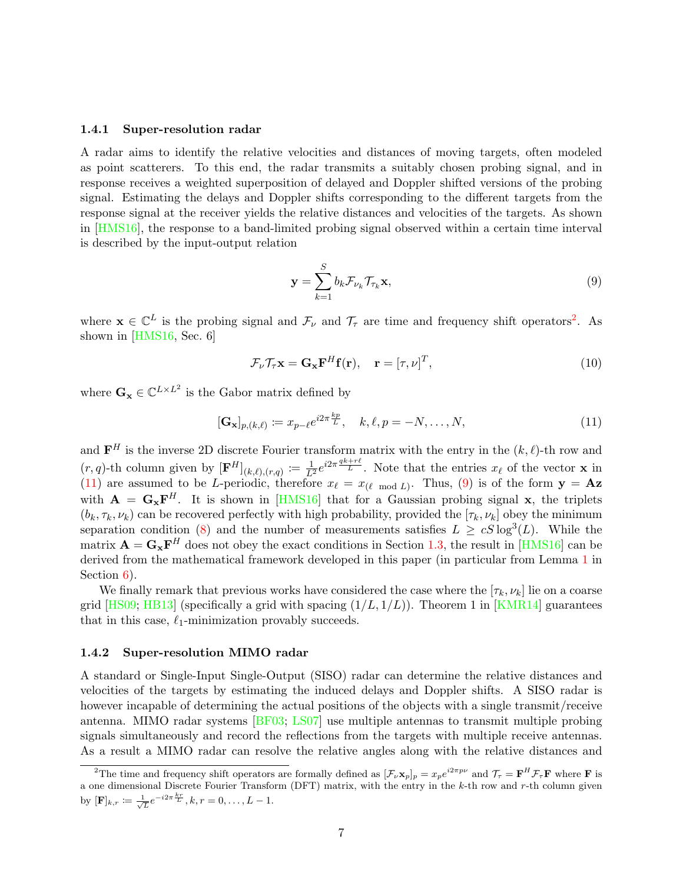#### 1.4.1 Super-resolution radar

A radar aims to identify the relative velocities and distances of moving targets, often modeled as point scatterers. To this end, the radar transmits a suitably chosen probing signal, and in response receives a weighted superposition of delayed and Doppler shifted versions of the probing signal. Estimating the delays and Doppler shifts corresponding to the different targets from the response signal at the receiver yields the relative distances and velocities of the targets. As shown in [\[HMS16\]](#page-27-1), the response to a band-limited probing signal observed within a certain time interval is described by the input-output relation

<span id="page-6-3"></span><span id="page-6-2"></span><span id="page-6-1"></span>
$$
\mathbf{y} = \sum_{k=1}^{S} b_k \mathcal{F}_{\nu_k} \mathcal{T}_{\tau_k} \mathbf{x},\tag{9}
$$

where  $\mathbf{x} \in \mathbb{C}^L$  is the probing signal and  $\mathcal{F}_{\nu}$  and  $\mathcal{T}_{\tau}$  are time and frequency shift operators<sup>[2](#page-6-0)</sup>. As shown in [\[HMS16,](#page-27-1) Sec. 6]

$$
\mathcal{F}_{\nu}\mathcal{T}_{\tau}\mathbf{x} = \mathbf{G}_{\mathbf{x}}\mathbf{F}^{H}\mathbf{f}(\mathbf{r}), \quad \mathbf{r} = [\tau, \nu]^{T}, \tag{10}
$$

where  $\mathbf{G}_{\mathbf{x}} \in \mathbb{C}^{L \times L^2}$  is the Gabor matrix defined by

$$
[\mathbf{G}_{\mathbf{x}}]_{p,(k,\ell)} \coloneqq x_{p-\ell} e^{i2\pi \frac{kp}{L}}, \quad k,\ell,p = -N,\ldots,N,
$$
\n(11)

and  $\mathbf{F}^H$  is the inverse 2D discrete Fourier transform matrix with the entry in the  $(k, \ell)$ -th row and  $(r, q)$ -th column given by  $[\mathbf{F}^H]_{(k, \ell), (r,q)} := \frac{1}{L^2} e^{i2\pi \frac{q k + r\ell}{L}}$ . Note that the entries  $x_\ell$  of the vector **x** in [\(11\)](#page-6-1) are assumed to be L-periodic, therefore  $x_{\ell} = x_{(\ell \mod L)}$ . Thus, [\(9\)](#page-6-2) is of the form  $y = Az$ with  $\mathbf{A} = \mathbf{G_x} \mathbf{F}^H$ . It is shown in [\[HMS16\]](#page-27-1) that for a Gaussian probing signal x, the triplets  $(b_k, \tau_k, \nu_k)$  can be recovered perfectly with high probability, provided the  $[\tau_k, \nu_k]$  obey the minimum separation condition [\(8\)](#page-5-4) and the number of measurements satisfies  $L \ge cS \log^3(L)$ . While the matrix  $\mathbf{A} = \mathbf{G_x} \mathbf{F}^H$  does not obey the exact conditions in Section [1.3,](#page-2-1) the result in [\[HMS16\]](#page-27-1) can be derived from the mathematical framework developed in this paper (in particular from Lemma [1](#page-17-0) in Section  $6$ ).

We finally remark that previous works have considered the case where the  $[\tau_k, \nu_k]$  lie on a coarse grid  $[HS09; HB13]$  $[HS09; HB13]$  $[HS09; HB13]$  (specifically a grid with spacing  $(1/L, 1/L)$ ). Theorem 1 in [\[KMR14\]](#page-27-7) guarantees that in this case,  $\ell_1$ -minimization provably succeeds.

#### 1.4.2 Super-resolution MIMO radar

A standard or Single-Input Single-Output (SISO) radar can determine the relative distances and velocities of the targets by estimating the induced delays and Doppler shifts. A SISO radar is however incapable of determining the actual positions of the objects with a single transmit/receive antenna. MIMO radar systems [\[BF03;](#page-26-6) [LS07\]](#page-27-8) use multiple antennas to transmit multiple probing signals simultaneously and record the reflections from the targets with multiple receive antennas. As a result a MIMO radar can resolve the relative angles along with the relative distances and

<span id="page-6-0"></span><sup>&</sup>lt;sup>2</sup>The time and frequency shift operators are formally defined as  $[\mathcal{F}_{\nu} \mathbf{x}_p]_p = x_p e^{i2\pi p\nu}$  and  $\mathcal{T}_{\tau} = \mathbf{F}^H \mathcal{F}_{\tau} \mathbf{F}$  where **F** is a one dimensional Discrete Fourier Transform (DFT) matrix, with the entry in the k-th row and r-th column given by  $[\mathbf{F}]_{k,r} \coloneqq \frac{1}{\sqrt{L}} e^{-i2\pi \frac{kr}{L}}, k, r = 0, \dots, L - 1.$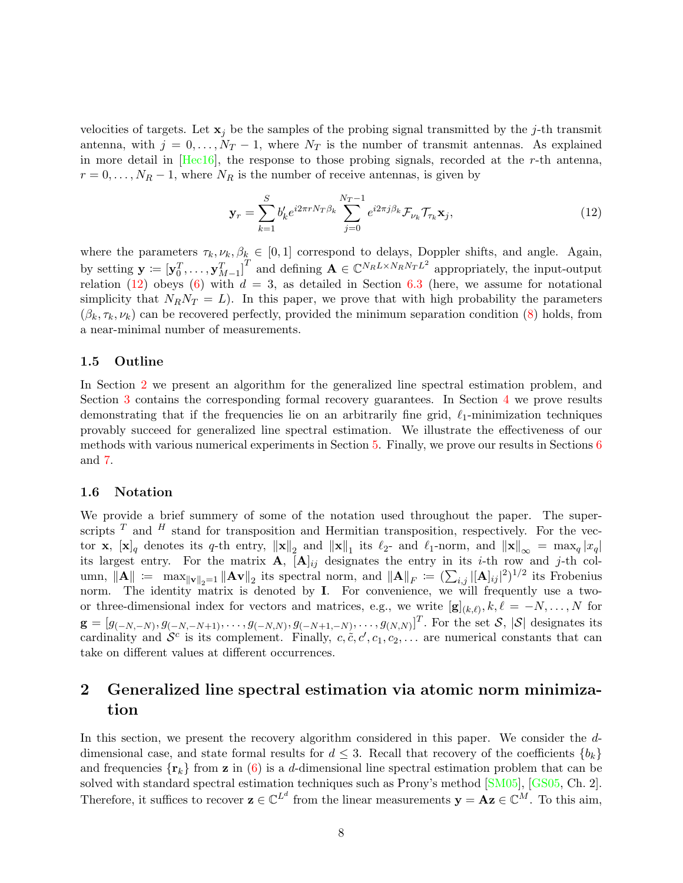velocities of targets. Let  $x_j$  be the samples of the probing signal transmitted by the j-th transmit antenna, with  $j = 0, \ldots, N_T - 1$ , where  $N_T$  is the number of transmit antennas. As explained in more detail in [\[Hec16\]](#page-27-9), the response to those probing signals, recorded at the r-th antenna,  $r = 0, \ldots, N_R - 1$ , where  $N_R$  is the number of receive antennas, is given by

<span id="page-7-0"></span>
$$
\mathbf{y}_r = \sum_{k=1}^S b'_k e^{i2\pi r N_T \beta_k} \sum_{j=0}^{N_T - 1} e^{i2\pi j \beta_k} \mathcal{F}_{\nu_k} \mathcal{T}_{\tau_k} \mathbf{x}_j,\tag{12}
$$

where the parameters  $\tau_k, \nu_k, \beta_k \in [0, 1]$  correspond to delays, Doppler shifts, and angle. Again, by setting  $\mathbf{y} \coloneqq \left[\mathbf{y}_0^T,\ldots,\mathbf{y}_{M-1}^T\right]^T$  and defining  $\mathbf{A} \in \mathbb{C}^{N_R L \times N_R N_T L^2}$  appropriately, the input-output relation [\(12\)](#page-7-0) obeys [\(6\)](#page-5-5) with  $d = 3$ , as detailed in Section [6.3](#page-20-0) (here, we assume for notational simplicity that  $N_R N_T = L$ ). In this paper, we prove that with high probability the parameters  $(\beta_k, \tau_k, \nu_k)$  can be recovered perfectly, provided the minimum separation condition [\(8\)](#page-5-4) holds, from a near-minimal number of measurements.

#### 1.5 Outline

In Section [2](#page-7-1) we present an algorithm for the generalized line spectral estimation problem, and Section [3](#page-8-0) contains the corresponding formal recovery guarantees. In Section [4](#page-12-0) we prove results demonstrating that if the frequencies lie on an arbitrarily fine grid,  $\ell_1$ -minimization techniques provably succeed for generalized line spectral estimation. We illustrate the effectiveness of our methods with various numerical experiments in Section [5.](#page-13-0) Finally, we prove our results in Sections [6](#page-14-0) and [7.](#page-24-0)

#### 1.6 Notation

We provide a brief summery of some of the notation used throughout the paper. The superscripts  $T$  and  $H$  stand for transposition and Hermitian transposition, respectively. For the vector **x**,  $[\mathbf{x}]_q$  denotes its q-th entry,  $\|\mathbf{x}\|_2$  and  $\|\mathbf{x}\|_1$  its  $\ell_2$ - and  $\ell_1$ -norm, and  $\|\mathbf{x}\|_{\infty} = \max_q |x_q|$ its largest entry. For the matrix **A**,  $[\mathbf{A}]_{ij}$  designates the entry in its *i*-th row and *j*-th column,  $\|\mathbf{A}\| := \max_{\|\mathbf{v}\|_2=1} \|\mathbf{A}\mathbf{v}\|_2$  its spectral norm, and  $\|\mathbf{A}\|_F := (\sum_{i,j} |[\mathbf{A}]_{ij}|^2)^{1/2}$  its Frobenius norm. The identity matrix is denoted by I. For convenience, we will frequently use a twoor three-dimensional index for vectors and matrices, e.g., we write  $[g]_{(k,\ell)}, k, \ell = -N, \ldots, N$  for  $\mathbf{g} = [g_{(-N,-N)}, g_{(-N,-N+1)}, \dots, g_{(-N,N)}, g_{(-N+1,-N)}, \dots, g_{(N,N)}]^T$ . For the set  $\mathcal{S}, |\mathcal{S}|$  designates its cardinality and  $\mathcal{S}^c$  is its complement. Finally,  $c, \tilde{c}, c', c_1, c_2, \ldots$  are numerical constants that can take on different values at different occurrences.

# <span id="page-7-1"></span>2 Generalized line spectral estimation via atomic norm minimization

In this section, we present the recovery algorithm considered in this paper. We consider the ddimensional case, and state formal results for  $d \leq 3$ . Recall that recovery of the coefficients  $\{b_k\}$ and frequencies  $\{r_k\}$  from **z** in [\(6\)](#page-5-5) is a d-dimensional line spectral estimation problem that can be solved with standard spectral estimation techniques such as Prony's method [\[SM05\]](#page-28-0), [\[GS05,](#page-27-10) Ch. 2]. Therefore, it suffices to recover  $\mathbf{z} \in \mathbb{C}^{L^d}$  from the linear measurements  $\mathbf{y} = \mathbf{A}\mathbf{z} \in \mathbb{C}^M$ . To this aim,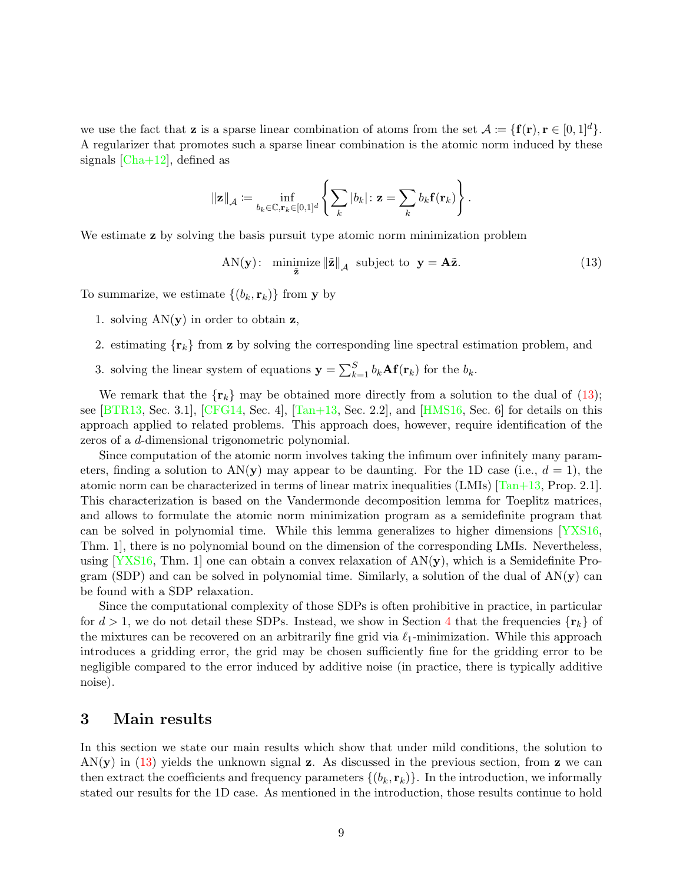we use the fact that **z** is a sparse linear combination of atoms from the set  $A := \{f(r), r \in [0, 1]^d\}.$ A regularizer that promotes such a sparse linear combination is the atomic norm induced by these signals  $[Cha+12]$ , defined as

$$
\|\mathbf{z}\|_{\mathcal{A}} \coloneqq \inf_{b_k \in \mathbb{C}, \mathbf{r}_k \in [0,1]^d} \left\{ \sum_k |b_k| \colon \mathbf{z} = \sum_k b_k \mathbf{f}(\mathbf{r}_k) \right\}.
$$

We estimate **z** by solving the basis pursuit type atomic norm minimization problem

<span id="page-8-1"></span>
$$
AN(\mathbf{y}): \ \ \underset{\tilde{\mathbf{z}}}{\text{minimize}} \left\| \tilde{\mathbf{z}} \right\|_{\mathcal{A}} \ \ \text{subject to} \ \ \mathbf{y} = \mathbf{A}\tilde{\mathbf{z}}. \tag{13}
$$

To summarize, we estimate  $\{(b_k, \mathbf{r}_k)\}\$ from y by

- 1. solving  $AN(y)$  in order to obtain z,
- 2. estimating  $\{r_k\}$  from z by solving the corresponding line spectral estimation problem, and
- 3. solving the linear system of equations  $\mathbf{y} = \sum_{k=1}^{S} b_k \mathbf{A} \mathbf{f}(\mathbf{r}_k)$  for the  $b_k$ .

We remark that the  $\{r_k\}$  may be obtained more directly from a solution to the dual of [\(13\)](#page-8-1); see [\[BTR13,](#page-26-3) Sec. 3.1], [\[CFG14,](#page-26-1) Sec. 4],  $\overline{Tan+13}$ , Sec. 2.2], and  $\overline{HMS16}$ , Sec. 6] for details on this approach applied to related problems. This approach does, however, require identification of the zeros of a d-dimensional trigonometric polynomial.

Since computation of the atomic norm involves taking the infimum over infinitely many parameters, finding a solution to  $AN(y)$  may appear to be daunting. For the 1D case (i.e.,  $d = 1$ ), the atomic norm can be characterized in terms of linear matrix inequalities (LMIs) [\[Tan+13,](#page-28-2) Prop. 2.1]. This characterization is based on the Vandermonde decomposition lemma for Toeplitz matrices, and allows to formulate the atomic norm minimization program as a semidefinite program that can be solved in polynomial time. While this lemma generalizes to higher dimensions [\[YXS16,](#page-28-5) Thm. 1], there is no polynomial bound on the dimension of the corresponding LMIs. Nevertheless, using  $[YXS16, Thm. 1]$  $[YXS16, Thm. 1]$  one can obtain a convex relaxation of  $AN(y)$ , which is a Semidefinite Program (SDP) and can be solved in polynomial time. Similarly, a solution of the dual of  $AN(y)$  can be found with a SDP relaxation.

Since the computational complexity of those SDPs is often prohibitive in practice, in particular for  $d > 1$ , we do not detail these SDPs. Instead, we show in Section [4](#page-12-0) that the frequencies  $\{r_k\}$  of the mixtures can be recovered on an arbitrarily fine grid via  $\ell_1$ -minimization. While this approach introduces a gridding error, the grid may be chosen sufficiently fine for the gridding error to be negligible compared to the error induced by additive noise (in practice, there is typically additive noise).

### <span id="page-8-0"></span>3 Main results

In this section we state our main results which show that under mild conditions, the solution to  $AN(y)$  in [\(13\)](#page-8-1) yields the unknown signal z. As discussed in the previous section, from z we can then extract the coefficients and frequency parameters  $\{(b_k, \mathbf{r}_k)\}\$ . In the introduction, we informally stated our results for the 1D case. As mentioned in the introduction, those results continue to hold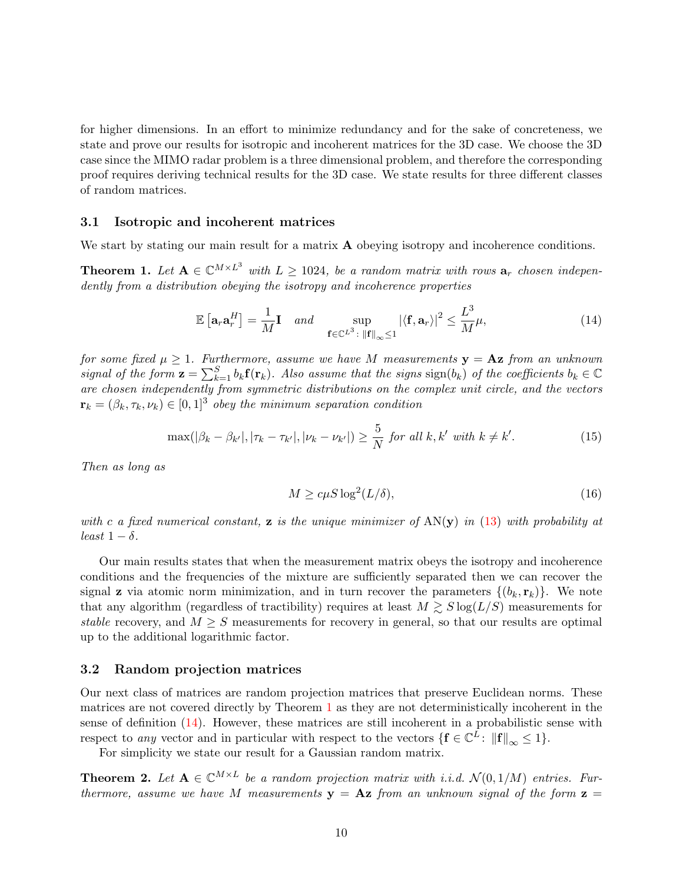for higher dimensions. In an effort to minimize redundancy and for the sake of concreteness, we state and prove our results for isotropic and incoherent matrices for the 3D case. We choose the 3D case since the MIMO radar problem is a three dimensional problem, and therefore the corresponding proof requires deriving technical results for the 3D case. We state results for three different classes of random matrices.

#### 3.1 Isotropic and incoherent matrices

We start by stating our main result for a matrix **A** obeying isotropy and incoherence conditions.

**Theorem 1.** Let  $A \in \mathbb{C}^{M \times L^3}$  with  $L \ge 1024$ , be a random matrix with rows  $a_r$  chosen independently from a distribution obeying the isotropy and incoherence properties

$$
\mathbb{E}\left[\mathbf{a}_r \mathbf{a}_r^H\right] = \frac{1}{M} \mathbf{I} \quad and \quad \sup_{\mathbf{f} \in \mathbb{C}^{L^3} : \|\mathbf{f}\|_{\infty} \le 1} |\langle \mathbf{f}, \mathbf{a}_r \rangle|^2 \le \frac{L^3}{M} \mu,
$$
\n(14)

for some fixed  $\mu \geq 1$ . Furthermore, assume we have M measurements  $y = Az$  from an unknown signal of the form  $\mathbf{z} = \sum_{k=1}^{S} b_k \mathbf{f}(\mathbf{r}_k)$ . Also assume that the signs  $\text{sign}(b_k)$  of the coefficients  $b_k \in \mathbb{C}$ are chosen independently from symmetric distributions on the complex unit circle, and the vectors  $\mathbf{r}_k = (\beta_k, \tau_k, \nu_k) \in [0, 1]^3$  obey the minimum separation condition

$$
\max(|\beta_k - \beta_{k'}|, |\tau_k - \tau_{k'}|, |\nu_k - \nu_{k'}|) \ge \frac{5}{N} \text{ for all } k, k' \text{ with } k \ne k'.
$$
 (15)

Then as long as

<span id="page-9-3"></span><span id="page-9-1"></span><span id="page-9-0"></span>
$$
M \ge c\mu S \log^2(L/\delta),\tag{16}
$$

with c a fixed numerical constant, **z** is the unique minimizer of  $AN(y)$  in [\(13\)](#page-8-1) with probability at least  $1 - \delta$ .

Our main results states that when the measurement matrix obeys the isotropy and incoherence conditions and the frequencies of the mixture are sufficiently separated then we can recover the signal **z** via atomic norm minimization, and in turn recover the parameters  $\{(b_k, \mathbf{r}_k)\}\$ . We note that any algorithm (regardless of tractibility) requires at least  $M \gtrsim S \log(L/S)$  measurements for stable recovery, and  $M \geq S$  measurements for recovery in general, so that our results are optimal up to the additional logarithmic factor.

#### 3.2 Random projection matrices

Our next class of matrices are random projection matrices that preserve Euclidean norms. These matrices are not covered directly by Theorem [1](#page-9-0) as they are not deterministically incoherent in the sense of definition [\(14\)](#page-9-1). However, these matrices are still incoherent in a probabilistic sense with respect to any vector and in particular with respect to the vectors  $\{ \mathbf{f} \in \mathbb{C}^L : ||\mathbf{f}||_{\infty} \leq 1 \}.$ 

For simplicity we state our result for a Gaussian random matrix.

<span id="page-9-2"></span>**Theorem 2.** Let  $A \in \mathbb{C}^{M \times L}$  be a random projection matrix with i.i.d.  $\mathcal{N}(0, 1/M)$  entries. Furthermore, assume we have M measurements  $y = Az$  from an unknown signal of the form  $z =$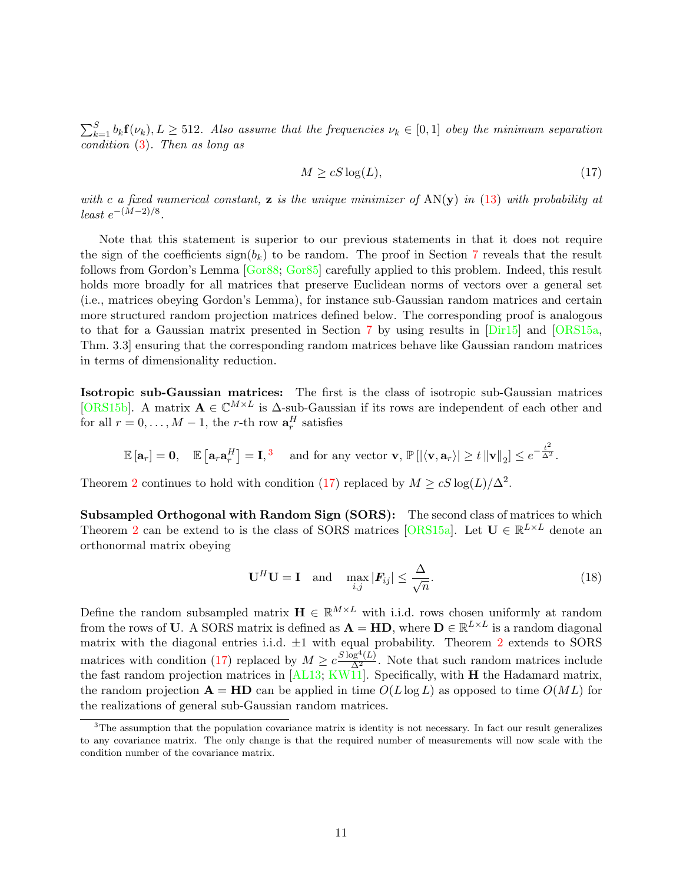$\sum_{k=1}^{S} b_k \mathbf{f}(\nu_k)$ ,  $L \geq 512$ . Also assume that the frequencies  $\nu_k \in [0,1]$  obey the minimum separation condition [\(3\)](#page-2-0). Then as long as

<span id="page-10-1"></span>
$$
M \ge cS \log(L),\tag{17}
$$

with c a fixed numerical constant, **z** is the unique minimizer of  $AN(y)$  in [\(13\)](#page-8-1) with probability at  $least e^{-(M-2)/8}.$ 

Note that this statement is superior to our previous statements in that it does not require the sign of the coefficients  $sign(b_k)$  to be random. The proof in Section [7](#page-24-0) reveals that the result follows from Gordon's Lemma [\[Gor88;](#page-27-12) [Gor85\]](#page-27-13) carefully applied to this problem. Indeed, this result holds more broadly for all matrices that preserve Euclidean norms of vectors over a general set (i.e., matrices obeying Gordon's Lemma), for instance sub-Gaussian random matrices and certain more structured random projection matrices defined below. The corresponding proof is analogous to that for a Gaussian matrix presented in Section [7](#page-24-0) by using results in [\[Dir15\]](#page-27-14) and [\[ORS15a,](#page-28-6) Thm. 3.3] ensuring that the corresponding random matrices behave like Gaussian random matrices in terms of dimensionality reduction.

Isotropic sub-Gaussian matrices: The first is the class of isotropic sub-Gaussian matrices [\[ORS15b\]](#page-28-7). A matrix  $\mathbf{A} \in \mathbb{C}^{M \times L}$  is  $\Delta$ -sub-Gaussian if its rows are independent of each other and for all  $r = 0, \ldots, M - 1$ , the r-th row  $\mathbf{a}_r^H$  satisfies

$$
\mathbb{E}\left[\mathbf{a}_r\right] = \mathbf{0}, \quad \mathbb{E}\left[\mathbf{a}_r \mathbf{a}_r^H\right] = \mathbf{I},^3 \quad \text{ and for any vector } \mathbf{v}, \, \mathbb{P}\left[\left|\langle \mathbf{v}, \mathbf{a}_r\rangle\right| \geq t\left\|\mathbf{v}\right\|_2\right] \leq e^{-\frac{t^2}{\Delta^2}}.
$$

Theorem [2](#page-9-2) continues to hold with condition [\(17\)](#page-10-1) replaced by  $M \geq cS \log(L)/\Delta^2$ .

Subsampled Orthogonal with Random Sign (SORS): The second class of matrices to which Theorem [2](#page-9-2) can be extend to is the class of SORS matrices [\[ORS15a\]](#page-28-6). Let  $\mathbf{U} \in \mathbb{R}^{L \times L}$  denote an orthonormal matrix obeying

$$
\mathbf{U}^H \mathbf{U} = \mathbf{I} \quad \text{and} \quad \max_{i,j} |\mathbf{F}_{ij}| \le \frac{\Delta}{\sqrt{n}}.
$$
 (18)

Define the random subsampled matrix  $\mathbf{H} \in \mathbb{R}^{M \times L}$  with i.i.d. rows chosen uniformly at random from the rows of U. A SORS matrix is defined as  $\mathbf{A} = \mathbf{HD}$ , where  $\mathbf{D} \in \mathbb{R}^{L \times L}$  is a random diagonal matrix with the diagonal entries i.i.d.  $\pm 1$  with equal probability. Theorem [2](#page-9-2) extends to SORS matrices with condition [\(17\)](#page-10-1) replaced by  $M \geq c \frac{S \log^4(L)}{\Delta^2}$ . Note that such random matrices include the fast random projection matrices in [\[AL13;](#page-26-7) [KW11\]](#page-27-15). Specifically, with **H** the Hadamard matrix, the random projection  $\mathbf{A} = \mathbf{HD}$  can be applied in time  $O(L \log L)$  as opposed to time  $O(ML)$  for the realizations of general sub-Gaussian random matrices.

<span id="page-10-0"></span><sup>&</sup>lt;sup>3</sup>The assumption that the population covariance matrix is identity is not necessary. In fact our result generalizes to any covariance matrix. The only change is that the required number of measurements will now scale with the condition number of the covariance matrix.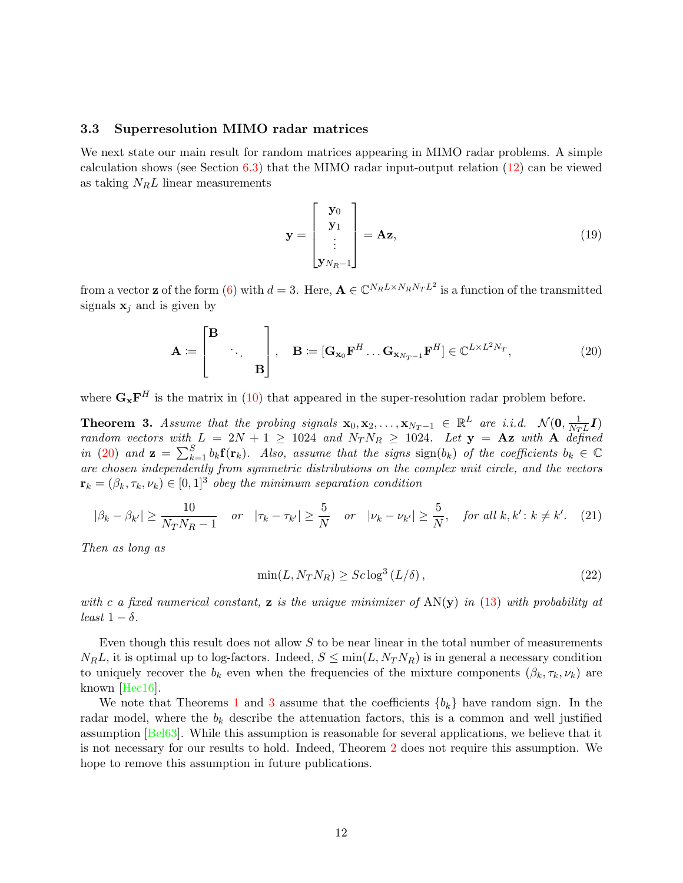#### 3.3 Superresolution MIMO radar matrices

We next state our main result for random matrices appearing in MIMO radar problems. A simple calculation shows (see Section  $6.3$ ) that the MIMO radar input-output relation  $(12)$  can be viewed as taking  $N_R L$  linear measurements

<span id="page-11-0"></span>
$$
\mathbf{y} = \begin{bmatrix} \mathbf{y}_0 \\ \mathbf{y}_1 \\ \vdots \\ \mathbf{y}_{N_R - 1} \end{bmatrix} = \mathbf{Az},\tag{19}
$$

from a vector **z** of the form [\(6\)](#page-5-5) with  $d = 3$ . Here,  $\mathbf{A} \in \mathbb{C}^{N_R L \times N_R N_T L^2}$  is a function of the transmitted signals  $x_j$  and is given by

$$
\mathbf{A} := \begin{bmatrix} \mathbf{B} & & \\ & \ddots & \\ & & \mathbf{B} \end{bmatrix}, \quad \mathbf{B} := [\mathbf{G}_{\mathbf{x}_0} \mathbf{F}^H \dots \mathbf{G}_{\mathbf{x}_{N_T-1}} \mathbf{F}^H] \in \mathbb{C}^{L \times L^2 N_T}, \tag{20}
$$

where  $\mathbf{G}_{\mathbf{x}}\mathbf{F}^H$  is the matrix in [\(10\)](#page-6-3) that appeared in the super-resolution radar problem before.

<span id="page-11-1"></span>**Theorem 3.** Assume that the probing signals  $\mathbf{x}_0, \mathbf{x}_2, \ldots, \mathbf{x}_{N_T-1} \in \mathbb{R}^L$  are i.i.d.  $\mathcal{N}(\mathbf{0}, \frac{1}{N_T})$  $\frac{1}{N_T L} I)$ random vectors with  $L = 2N + 1 \ge 1024$  and  $N_T N_R \ge 1024$ . Let  $y = Az$  with A defined in [\(20\)](#page-11-0) and  $\mathbf{z} = \sum_{k=1}^{S} b_k \mathbf{f}(\mathbf{r}_k)$ . Also, assume that the signs  $\text{sign}(b_k)$  of the coefficients  $b_k \in \mathbb{C}$ are chosen independently from symmetric distributions on the complex unit circle, and the vectors  $\mathbf{r}_k = (\beta_k, \tau_k, \nu_k) \in [0, 1]^3$  obey the minimum separation condition

$$
|\beta_k - \beta_{k'}| \ge \frac{10}{N_T N_R - 1} \quad or \quad |\tau_k - \tau_{k'}| \ge \frac{5}{N} \quad or \quad |\nu_k - \nu_{k'}| \ge \frac{5}{N}, \quad for all \ k, k' : k \ne k'. \tag{21}
$$

Then as long as

<span id="page-11-2"></span>
$$
\min(L, N_T N_R) \ge Sc \log^3(L/\delta),\tag{22}
$$

with c a fixed numerical constant, **z** is the unique minimizer of  $AN(y)$  in [\(13\)](#page-8-1) with probability at least  $1 - \delta$ .

Even though this result does not allow  $S$  to be near linear in the total number of measurements  $N_R L$ , it is optimal up to log-factors. Indeed,  $S \le \min(L, N_T N_R)$  is in general a necessary condition to uniquely recover the  $b_k$  even when the frequencies of the mixture components  $(\beta_k, \tau_k, \nu_k)$  are known [\[Hec16\]](#page-27-9).

We note that Theorems [1](#page-9-0) and [3](#page-11-1) assume that the coefficients  ${b_k}$  have random sign. In the radar model, where the  $b_k$  describe the attenuation factors, this is a common and well justified assumption [\[Bel63\]](#page-26-8). While this assumption is reasonable for several applications, we believe that it is not necessary for our results to hold. Indeed, Theorem [2](#page-9-2) does not require this assumption. We hope to remove this assumption in future publications.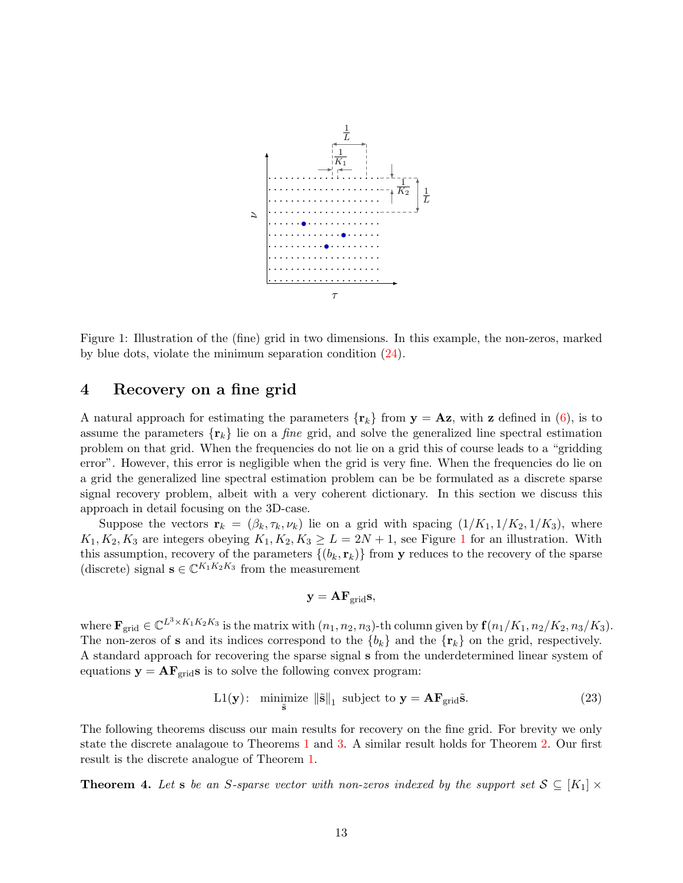

<span id="page-12-1"></span>Figure 1: Illustration of the (fine) grid in two dimensions. In this example, the non-zeros, marked by blue dots, violate the minimum separation condition [\(24\)](#page-13-1).

### <span id="page-12-0"></span>4 Recovery on a fine grid

A natural approach for estimating the parameters  $\{r_k\}$  from  $y = Az$ , with z defined in [\(6\)](#page-5-5), is to assume the parameters  $\{r_k\}$  lie on a *fine* grid, and solve the generalized line spectral estimation problem on that grid. When the frequencies do not lie on a grid this of course leads to a "gridding error". However, this error is negligible when the grid is very fine. When the frequencies do lie on a grid the generalized line spectral estimation problem can be be formulated as a discrete sparse signal recovery problem, albeit with a very coherent dictionary. In this section we discuss this approach in detail focusing on the 3D-case.

Suppose the vectors  $\mathbf{r}_k = (\beta_k, \tau_k, \nu_k)$  lie on a grid with spacing  $(1/K_1, 1/K_2, 1/K_3)$ , where  $K_1, K_2, K_3$  $K_1, K_2, K_3$  $K_1, K_2, K_3$  are integers obeying  $K_1, K_2, K_3 \geq L = 2N + 1$ , see Figure 1 for an illustration. With this assumption, recovery of the parameters  $\{(b_k, \mathbf{r}_k)\}\$  from y reduces to the recovery of the sparse (discrete) signal  $\mathbf{s} \in \mathbb{C}^{K_1 K_2 K_3}$  from the measurement

<span id="page-12-3"></span>
$$
\mathbf{y} = \mathbf{A} \mathbf{F}_{\text{grid}} \mathbf{s},
$$

where  $\mathbf{F}_{\text{grid}} \in \mathbb{C}^{L^3 \times K_1 K_2 K_3}$  is the matrix with  $(n_1, n_2, n_3)$ -th column given by  $\mathbf{f}(n_1/K_1, n_2/K_2, n_3/K_3)$ . The non-zeros of **s** and its indices correspond to the  ${b_k}$  and the  ${\mathbf{r}_k}$  on the grid, respectively. A standard approach for recovering the sparse signal s from the underdetermined linear system of equations  $y = AF<sub>grid</sub>s$  is to solve the following convex program:

$$
L1(y): \ \underset{\tilde{s}}{\text{minimize}} \ \|\tilde{s}\|_1 \ \text{subject to} \ \mathbf{y} = \mathbf{A}\mathbf{F}_{\text{grid}}\tilde{s}.\tag{23}
$$

The following theorems discuss our main results for recovery on the fine grid. For brevity we only state the discrete analagoue to Theorems [1](#page-9-0) and [3.](#page-11-1) A similar result holds for Theorem [2.](#page-9-2) Our first result is the discrete analogue of Theorem [1.](#page-9-0)

<span id="page-12-2"></span>**Theorem 4.** Let s be an S-sparse vector with non-zeros indexed by the support set  $S \subseteq [K_1] \times$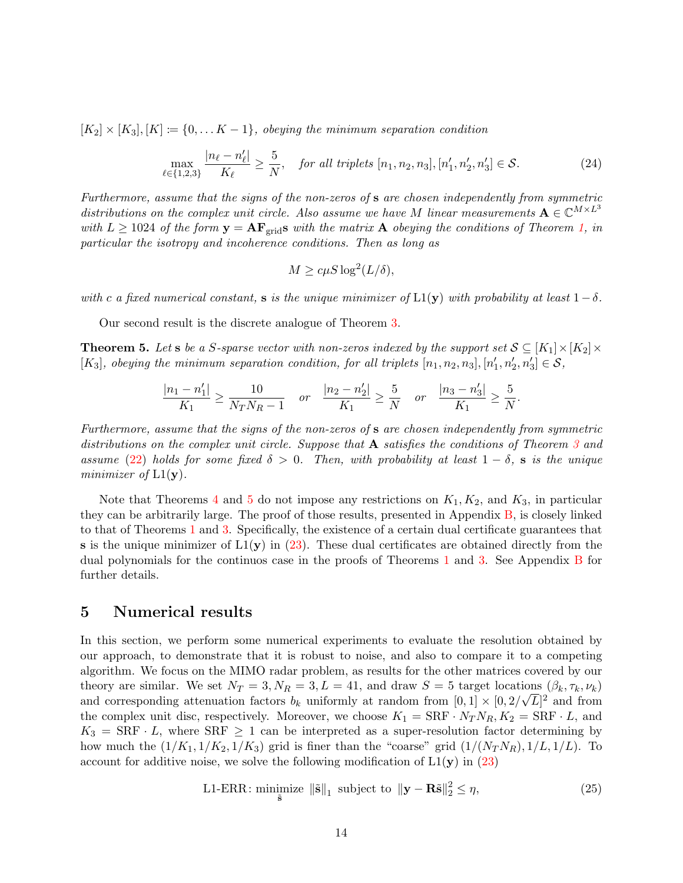$[K_2] \times [K_3], [K] := \{0, \ldots K - 1\}$ , obeying the minimum separation condition

$$
\max_{\ell \in \{1,2,3\}} \frac{|n_{\ell} - n'_{\ell}|}{K_{\ell}} \ge \frac{5}{N}, \quad \text{for all triplets } [n_1, n_2, n_3], [n'_1, n'_2, n'_3] \in \mathcal{S}. \tag{24}
$$

Furthermore, assume that the signs of the non-zeros of s are chosen independently from symmetric distributions on the complex unit circle. Also assume we have M linear measurements  $\mathbf{A} \in \mathbb{C}^{M \times L^3}$ with  $L \ge 1024$  of the form  $y = AF_{grid}s$  with the matrix A obeying the conditions of Theorem [1,](#page-9-0) in particular the isotropy and incoherence conditions. Then as long as

<span id="page-13-1"></span>
$$
M \ge c\mu S \log^2(L/\delta),
$$

with c a fixed numerical constant, s is the unique minimizer of  $L_1(y)$  with probability at least  $1-\delta$ .

Our second result is the discrete analogue of Theorem [3.](#page-11-1)

<span id="page-13-2"></span>**Theorem 5.** Let s be a S-sparse vector with non-zeros indexed by the support set  $S \subseteq [K_1] \times [K_2] \times$ [K<sub>3</sub>], obeying the minimum separation condition, for all triplets  $[n_1, n_2, n_3]$ ,  $[n'_1, n'_2, n'_3] \in S$ ,

$$
\frac{|n_1 - n'_1|}{K_1} \ge \frac{10}{N_T N_R - 1} \quad or \quad \frac{|n_2 - n'_2|}{K_1} \ge \frac{5}{N} \quad or \quad \frac{|n_3 - n'_3|}{K_1} \ge \frac{5}{N}.
$$

Furthermore, assume that the signs of the non-zeros of s are chosen independently from symmetric distributions on the complex unit circle. Suppose that **A** satisfies the conditions of Theorem [3](#page-11-1) and assume [\(22\)](#page-11-2) holds for some fixed  $\delta > 0$ . Then, with probability at least  $1 - \delta$ , s is the unique minimizer of  $L1(y)$ .

Note that Theorems [4](#page-12-2) and [5](#page-13-2) do not impose any restrictions on  $K_1, K_2$ , and  $K_3$ , in particular they can be arbitrarily large. The proof of those results, presented in Appendix [B,](#page-39-0) is closely linked to that of Theorems [1](#page-9-0) and [3.](#page-11-1) Specifically, the existence of a certain dual certificate guarantees that s is the unique minimizer of  $L1(y)$  in [\(23\)](#page-12-3). These dual certificates are obtained directly from the dual polynomials for the continuos case in the proofs of Theorems [1](#page-9-0) and [3.](#page-11-1) See Appendix [B](#page-39-0) for further details.

### <span id="page-13-0"></span>5 Numerical results

In this section, we perform some numerical experiments to evaluate the resolution obtained by our approach, to demonstrate that it is robust to noise, and also to compare it to a competing algorithm. We focus on the MIMO radar problem, as results for the other matrices covered by our theory are similar. We set  $N_T = 3, N_R = 3, L = 41$ , and draw  $S = 5$  target locations  $(\beta_k, \tau_k, \nu_k)$ and corresponding attenuation factors  $b_k$  uniformly at random from  $[0,1] \times [0, 2/\sqrt{L}]^2$  and from the complex unit disc, respectively. Moreover, we choose  $K_1 = \text{SRF} \cdot N_T N_R$ ,  $K_2 = \text{SRF} \cdot L$ , and  $K_3 = \text{SRF} \cdot L$ , where  $\text{SRF} \geq 1$  can be interpreted as a super-resolution factor determining by how much the  $(1/K_1, 1/K_2, 1/K_3)$  grid is finer than the "coarse" grid  $(1/(N_T N_R), 1/L, 1/L)$ . To account for additive noise, we solve the following modification of  $L1(y)$  in [\(23\)](#page-12-3)

<span id="page-13-3"></span>L1-ERR: minimize 
$$
\|\tilde{\mathbf{s}}\|_1
$$
 subject to  $\|\mathbf{y} - \mathbf{R}\tilde{\mathbf{s}}\|_2^2 \le \eta$ , (25)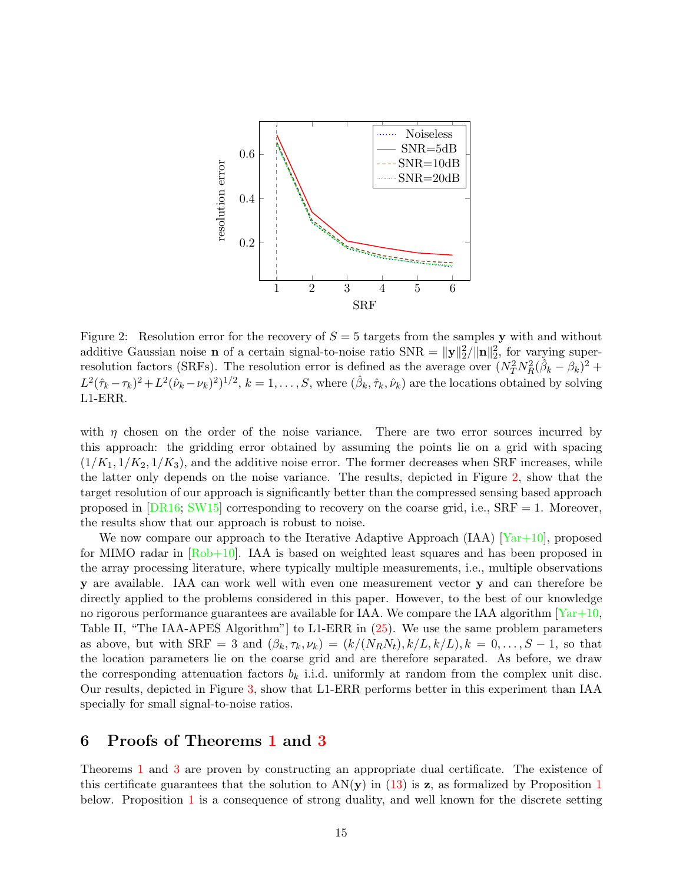

<span id="page-14-1"></span>Figure 2: Resolution error for the recovery of  $S = 5$  targets from the samples y with and without additive Gaussian noise **n** of a certain signal-to-noise ratio  $SNR = ||y||_2^2/||n||_2^2$ , for varying superresolution factors (SRFs). The resolution error is defined as the average over  $(N_T^2 N_R^2 (\hat{\beta}_k - \beta_k)^2 +$  $L^2(\hat{\tau}_k-\tau_k)^2+L^2(\hat{\nu}_k-\nu_k)^2)^{1/2}, k=1,\ldots,S$ , where  $(\hat{\beta}_k,\hat{\tau}_k,\hat{\nu}_k)$  are the locations obtained by solving L1-ERR.

with  $\eta$  chosen on the order of the noise variance. There are two error sources incurred by this approach: the gridding error obtained by assuming the points lie on a grid with spacing  $(1/K_1, 1/K_2, 1/K_3)$ , and the additive noise error. The former decreases when SRF increases, while the latter only depends on the noise variance. The results, depicted in Figure [2,](#page-14-1) show that the target resolution of our approach is significantly better than the compressed sensing based approach proposed in  $[DR16; SW15]$  $[DR16; SW15]$  $[DR16; SW15]$  corresponding to recovery on the coarse grid, i.e.,  $SRF = 1$ . Moreover, the results show that our approach is robust to noise.

We now compare our approach to the Iterative Adaptive Approach  $(IAA)$   $[Yar+10]$ , proposed for MIMO radar in [\[Rob+10\]](#page-28-10). IAA is based on weighted least squares and has been proposed in the array processing literature, where typically multiple measurements, i.e., multiple observations y are available. IAA can work well with even one measurement vector y and can therefore be directly applied to the problems considered in this paper. However, to the best of our knowledge no rigorous performance guarantees are available for IAA. We compare the IAA algorithm  $\frac{Yar+10}{x}$ Table II, "The IAA-APES Algorithm"] to L1-ERR in [\(25\)](#page-13-3). We use the same problem parameters as above, but with  $\text{SRF} = 3$  and  $(\beta_k, \tau_k, \nu_k) = (k/(N_R N_t), k/L, k/L), k = 0, \ldots, S-1$ , so that the location parameters lie on the coarse grid and are therefore separated. As before, we draw the corresponding attenuation factors  $b_k$  i.i.d. uniformly at random from the complex unit disc. Our results, depicted in Figure [3,](#page-15-0) show that L1-ERR performs better in this experiment than IAA specially for small signal-to-noise ratios.

## <span id="page-14-0"></span>6 Proofs of Theorems [1](#page-9-0) and [3](#page-11-1)

Theorems [1](#page-9-0) and [3](#page-11-1) are proven by constructing an appropriate dual certificate. The existence of this certificate guarantees that the solution to  $AN(y)$  in [\(13\)](#page-8-1) is z, as formalized by Proposition [1](#page-15-1) below. Proposition [1](#page-15-1) is a consequence of strong duality, and well known for the discrete setting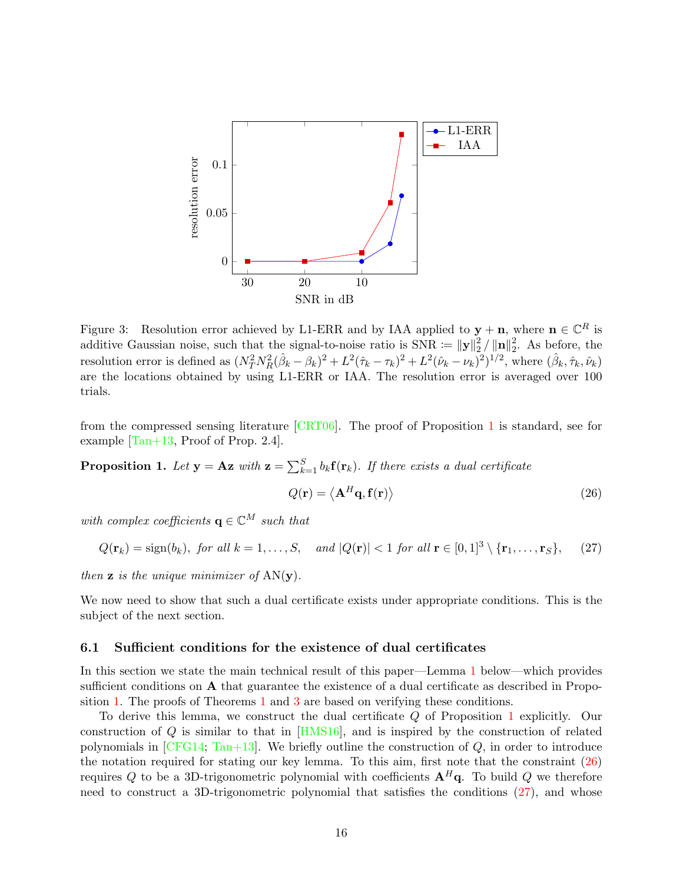

<span id="page-15-0"></span>Figure 3: Resolution error achieved by L1-ERR and by IAA applied to  $y + n$ , where  $n \in \mathbb{C}^R$  is additive Gaussian noise, such that the signal-to-noise ratio is  $SNR := ||y||_2^2$  $_2^2/\left\lVert \mathbf{n} \right\rVert_2^2$  $2^2$ . As before, the resolution error is defined as  $(N_T^2 N_R^2(\hat{\beta}_k - \beta_k)^2 + L^2(\hat{\tau}_k - \tau_k)^2 + L^2(\hat{\nu}_k - \nu_k)^2)^{1/2}$ , where  $(\hat{\beta}_k, \hat{\tau}_k, \hat{\nu}_k)$ are the locations obtained by using L1-ERR or IAA. The resolution error is averaged over 100 trials.

from the compressed sensing literature [\[CRT06\]](#page-26-0). The proof of Proposition [1](#page-15-1) is standard, see for example  $[Tan+13,$  Proof of Prop. 2.4].

**Proposition 1.** Let  $y = Az$  with  $z = \sum_{k=1}^{S} b_k f(r_k)$ . If there exists a dual certificate

<span id="page-15-2"></span><span id="page-15-1"></span>
$$
Q(\mathbf{r}) = \langle \mathbf{A}^H \mathbf{q}, \mathbf{f}(\mathbf{r}) \rangle \tag{26}
$$

with complex coefficients  $\mathbf{q} \in \mathbb{C}^M$  such that

$$
Q(\mathbf{r}_k) = \text{sign}(b_k), \text{ for all } k = 1, \dots, S, \quad \text{and } |Q(\mathbf{r})| < 1 \text{ for all } \mathbf{r} \in [0, 1]^3 \setminus \{\mathbf{r}_1, \dots, \mathbf{r}_S\}, \tag{27}
$$

then  $\mathbf{z}$  is the unique minimizer of  $AN(\mathbf{y})$ .

We now need to show that such a dual certificate exists under appropriate conditions. This is the subject of the next section.

#### <span id="page-15-3"></span>6.1 Sufficient conditions for the existence of dual certificates

In this section we state the main technical result of this paper—Lemma [1](#page-17-0) below—which provides sufficient conditions on A that guarantee the existence of a dual certificate as described in Proposition [1.](#page-15-1) The proofs of Theorems [1](#page-9-0) and [3](#page-11-1) are based on verifying these conditions.

To derive this lemma, we construct the dual certificate Q of Proposition [1](#page-15-1) explicitly. Our construction of  $Q$  is similar to that in  $[HMS16]$ , and is inspired by the construction of related polynomials in  $[CFG14; Tan+13]$  $[CFG14; Tan+13]$  $[CFG14; Tan+13]$ . We briefly outline the construction of  $Q$ , in order to introduce the notation required for stating our key lemma. To this aim, first note that the constraint [\(26\)](#page-15-2) requires Q to be a 3D-trigonometric polynomial with coefficients  $A^H q$ . To build Q we therefore need to construct a 3D-trigonometric polynomial that satisfies the conditions [\(27\)](#page-15-1), and whose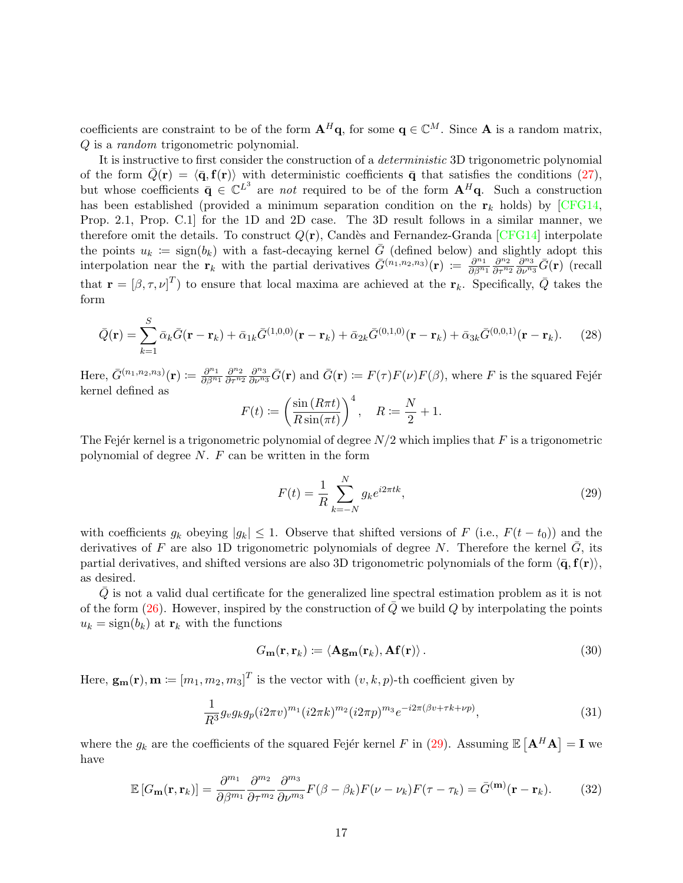coefficients are constraint to be of the form  $A^H q$ , for some  $q \in \mathbb{C}^M$ . Since A is a random matrix, Q is a random trigonometric polynomial.

It is instructive to first consider the construction of a deterministic 3D trigonometric polynomial of the form  $\bar{Q}(\mathbf{r}) = \langle \bar{\mathbf{q}}, \mathbf{f}(\mathbf{r}) \rangle$  with deterministic coefficients  $\bar{\mathbf{q}}$  that satisfies the conditions [\(27\)](#page-15-1), but whose coefficients  $\bar{\mathbf{q}} \in \mathbb{C}^{L^3}$  are not required to be of the form  $\mathbf{A}^H\mathbf{q}$ . Such a construction has been established (provided a minimum separation condition on the  $\mathbf{r}_k$  holds) by [\[CFG14,](#page-26-1) Prop. 2.1, Prop. C.1] for the 1D and 2D case. The 3D result follows in a similar manner, we therefore omit the details. To construct  $Q(\mathbf{r})$ , Candès and Fernandez-Granda [\[CFG14\]](#page-26-1) interpolate the points  $u_k := \text{sign}(b_k)$  with a fast-decaying kernel  $\overline{G}$  (defined below) and slightly adopt this interpolation near the  $\mathbf{r}_k$  with the partial derivatives  $\bar{G}^{(n_1,n_2,n_3)}(\mathbf{r}) := \frac{\partial^{n_1}}{\partial \beta^n}$  $\frac{\partial^{n}1}{\partial\beta^{n_1}}\frac{\partial^{n}2}{\partial\tau^{n_2}}$  $\frac{\partial^{n_2}}{\partial \tau^{n_2}} \overline{\frac{\partial^{n_3}}{\partial \nu^{n_3}}} \bar{G}({\bf r})$  (recall that  $\mathbf{r} = [\beta, \tau, \nu]^T$  to ensure that local maxima are achieved at the  $\mathbf{r}_k$ . Specifically,  $\bar{Q}$  takes the form

$$
\bar{Q}(\mathbf{r}) = \sum_{k=1}^{S} \bar{\alpha}_k \bar{G}(\mathbf{r} - \mathbf{r}_k) + \bar{\alpha}_{1k} \bar{G}^{(1,0,0)}(\mathbf{r} - \mathbf{r}_k) + \bar{\alpha}_{2k} \bar{G}^{(0,1,0)}(\mathbf{r} - \mathbf{r}_k) + \bar{\alpha}_{3k} \bar{G}^{(0,0,1)}(\mathbf{r} - \mathbf{r}_k).
$$
 (28)

Here,  $\bar{G}^{(n_1,n_2,n_3)}(\mathbf{r}) \coloneqq \frac{\partial^{n_1}}{\partial \beta^{n_2}}$  $\frac{\partial^{n_1}}{\partial \beta^{n_1}} \frac{\partial^{n_2}}{\partial \tau^{n_2}}$  $\frac{\partial^{n_2}}{\partial \tau^{n_2}} \frac{\partial^{n_3}}{\partial \nu^{n_3}} \bar{G}(\mathbf{r})$  and  $\bar{G}(\mathbf{r}) \coloneqq F(\tau)F(\nu)F(\beta)$ , where F is the squared Fejér kernel defined as

$$
F(t) := \left(\frac{\sin(R\pi t)}{R\sin(\pi t)}\right)^4, \quad R := \frac{N}{2} + 1.
$$

The Fejer kernel is a trigonometric polynomial of degree  $N/2$  which implies that F is a trigonometric polynomial of degree  $N$ .  $F$  can be written in the form

<span id="page-16-2"></span><span id="page-16-0"></span>
$$
F(t) = \frac{1}{R} \sum_{k=-N}^{N} g_k e^{i2\pi tk},
$$
\n(29)

with coefficients  $g_k$  obeying  $|g_k| \leq 1$ . Observe that shifted versions of F (i.e.,  $F(t-t_0)$ ) and the derivatives of F are also 1D trigonometric polynomials of degree N. Therefore the kernel  $G$ , its partial derivatives, and shifted versions are also 3D trigonometric polynomials of the form  $\langle \bar{q}, f(r) \rangle$ , as desired.

 $\overline{Q}$  is not a valid dual certificate for the generalized line spectral estimation problem as it is not of the form [\(26\)](#page-15-2). However, inspired by the construction of  $\overline{Q}$  we build  $Q$  by interpolating the points  $u_k = \text{sign}(b_k)$  at  $\mathbf{r}_k$  with the functions

<span id="page-16-1"></span>
$$
G_{\mathbf{m}}(\mathbf{r}, \mathbf{r}_k) \coloneqq \langle \mathbf{A} \mathbf{g}_{\mathbf{m}}(\mathbf{r}_k), \mathbf{A} \mathbf{f}(\mathbf{r}) \rangle. \tag{30}
$$

Here,  $\mathbf{g}_{\mathbf{m}}(\mathbf{r}), \mathbf{m} \coloneqq [m_1, m_2, m_3]^T$  is the vector with  $(v, k, p)$ -th coefficient given by

$$
\frac{1}{R^3} g_v g_k g_p (i2\pi v)^{m_1} (i2\pi k)^{m_2} (i2\pi p)^{m_3} e^{-i2\pi (\beta v + \tau k + \nu p)},\tag{31}
$$

where the  $g_k$  are the coefficients of the squared Fejér kernel F in [\(29\)](#page-16-0). Assuming  $\mathbb{E}[\mathbf{A}^H\mathbf{A}] = \mathbf{I}$  we have

$$
\mathbb{E}\left[G_{\mathbf{m}}(\mathbf{r},\mathbf{r}_k)\right] = \frac{\partial^{m_1}}{\partial \beta^{m_1}} \frac{\partial^{m_2}}{\partial \tau^{m_2}} \frac{\partial^{m_3}}{\partial \nu^{m_3}} F(\beta - \beta_k) F(\nu - \nu_k) F(\tau - \tau_k) = \bar{G}^{(\mathbf{m})}(\mathbf{r} - \mathbf{r}_k). \tag{32}
$$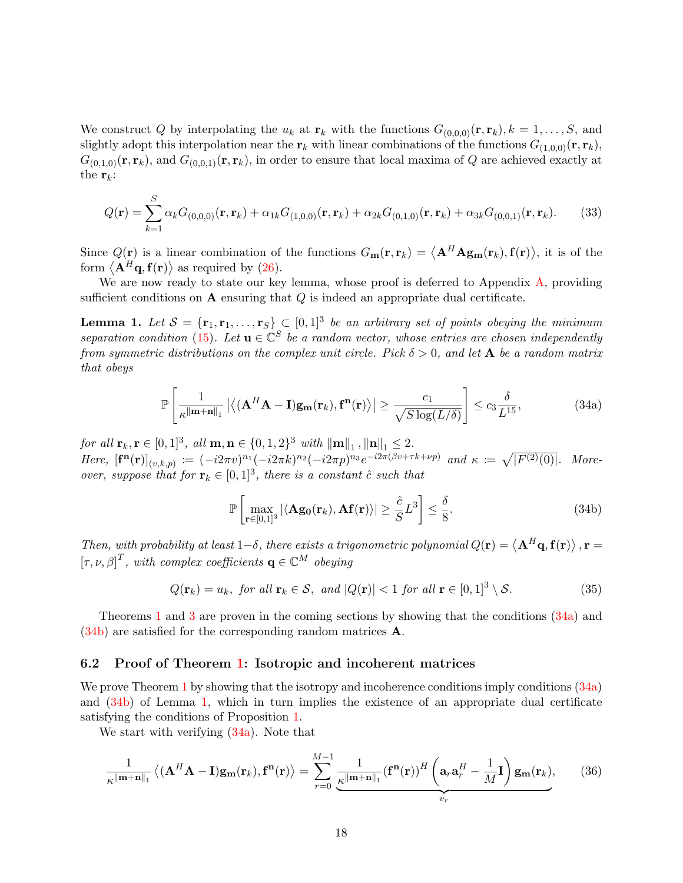We construct Q by interpolating the  $u_k$  at  $\mathbf{r}_k$  with the functions  $G_{(0,0,0)}(\mathbf{r}, \mathbf{r}_k)$ ,  $k = 1, \ldots, S$ , and slightly adopt this interpolation near the  $r_k$  with linear combinations of the functions  $G_{(1,0,0)}(\mathbf{r}, \mathbf{r}_k)$ ,  $G_{(0,1,0)}(\mathbf{r},\mathbf{r}_k)$ , and  $G_{(0,0,1)}(\mathbf{r},\mathbf{r}_k)$ , in order to ensure that local maxima of Q are achieved exactly at the  $\mathbf{r}_k$ :

$$
Q(\mathbf{r}) = \sum_{k=1}^{S} \alpha_k G_{(0,0,0)}(\mathbf{r}, \mathbf{r}_k) + \alpha_{1k} G_{(1,0,0)}(\mathbf{r}, \mathbf{r}_k) + \alpha_{2k} G_{(0,1,0)}(\mathbf{r}, \mathbf{r}_k) + \alpha_{3k} G_{(0,0,1)}(\mathbf{r}, \mathbf{r}_k). \tag{33}
$$

Since  $Q(\mathbf{r})$  is a linear combination of the functions  $G_{\mathbf{m}}(\mathbf{r}, \mathbf{r}_k) = \langle \mathbf{A}^H \mathbf{A} \mathbf{g}_{\mathbf{m}}(\mathbf{r}_k), \mathbf{f}(\mathbf{r}) \rangle$ , it is of the form  $\langle \mathbf{A}^H \mathbf{q}, \mathbf{f}(\mathbf{r}) \rangle$  as required by [\(26\)](#page-15-2).

We are now ready to state our key lemma, whose proof is deferred to Appendix [A,](#page-28-11) providing sufficient conditions on  $A$  ensuring that  $Q$  is indeed an appropriate dual certificate.

<span id="page-17-0"></span>**Lemma 1.** Let  $S = {\mathbf{r}_1, \mathbf{r}_1, ..., \mathbf{r}_S} \subset [0,1]^3$  be an arbitrary set of points obeying the minimum separation condition [\(15\)](#page-9-3). Let  $\mathbf{u} \in \mathbb{C}^S$  be a random vector, whose entries are chosen independently from symmetric distributions on the complex unit circle. Pick  $\delta > 0$ , and let A be a random matrix that obeys

$$
\mathbb{P}\left[\frac{1}{\kappa^{\|\mathbf{m}+\mathbf{n}\|_{1}}}\left|\left\langle (\mathbf{A}^{H}\mathbf{A}-\mathbf{I})\mathbf{g}_{\mathbf{m}}(\mathbf{r}_{k}),\mathbf{f}^{\mathbf{n}}(\mathbf{r})\right\rangle\right|\geq\frac{c_{1}}{\sqrt{S\log(L/\delta)}}\right]\leq c_{3}\frac{\delta}{L^{15}},\tag{34a}
$$

for all  $\mathbf{r}_k, \mathbf{r} \in [0,1]^3$ , all  $\mathbf{m}, \mathbf{n} \in \{0,1,2\}^3$  with  $\|\mathbf{m}\|_1$ ,  $\|\mathbf{n}\|_1 \leq 2$ . Here,  $[\mathbf{f}^{\mathbf{n}}(\mathbf{r})]_{(v,k,p)} := (-i2\pi v)^{n_1}(-i2\pi k)^{n_2}(-i2\pi p)^{n_3}e^{-i2\pi(\beta v + \tau k + \nu p)}$  and  $\kappa := \sqrt{|F^{(2)}(0)|}$ . Moreover, suppose that for  $\mathbf{r}_k \in [0,1]^3$ , there is a constant  $\hat{c}$  such that

<span id="page-17-6"></span><span id="page-17-5"></span><span id="page-17-3"></span><span id="page-17-2"></span><span id="page-17-1"></span>
$$
\mathbb{P}\left[\max_{\mathbf{r}\in[0,1]^3} |\langle \mathbf{Ag_0}(\mathbf{r}_k), \mathbf{Af}(\mathbf{r}) \rangle| \ge \frac{\hat{c}}{S} L^3\right] \le \frac{\delta}{8}.\tag{34b}
$$

Then, with probability at least 1– $\delta$ , there exists a trigonometric polynomial  $Q(\mathbf{r}) = \langle \mathbf{A}^H \mathbf{q}, \mathbf{f}(\mathbf{r}) \rangle$ ,  $\mathbf{r} =$  $[\tau, \nu, \beta]^T$ , with complex coefficients  $\mathbf{q} \in \mathbb{C}^M$  obeying

$$
Q(\mathbf{r}_k) = u_k, \text{ for all } \mathbf{r}_k \in \mathcal{S}, \text{ and } |Q(\mathbf{r})| < 1 \text{ for all } \mathbf{r} \in [0,1]^3 \setminus \mathcal{S}. \tag{35}
$$

Theorems [1](#page-9-0) and [3](#page-11-1) are proven in the coming sections by showing that the conditions [\(34a\)](#page-17-1) and [\(34b\)](#page-17-2) are satisfied for the corresponding random matrices A.

#### <span id="page-17-4"></span>6.2 Proof of Theorem [1:](#page-9-0) Isotropic and incoherent matrices

We prove Theorem [1](#page-9-0) by showing that the isotropy and incoherence conditions imply conditions  $(34a)$ and [\(34b\)](#page-17-2) of Lemma [1,](#page-17-0) which in turn implies the existence of an appropriate dual certificate satisfying the conditions of Proposition [1.](#page-15-1)

We start with verifying [\(34a\)](#page-17-1). Note that

$$
\frac{1}{\kappa^{\|\mathbf{m}+\mathbf{n}\|_1}}\left\langle (\mathbf{A}^H\mathbf{A}-\mathbf{I})\mathbf{g}_{\mathbf{m}}(\mathbf{r}_k),\mathbf{f}^{\mathbf{n}}(\mathbf{r})\right\rangle = \sum_{r=0}^{M-1} \frac{1}{\frac{\kappa^{\|\mathbf{m}+\mathbf{n}\|_1}}{\kappa^{\|\mathbf{m}+\mathbf{n}\|_1}} (\mathbf{f}^{\mathbf{n}}(\mathbf{r}))^H \left(\mathbf{a}_r \mathbf{a}_r^H - \frac{1}{M}\mathbf{I}\right) \mathbf{g}_{\mathbf{m}}(\mathbf{r}_k),\tag{36}
$$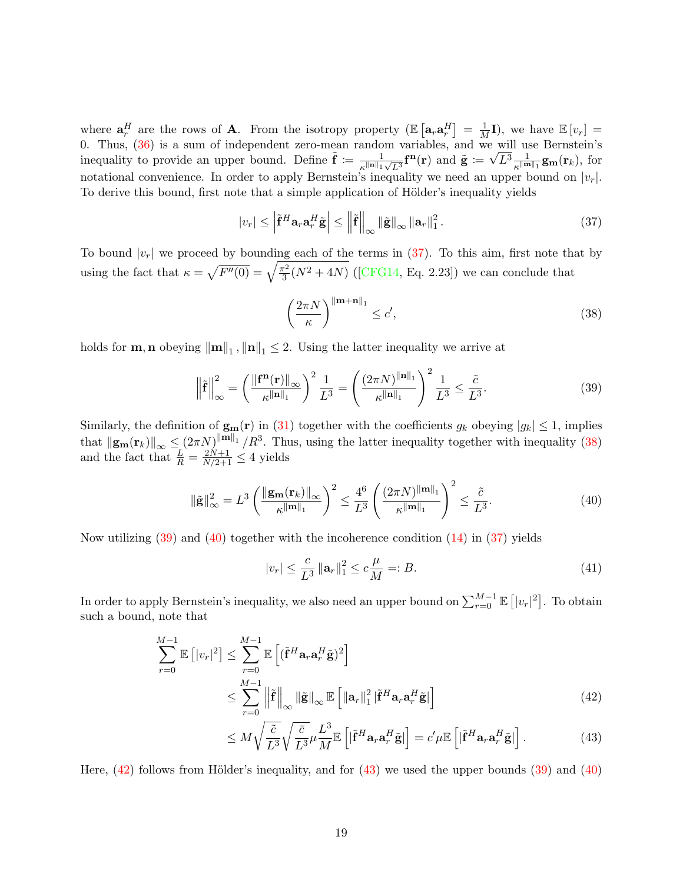where  $\mathbf{a}_r^H$  are the rows of **A**. From the isotropy property  $(\mathbb{E}\left[\mathbf{a}_r\mathbf{a}_r^H\right]=\frac{1}{M}\mathbf{I})$ , we have  $\mathbb{E}\left[v_r\right]=$ 0. Thus,  $(36)$  is a sum of independent zero-mean random variables, and we will use Bernstein's inequality to provide an upper bound. Define  $\tilde{\mathbf{f}} := \frac{1}{\|\mathbf{f}\|_{\mathbf{f}}}$  $\frac{1}{\kappa^{\|\mathbf{n}\|_1}\sqrt{L^3}} \mathbf{f}^{\mathbf{n}}(\mathbf{r}) \text{ and } \tilde{\mathbf{g}}\coloneqq\sqrt{L^3} \frac{1}{\kappa^{\|\mathbf{m}\|_1}}\mathbf{g}_{\mathbf{m}}(\mathbf{r}_k) \text{, for}$ notational convenience. In order to apply Bernstein's inequality we need an upper bound on  $|v_r|$ . To derive this bound, first note that a simple application of Hölder's inequality yields

$$
|v_r| \leq \left| \tilde{\mathbf{f}}^H \mathbf{a}_r \mathbf{a}_r^H \tilde{\mathbf{g}} \right| \leq \left\| \tilde{\mathbf{f}} \right\|_{\infty} \left\| \tilde{\mathbf{g}} \right\|_{\infty} \left\| \mathbf{a}_r \right\|_1^2. \tag{37}
$$

To bound  $|v_r|$  we proceed by bounding each of the terms in [\(37\)](#page-18-0). To this aim, first note that by using the fact that  $\kappa = \sqrt{F''(0)} = \sqrt{\frac{\pi^2}{3}}$  $\frac{\pi^2}{3}(N^2+4N)$  ([\[CFG14,](#page-26-1) Eq. 2.23]) we can conclude that

<span id="page-18-2"></span><span id="page-18-1"></span><span id="page-18-0"></span>
$$
\left(\frac{2\pi N}{\kappa}\right)^{\|\mathbf{m}+\mathbf{n}\|_1} \le c',\tag{38}
$$

holds for **m**, **n** obeying  $\|\mathbf{m}\|_1$ ,  $\|\mathbf{n}\|_1 \leq 2$ . Using the latter inequality we arrive at

$$
\left\|\tilde{\mathbf{f}}\right\|_{\infty}^{2} = \left(\frac{\left\|\mathbf{f}^{\mathbf{n}}(\mathbf{r})\right\|_{\infty}}{\kappa^{\|\mathbf{n}\|_{1}}}\right)^{2} \frac{1}{L^{3}} = \left(\frac{(2\pi N)^{\|\mathbf{n}\|_{1}}}{\kappa^{\|\mathbf{n}\|_{1}}}\right)^{2} \frac{1}{L^{3}} \le \frac{\tilde{c}}{L^{3}}.
$$
\n(39)

Similarly, the definition of  $\mathbf{g}_{\mathbf{m}}(\mathbf{r})$  in [\(31\)](#page-16-1) together with the coefficients  $g_k$  obeying  $|g_k| \leq 1$ , implies that  $\|\mathbf{g}_{\mathbf{m}}(\mathbf{r}_k)\|_{\infty} \leq (2\pi N)^{\|\mathbf{m}\|_1} / R^3$ . Thus, using the latter inequality together with inequality [\(38\)](#page-18-1) and the fact that  $\frac{L}{R} = \frac{2N+1}{N/2+1} \leq 4$  yields

$$
\|\tilde{\mathbf{g}}\|_{\infty}^2 = L^3 \left(\frac{\|\mathbf{g}_{\mathbf{m}}(\mathbf{r}_k)\|_{\infty}}{\kappa \|\mathbf{m}\|_1}\right)^2 \le \frac{4^6}{L^3} \left(\frac{(2\pi N)^{\|\mathbf{m}\|_1}}{\kappa \|\mathbf{m}\|_1}\right)^2 \le \frac{\tilde{c}}{L^3}.
$$
\n(40)

Now utilizing  $(39)$  and  $(40)$  together with the incoherence condition  $(14)$  in  $(37)$  yields

<span id="page-18-4"></span><span id="page-18-3"></span>
$$
|v_r| \le \frac{c}{L^3} \left\| \mathbf{a}_r \right\|_1^2 \le c \frac{\mu}{M} =: B. \tag{41}
$$

In order to apply Bernstein's inequality, we also need an upper bound on  $\sum_{r=0}^{M-1} \mathbb{E}\left[|v_r|^2\right]$ . To obtain such a bound, note that

$$
\sum_{r=0}^{M-1} \mathbb{E} \left[ |v_r|^2 \right] \leq \sum_{r=0}^{M-1} \mathbb{E} \left[ (\tilde{\mathbf{f}}^H \mathbf{a}_r \mathbf{a}_r^H \tilde{\mathbf{g}})^2 \right]
$$
  

$$
\leq \sum_{r=0}^{M-1} \left\| \tilde{\mathbf{f}} \right\|_{\infty} \left\| \tilde{\mathbf{g}} \right\|_{\infty} \mathbb{E} \left[ \left\| \mathbf{a}_r \right\|_1^2 \left| \tilde{\mathbf{f}}^H \mathbf{a}_r \mathbf{a}_r^H \tilde{\mathbf{g}} \right| \right]
$$
(42)

<span id="page-18-5"></span>
$$
\leq M \sqrt{\frac{\tilde{c}}{L^3}} \sqrt{\frac{\bar{c}}{L^3}} \mu \frac{L^3}{M} \mathbb{E}\left[|\tilde{\mathbf{f}}^H \mathbf{a}_r \mathbf{a}_r^H \tilde{\mathbf{g}}|\right] = c' \mu \mathbb{E}\left[|\tilde{\mathbf{f}}^H \mathbf{a}_r \mathbf{a}_r^H \tilde{\mathbf{g}}|\right].\tag{43}
$$

Here,  $(42)$  follows from Hölder's inequality, and for  $(43)$  we used the upper bounds  $(39)$  and  $(40)$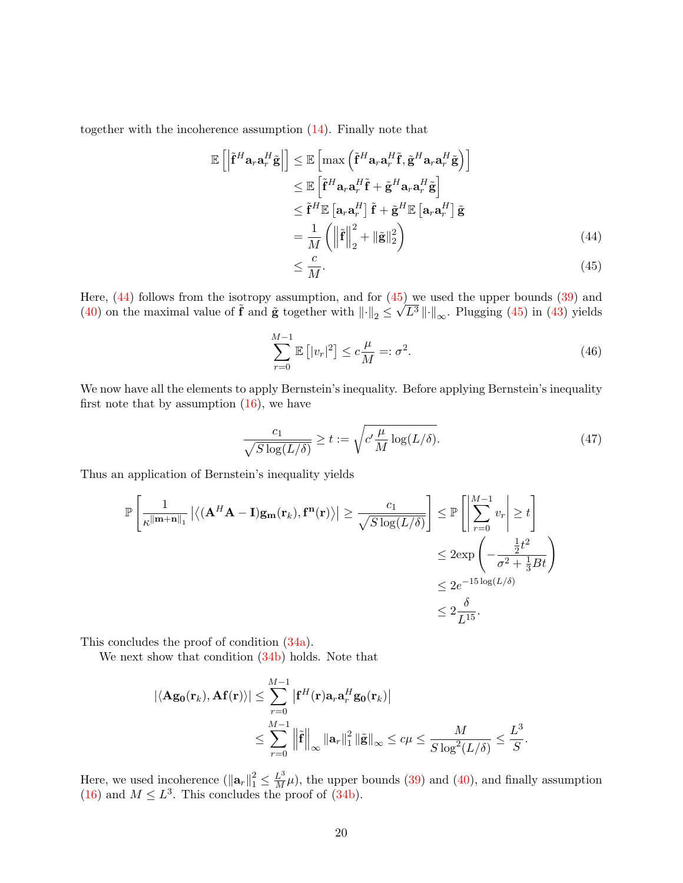together with the incoherence assumption [\(14\)](#page-9-1). Finally note that

$$
\mathbb{E}\left[\left|\tilde{\mathbf{f}}^{H}\mathbf{a}_{r}\mathbf{a}_{r}^{H}\tilde{\mathbf{g}}\right|\right] \leq \mathbb{E}\left[\max\left(\tilde{\mathbf{f}}^{H}\mathbf{a}_{r}\mathbf{a}_{r}^{H}\tilde{\mathbf{f}}, \tilde{\mathbf{g}}^{H}\mathbf{a}_{r}\mathbf{a}_{r}^{H}\tilde{\mathbf{g}}\right)\right]
$$
\n
$$
\leq \mathbb{E}\left[\tilde{\mathbf{f}}^{H}\mathbf{a}_{r}\mathbf{a}_{r}^{H}\tilde{\mathbf{f}} + \tilde{\mathbf{g}}^{H}\mathbf{a}_{r}\mathbf{a}_{r}^{H}\tilde{\mathbf{g}}\right]
$$
\n
$$
\leq \tilde{\mathbf{f}}^{H}\mathbb{E}\left[\mathbf{a}_{r}\mathbf{a}_{r}^{H}\right]\tilde{\mathbf{f}} + \tilde{\mathbf{g}}^{H}\mathbb{E}\left[\mathbf{a}_{r}\mathbf{a}_{r}^{H}\right]\tilde{\mathbf{g}}
$$
\n
$$
= \frac{1}{M}\left(\left\|\tilde{\mathbf{f}}\right\|_{2}^{2} + \left\|\tilde{\mathbf{g}}\right\|_{2}^{2}\right)
$$
\n
$$
< \frac{c}{2}
$$
\n(44)

<span id="page-19-1"></span><span id="page-19-0"></span>
$$
\leq \frac{c}{M}.\tag{45}
$$

Here,  $(44)$  follows from the isotropy assumption, and for  $(45)$  we used the upper bounds  $(39)$  and [\(40\)](#page-18-3) on the maximal value of  $\tilde{f}$  and  $\tilde{g}$  together with  $\left\|\cdot\right\|_2 \leq \sqrt{L^3} \left\|\cdot\right\|_{\infty}$ . Plugging [\(45\)](#page-19-1) in [\(43\)](#page-18-5) yields

$$
\sum_{r=0}^{M-1} \mathbb{E} \left[ |v_r|^2 \right] \le c \frac{\mu}{M} =: \sigma^2.
$$
 (46)

We now have all the elements to apply Bernstein's inequality. Before applying Bernstein's inequality first note that by assumption  $(16)$ , we have

$$
\frac{c_1}{\sqrt{S\log(L/\delta)}} \ge t := \sqrt{c'\frac{\mu}{M}\log(L/\delta)}.
$$
\n(47)

.

Thus an application of Bernstein's inequality yields

$$
\mathbb{P}\left[\frac{1}{\kappa^{\|\mathbf{m}+\mathbf{n}\|_{1}}}\left|\left\langle (\mathbf{A}^{H}\mathbf{A}-\mathbf{I})\mathbf{g}_{\mathbf{m}}(\mathbf{r}_{k}),\mathbf{f}^{\mathbf{n}}(\mathbf{r})\right\rangle\right|\geq\frac{c_{1}}{\sqrt{S\log(L/\delta)}}\right]\leq\mathbb{P}\left[\left|\sum_{r=0}^{M-1}v_{r}\right|\geq t\right]
$$

$$
\leq2\exp\left(-\frac{\frac{1}{2}t^{2}}{\sigma^{2}+\frac{1}{3}Bt}\right)
$$

$$
\leq2e^{-15\log(L/\delta)}
$$

$$
\leq2\frac{\delta}{L^{15}}.
$$

This concludes the proof of condition [\(34a\)](#page-17-1).

We next show that condition [\(34b\)](#page-17-2) holds. Note that

$$
|\langle \mathbf{A}\mathbf{g}_{0}(\mathbf{r}_{k}), \mathbf{A}\mathbf{f}(\mathbf{r})\rangle| \leq \sum_{r=0}^{M-1} \left| \mathbf{f}^{H}(\mathbf{r}) \mathbf{a}_{r} \mathbf{a}_{r}^{H} \mathbf{g}_{0}(\mathbf{r}_{k}) \right|
$$
  

$$
\leq \sum_{r=0}^{M-1} \left\| \tilde{\mathbf{f}} \right\|_{\infty} \left\| \mathbf{a}_{r} \right\|_{1}^{2} \left\| \tilde{\mathbf{g}} \right\|_{\infty} \leq c\mu \leq \frac{M}{S \log^{2}(L/\delta)} \leq \frac{L^{3}}{S}
$$

Here, we used incoherence  $(\|\mathbf{a}_r\|_1^2 \leq \frac{L^3}{M}\mu)$ , the upper bounds [\(39\)](#page-18-2) and [\(40\)](#page-18-3), and finally assumption  $(16)$  and  $M \leq L^3$ . This concludes the proof of  $(34b)$ .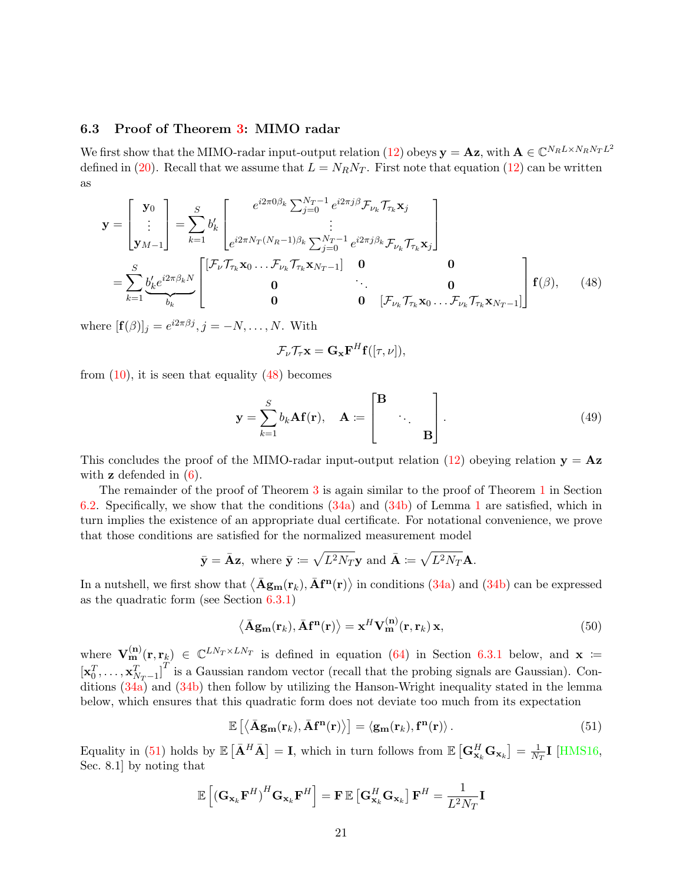#### <span id="page-20-0"></span>6.3 Proof of Theorem [3:](#page-11-1) MIMO radar

We first show that the MIMO-radar input-output relation [\(12\)](#page-7-0) obeys  $\mathbf{y} = \mathbf{A}\mathbf{z}$ , with  $\mathbf{A} \in \mathbb{C}^{N_R L \times N_R N_T L^2}$ defined in [\(20\)](#page-11-0). Recall that we assume that  $L = N_R N_T$ . First note that equation [\(12\)](#page-7-0) can be written as

$$
\mathbf{y} = \begin{bmatrix} \mathbf{y}_0 \\ \vdots \\ \mathbf{y}_{M-1} \end{bmatrix} = \sum_{k=1}^S b'_k \begin{bmatrix} e^{i2\pi 0\beta_k \sum_{j=0}^{N_T-1} e^{i2\pi j\beta} \mathcal{F}_{\nu_k} \mathcal{T}_{\tau_k} \mathbf{x}_j \\ \vdots \\ e^{i2\pi N_T (N_R-1)\beta_k \sum_{j=0}^{N_T-1} e^{i2\pi j\beta_k} \mathcal{F}_{\nu_k} \mathcal{T}_{\tau_k} \mathbf{x}_j \end{bmatrix}
$$
  
\n
$$
= \sum_{k=1}^S \underbrace{b'_k e^{i2\pi \beta_k N}}_{b_k} \begin{bmatrix} \begin{bmatrix} \mathcal{F}_{\nu} \mathcal{T}_{\tau_k} \mathbf{x}_0 \dots \mathcal{F}_{\nu_k} \mathcal{T}_{\tau_k} \mathbf{x}_{N_T-1} \end{bmatrix} \begin{bmatrix} \mathbf{0} & \mathbf{0} \\ \mathbf{0} & \ddots \\ \mathbf{0} & \mathbf{0} \end{bmatrix} \mathbf{f}(\beta), \qquad (48)
$$

where  $[\mathbf{f}(\beta)]_j = e^{i2\pi\beta j}, j = -N, \dots, N$ . With

<span id="page-20-1"></span>
$$
\mathcal{F}_{\nu}\mathcal{T}_{\tau}\mathbf{x} = \mathbf{G}_{\mathbf{x}}\mathbf{F}^{H}\mathbf{f}([\tau,\nu]),
$$

from  $(10)$ , it is seen that equality  $(48)$  becomes

$$
\mathbf{y} = \sum_{k=1}^{S} b_k \mathbf{A} \mathbf{f}(\mathbf{r}), \quad \mathbf{A} := \begin{bmatrix} \mathbf{B} \\ & \ddots \\ & & \mathbf{B} \end{bmatrix} . \tag{49}
$$

This concludes the proof of the MIMO-radar input-output relation [\(12\)](#page-7-0) obeying relation  $y = Az$ with  $z$  defended in  $(6)$ .

The remainder of the proof of Theorem [3](#page-11-1) is again similar to the proof of Theorem [1](#page-9-0) in Section [6.2.](#page-17-4) Specifically, we show that the conditions [\(34a\)](#page-17-1) and [\(34b\)](#page-17-2) of Lemma [1](#page-17-0) are satisfied, which in turn implies the existence of an appropriate dual certificate. For notational convenience, we prove that those conditions are satisfied for the normalized measurement model

$$
\bar{\mathbf{y}} = \bar{\mathbf{A}} \mathbf{z}
$$
, where  $\bar{\mathbf{y}} := \sqrt{L^2 N_T} \mathbf{y}$  and  $\bar{\mathbf{A}} := \sqrt{L^2 N_T} \mathbf{A}$ .

In a nutshell, we first show that  $\langle \bar{A}g_m(r_k), \bar{A}f^n(r) \rangle$  in conditions  $(34a)$  and  $(34b)$  can be expressed as the quadratic form (see Section [6.3.1\)](#page-22-0)

<span id="page-20-3"></span>
$$
\langle \bar{\mathbf{A}}\mathbf{g}_{\mathbf{m}}(\mathbf{r}_k), \bar{\mathbf{A}}\mathbf{f}^{\mathbf{n}}(\mathbf{r}) \rangle = \mathbf{x}^H \mathbf{V}_{\mathbf{m}}^{(\mathbf{n})}(\mathbf{r}, \mathbf{r}_k) \mathbf{x},\tag{50}
$$

where  $V_{m}^{(n)}(r, r_k) \in \mathbb{C}^{LN_T \times LN_T}$  is defined in equation [\(64\)](#page-23-0) in Section [6.3.1](#page-22-0) below, and  $x :=$  $\begin{bmatrix} \mathbf{x}_0^T, \ldots, \mathbf{x}_{N_T-1}^T \end{bmatrix}^T$  is a Gaussian random vector (recall that the probing signals are Gaussian). Conditions [\(34a\)](#page-17-1) and [\(34b\)](#page-17-2) then follow by utilizing the Hanson-Wright inequality stated in the lemma below, which ensures that this quadratic form does not deviate too much from its expectation

<span id="page-20-2"></span>
$$
\mathbb{E}\left[\left\langle \bar{\mathbf{A}}\mathbf{g}_{\mathbf{m}}(\mathbf{r}_k), \bar{\mathbf{A}}\mathbf{f}^{\mathbf{n}}(\mathbf{r}) \right\rangle\right] = \left\langle \mathbf{g}_{\mathbf{m}}(\mathbf{r}_k), \mathbf{f}^{\mathbf{n}}(\mathbf{r}) \right\rangle. \tag{51}
$$

Equality in [\(51\)](#page-20-2) holds by  $\mathbb{E}\left[\bar{\mathbf{A}}^H\bar{\mathbf{A}}\right] = \mathbf{I}$ , which in turn follows from  $\mathbb{E}\left[\mathbf{G}_{\mathbf{x}_k}^H\mathbf{G}_{\mathbf{x}_k}\right] = \frac{1}{N}$  $\frac{1}{N_T}$ I [\[HMS16,](#page-27-1) Sec. 8.1] by noting that

$$
\mathbb{E}\left[\left(\mathbf{G}_{\mathbf{x}_{k}}\mathbf{F}^{H}\right)^{H}\mathbf{G}_{\mathbf{x}_{k}}\mathbf{F}^{H}\right]=\mathbf{F}\,\mathbb{E}\left[\mathbf{G}_{\mathbf{x}_{k}}^{H}\mathbf{G}_{\mathbf{x}_{k}}\right]\mathbf{F}^{H}=\frac{1}{L^{2}N_{T}}\mathbf{I}
$$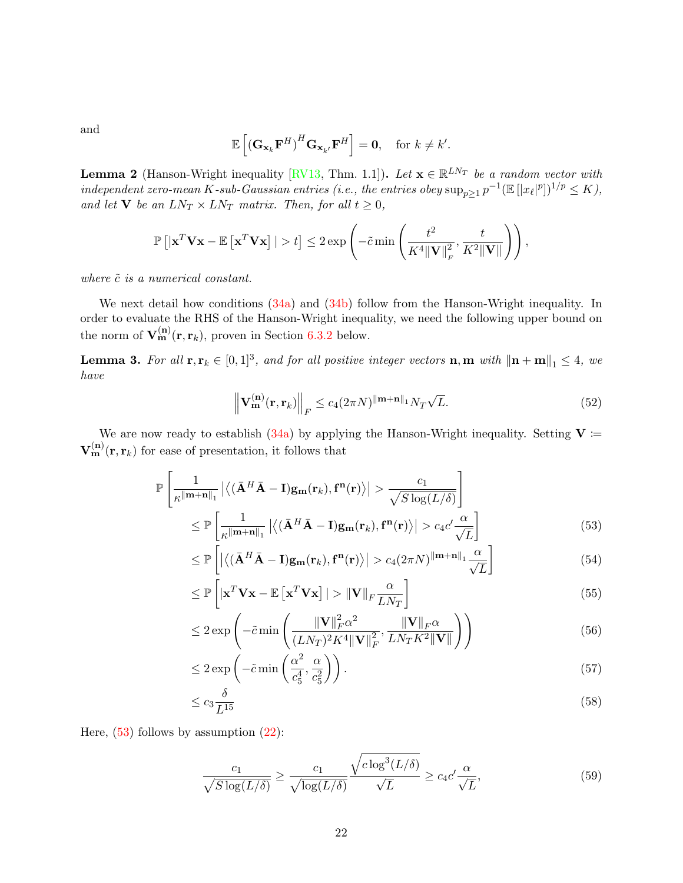and

$$
\mathbb{E}\left[\left(\mathbf{G}_{\mathbf{x}_{k}}\mathbf{F}^{H}\right)^{H}\mathbf{G}_{\mathbf{x}_{k'}}\mathbf{F}^{H}\right]=\mathbf{0},\quad\text{for }k\neq k'.
$$

<span id="page-21-5"></span>**Lemma 2** (Hanson-Wright inequality [\[RV13,](#page-28-12) Thm. 1.1]). Let  $\mathbf{x} \in \mathbb{R}^{LN_T}$  be a random vector with independent zero-mean K-sub-Gaussian entries (i.e., the entries obey  $\sup_{p\geq 1} p^{-1}(\mathbb{E}[|x_{\ell}|^p])^{1/p} \leq K$ ), and let **V** be an  $LN_T \times LN_T$  matrix. Then, for all  $t \geq 0$ ,

$$
\mathbb{P}\left[\left|\mathbf{x}^T\mathbf{V}\mathbf{x}-\mathbb{E}\left[\mathbf{x}^T\mathbf{V}\mathbf{x}\right]\right|>t\right]\leq 2\exp\left(-\tilde{c}\min\left(\frac{t^2}{K^4\|\mathbf{V}\|_F^2},\frac{t}{K^2\|\mathbf{V}\|}\right)\right),
$$

where  $\tilde{c}$  is a numerical constant.

We next detail how conditions  $(34a)$  and  $(34b)$  follow from the Hanson-Wright inequality. In order to evaluate the RHS of the Hanson-Wright inequality, we need the following upper bound on the norm of  $\mathbf{V}_{\mathbf{m}}^{(\mathbf{n})}(\mathbf{r},\mathbf{r}_k)$ , proven in Section [6.3.2](#page-23-1) below.

<span id="page-21-8"></span>**Lemma 3.** For all  $\mathbf{r}, \mathbf{r}_k \in [0, 1]^3$ , and for all positive integer vectors  $\mathbf{n}, \mathbf{m}$  with  $\|\mathbf{n} + \mathbf{m}\|_1 \leq 4$ , we have

<span id="page-21-3"></span><span id="page-21-1"></span><span id="page-21-0"></span>
$$
\left\| \mathbf{V}_{\mathbf{m}}^{(\mathbf{n})}(\mathbf{r}, \mathbf{r}_k) \right\|_F \le c_4 (2\pi N)^{\|\mathbf{m} + \mathbf{n}\|_1} N_T \sqrt{L}.
$$
\n(52)

We are now ready to establish [\(34a\)](#page-17-1) by applying the Hanson-Wright inequality. Setting  $V =$  $\mathbf{V}_{\mathbf{m}}^{(\mathbf{n})}(\mathbf{r},\mathbf{r}_k)$  for ease of presentation, it follows that

$$
\mathbb{P}\left[\frac{1}{\kappa^{\|\mathbf{m}+\mathbf{n}\|_{1}}}\left|\left\langle\left(\bar{\mathbf{A}}^{H}\bar{\mathbf{A}}-\mathbf{I}\right)\mathbf{g}_{\mathbf{m}}(\mathbf{r}_{k}),\mathbf{f}^{\mathbf{n}}(\mathbf{r})\right\rangle\right| > \frac{c_{1}}{\sqrt{S\log(L/\delta)}}\right]
$$
\n
$$
\leq \mathbb{P}\left[\frac{1}{\kappa^{\|\mathbf{m}+\mathbf{n}\|_{1}}}\left|\left\langle\left(\bar{\mathbf{A}}^{H}\bar{\mathbf{A}}-\mathbf{I}\right)\mathbf{g}_{\mathbf{m}}(\mathbf{r}_{k}),\mathbf{f}^{\mathbf{n}}(\mathbf{r})\right\rangle\right| > c_{4}c'\frac{\alpha}{\sqrt{L}}\right]
$$
\n(53)

$$
\leq \mathbb{P}\left[\left|\left\langle\left(\bar{\mathbf{A}}^H\bar{\mathbf{A}} - \mathbf{I}\right)\mathbf{g}_{\mathbf{m}}(\mathbf{r}_k), \mathbf{f}^{\mathbf{n}}(\mathbf{r})\right\rangle\right| > c_4 (2\pi N)^{\|\mathbf{m} + \mathbf{n}\|_1} \frac{\alpha}{\sqrt{L}}\right]
$$
(54)

<span id="page-21-2"></span>
$$
\leq \mathbb{P}\left[\left|\mathbf{x}^T \mathbf{V} \mathbf{x} - \mathbb{E}\left[\mathbf{x}^T \mathbf{V} \mathbf{x}\right]\right| > \|\mathbf{V}\|_F \frac{\alpha}{LN_T}\right] \tag{55}
$$

<span id="page-21-4"></span>
$$
\leq 2 \exp\left(-\tilde{c} \min\left(\frac{\|\mathbf{V}\|_{F}^{2} \alpha^{2}}{(LN_{T})^{2} K^{4} \|\mathbf{V}\|_{F}^{2}}, \frac{\|\mathbf{V}\|_{F} \alpha}{LN_{T} K^{2} \|\mathbf{V}\|}\right)\right) \tag{56}
$$

$$
\leq 2 \exp\left(-\tilde{c} \min\left(\frac{\alpha^2}{c_5^4}, \frac{\alpha}{c_5^2}\right)\right). \tag{57}
$$

$$
\leq c_3 \frac{\delta}{L^{15}}\tag{58}
$$

Here,  $(53)$  follows by assumption  $(22)$ :

<span id="page-21-7"></span><span id="page-21-6"></span>
$$
\frac{c_1}{\sqrt{S\log(L/\delta)}} \ge \frac{c_1}{\sqrt{\log(L/\delta)}} \frac{\sqrt{c\log^3(L/\delta)}}{\sqrt{L}} \ge c_4 c' \frac{\alpha}{\sqrt{L}},\tag{59}
$$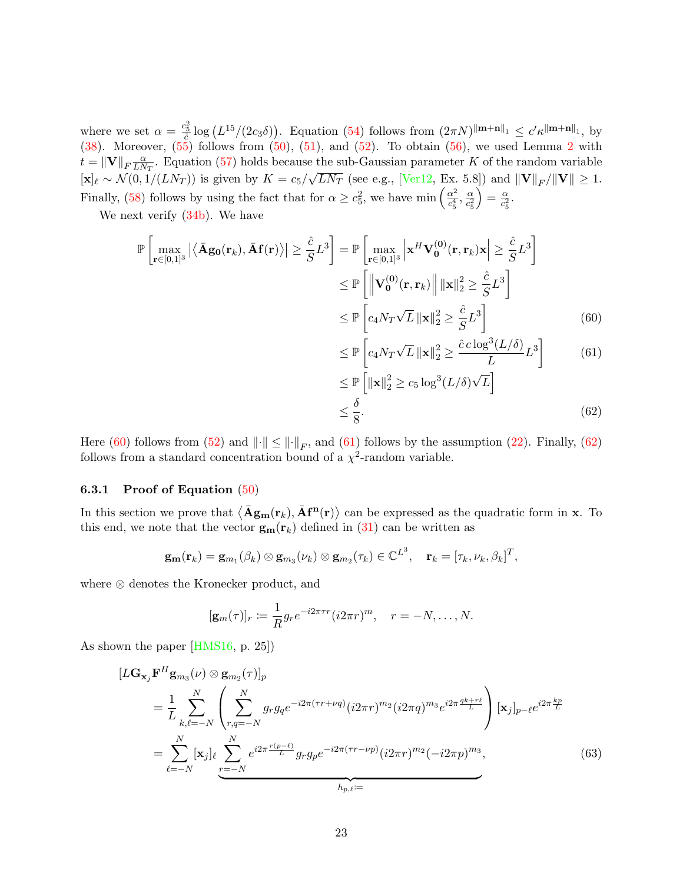where we set  $\alpha = \frac{c_5^2}{\tilde{c}} \log \left( L^{15}/(2c_3\delta) \right)$ . Equation [\(54\)](#page-21-1) follows from  $(2\pi N)^{\|\mathbf{m}+\mathbf{n}\|_1} \leq c' \kappa^{\|\mathbf{m}+\mathbf{n}\|_1}$ , by  $(38)$ . Moreover,  $(55)$  follows from  $(50)$ ,  $(51)$ , and  $(52)$ . To obtain  $(56)$ , we used Lemma [2](#page-21-5) with  $t = \|\mathbf{V}\|_F \frac{\alpha}{LN}$  $\frac{\alpha}{LN}$ . Equation [\(57\)](#page-21-6) holds because the sub-Gaussian parameter K of the random variable  $[\mathbf{x}]_\ell \sim \mathcal{N}(0, 1/(LN_T))$  is given by  $K = c_5/\sqrt{LN_T}$  (see e.g., [\[Ver12,](#page-28-13) Ex. 5.8]) and  $||\mathbf{V}||_F/||\mathbf{V}|| \ge 1$ . Finally, [\(58\)](#page-21-7) follows by using the fact that for  $\alpha \geq c_5^2$ , we have min  $\left(\frac{\alpha^2}{c_*^4}\right)$  $\frac{\alpha^2}{c_5^4}, \frac{\alpha}{c_5^2}$  $\overline{c_5^2}$  $=\frac{\alpha}{a^2}$  $\frac{\alpha}{c_5^2}$ .

We next verify [\(34b\)](#page-17-2). We have

$$
\mathbb{P}\left[\max_{\mathbf{r}\in[0,1]^3} |\langle \bar{\mathbf{A}}\mathbf{g_0}(\mathbf{r}_k), \bar{\mathbf{A}}\mathbf{f}(\mathbf{r}) \rangle| \ge \frac{\hat{c}}{S} L^3\right] = \mathbb{P}\left[\max_{\mathbf{r}\in[0,1]^3} \left|\mathbf{x}^H \mathbf{V}_0^{(0)}(\mathbf{r}, \mathbf{r}_k)\mathbf{x}\right| \ge \frac{\hat{c}}{S} L^3\right]
$$
  
\n
$$
\le \mathbb{P}\left[\left\|\mathbf{V}_0^{(0)}(\mathbf{r}, \mathbf{r}_k)\right\| \|\mathbf{x}\|_2^2 \ge \frac{\hat{c}}{S} L^3\right]
$$
  
\n
$$
\le \mathbb{P}\left[c_4 N_T \sqrt{L} \|\mathbf{x}\|_2^2 \ge \frac{\hat{c}}{S} L^3\right]
$$
(60)

<span id="page-22-2"></span><span id="page-22-1"></span>
$$
\leq \mathbb{P}\left[c_4 N_T \sqrt{L} \left\|\mathbf{x}\right\|_2^2 \geq \frac{\hat{c} \, c \log^3(L/\delta)}{L} L^3\right] \tag{61}
$$

<span id="page-22-3"></span>
$$
\leq \mathbb{P}\left[\|\mathbf{x}\|_{2}^{2} \geq c_{5} \log^{3}(L/\delta)\sqrt{L}\right]
$$
  

$$
\leq \frac{\delta}{8}.
$$
 (62)

Here [\(60\)](#page-22-1) follows from [\(52\)](#page-21-3) and  $\|\cdot\| \le \|\cdot\|_F$ , and [\(61\)](#page-22-2) follows by the assumption [\(22\)](#page-11-2). Finally, [\(62\)](#page-22-3) follows from a standard concentration bound of a  $\chi^2$ -random variable.

#### <span id="page-22-0"></span>6.3.1 Proof of Equation [\(50\)](#page-20-3)

In this section we prove that  $\langle \bar{A}g_m(r_k), \bar{A}f^n(r) \rangle$  can be expressed as the quadratic form in **x**. To this end, we note that the vector  $\mathbf{g}_{\mathbf{m}}(\mathbf{r}_k)$  defined in [\(31\)](#page-16-1) can be written as

$$
\mathbf{g}_{\mathbf{m}}(\mathbf{r}_k) = \mathbf{g}_{m_1}(\beta_k) \otimes \mathbf{g}_{m_3}(\nu_k) \otimes \mathbf{g}_{m_2}(\tau_k) \in \mathbb{C}^{L^3}, \quad \mathbf{r}_k = [\tau_k, \nu_k, \beta_k]^T,
$$

where ⊗ denotes the Kronecker product, and

<span id="page-22-4"></span>
$$
[\mathbf{g}_m(\tau)]_r \coloneqq \frac{1}{R} g_r e^{-i2\pi\tau r} (i2\pi r)^m, \quad r = -N, \dots, N.
$$

As shown the paper [\[HMS16,](#page-27-1) p. 25])

$$
[L\mathbf{G}_{\mathbf{x}_{j}}\mathbf{F}^{H}\mathbf{g}_{m_{3}}(\nu)\otimes \mathbf{g}_{m_{2}}(\tau)]_{p}
$$
\n
$$
= \frac{1}{L} \sum_{k,\ell=-N}^{N} \left( \sum_{r,q=-N}^{N} g_{r}g_{q}e^{-i2\pi(\tau r + \nu q)}(i2\pi r)^{m_{2}}(i2\pi q)^{m_{3}}e^{i2\pi\frac{qk+r\ell}{L}} \right) [\mathbf{x}_{j}]_{p-\ell}e^{i2\pi\frac{kp}{L}}
$$
\n
$$
= \sum_{\ell=-N}^{N} [\mathbf{x}_{j}]_{\ell} \sum_{r=-N}^{N} e^{i2\pi\frac{r(p-\ell)}{L}} g_{r}g_{p}e^{-i2\pi(\tau r - \nu p)}(i2\pi r)^{m_{2}}(-i2\pi p)^{m_{3}}, \qquad (63)
$$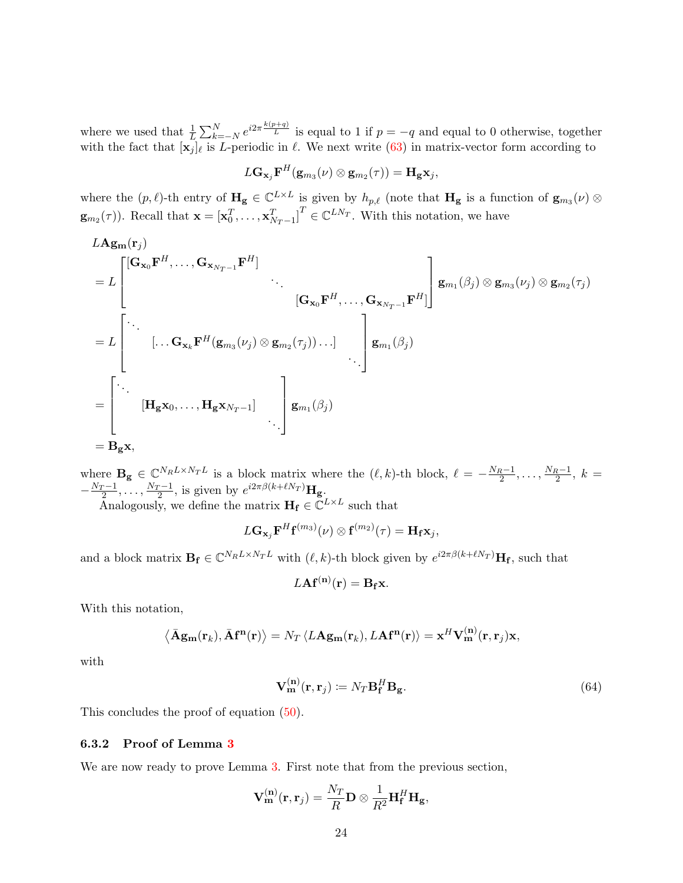where we used that  $\frac{1}{L} \sum_{k=-N}^{N} e^{i2\pi \frac{k(p+q)}{L}}$  is equal to 1 if  $p = -q$  and equal to 0 otherwise, together with the fact that  $[\mathbf{x}_j]_\ell$  is L-periodic in  $\ell$ . We next write [\(63\)](#page-22-4) in matrix-vector form according to

$$
L\mathbf{G}_{\mathbf{x}_j}\mathbf{F}^H(\mathbf{g}_{m_3}(\nu)\otimes\mathbf{g}_{m_2}(\tau))=\mathbf{H}_\mathbf{g}\mathbf{x}_j,
$$

where the  $(p, \ell)$ -th entry of  $\mathbf{H_g} \in \mathbb{C}^{L \times L}$  is given by  $h_{p,\ell}$  (note that  $\mathbf{H_g}$  is a function of  $\mathbf{g}_{m_3}(\nu)$ )  $\mathbf{g}_{m_2}(\tau)$ ). Recall that  $\mathbf{x} = [\mathbf{x}_0^T, \dots, \mathbf{x}_{N_T-1}^T]^T \in \mathbb{C}^{LN_T}$ . With this notation, we have

LAgm(r<sup>j</sup> ) = L [Gx0F <sup>H</sup>, . . . , <sup>G</sup>xNT <sup>−</sup>1<sup>F</sup> H] . . . [Gx0F <sup>H</sup>, . . . , <sup>G</sup>xNT <sup>−</sup>1<sup>F</sup> H] <sup>g</sup>m<sup>1</sup> (β<sup>j</sup> ) ⊗ gm<sup>3</sup> (ν<sup>j</sup> ) ⊗ gm<sup>2</sup> (τ<sup>j</sup> ) = L . . . [. . . GxkF <sup>H</sup>(gm<sup>3</sup> (ν<sup>j</sup> ) ⊗ gm<sup>2</sup> (τ<sup>j</sup> )). . .] . . . gm<sup>1</sup> (β<sup>j</sup> ) = . . . [Hgx0, . . . , HgxN<sup>T</sup> <sup>−</sup>1] . . . gm<sup>1</sup> (β<sup>j</sup> ) = Bgx,

where  $\mathbf{B_g} \in \mathbb{C}^{N_R L \times N_T L}$  is a block matrix where the  $(\ell, k)$ -th block,  $\ell = -\frac{N_R-1}{2}, \ldots, \frac{N_R-1}{2}, k =$  $-\frac{N_T-1}{2}, \ldots, \frac{N_T-1}{2}$ , is given by  $e^{i2\pi\beta(k+\ell N_T)}\mathbf{H_g}$ .

Analogously, we define the matrix  $\mathbf{H}_{\mathbf{f}} \in \mathbb{C}^{L \times L}$  such that

$$
L\mathbf{G}_{\mathbf{x}_j}\mathbf{F}^H\mathbf{f}^{(m_3)}(\nu)\otimes \mathbf{f}^{(m_2)}(\tau)=\mathbf{H}_\mathbf{f}\mathbf{x}_j,
$$

and a block matrix  $\mathbf{B}_{\mathbf{f}} \in \mathbb{C}^{N_R L \times N_T L}$  with  $(\ell, k)$ -th block given by  $e^{i2\pi\beta(k+\ell N_T)}\mathbf{H}_{\mathbf{f}}$ , such that

<span id="page-23-0"></span>
$$
L\mathbf{A} \mathbf{f}^{(\mathbf{n})}(\mathbf{r}) = \mathbf{B}_{\mathbf{f}} \mathbf{x}.
$$

With this notation,

$$
\langle \bar{\mathbf{A}}\mathbf{g}_{\mathbf{m}}(\mathbf{r}_k), \bar{\mathbf{A}}\mathbf{f}^{\mathbf{n}}(\mathbf{r}) \rangle = N_T \langle L\mathbf{A}\mathbf{g}_{\mathbf{m}}(\mathbf{r}_k), L\mathbf{A}\mathbf{f}^{\mathbf{n}}(\mathbf{r}) \rangle = \mathbf{x}^H \mathbf{V}_{\mathbf{m}}^{(\mathbf{n})}(\mathbf{r}, \mathbf{r}_j) \mathbf{x},
$$

with

$$
\mathbf{V}_{\mathbf{m}}^{(\mathbf{n})}(\mathbf{r}, \mathbf{r}_j) \coloneqq N_T \mathbf{B}_{\mathbf{f}}^H \mathbf{B}_{\mathbf{g}}.\tag{64}
$$

This concludes the proof of equation [\(50\)](#page-20-3).

#### <span id="page-23-1"></span>6.3.2 Proof of Lemma [3](#page-21-8)

We are now ready to prove Lemma [3.](#page-21-8) First note that from the previous section,

$$
\mathbf{V}_{\mathbf{m}}^{(\mathbf{n})}(\mathbf{r},\mathbf{r}_j) = \frac{N_T}{R} \mathbf{D} \otimes \frac{1}{R^2} \mathbf{H}_{\mathbf{f}}^H \mathbf{H}_{\mathbf{g}},
$$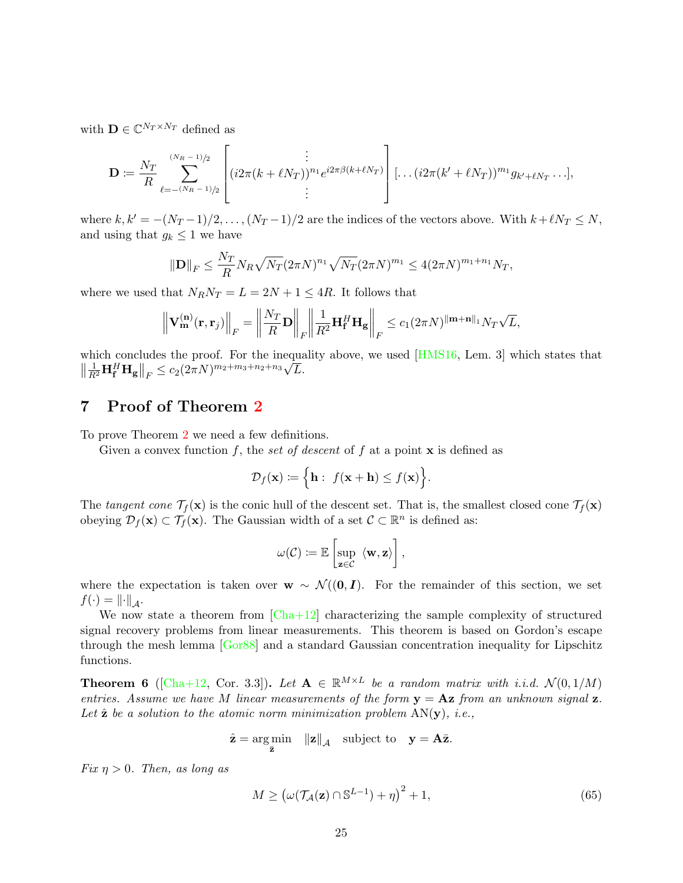with  $\mathbf{D} \in \mathbb{C}^{N_T \times N_T}$  defined as

$$
\mathbf{D} \coloneqq \frac{N_T}{R} \sum_{\ell=-\frac{(N_R-1)}{2}}^{\frac{(N_R-1)}{2}} \left[ (i2\pi(k+\ell N_T))^{n_1} e^{i2\pi\beta(k+\ell N_T)} \right] [\dots (i2\pi(k'+\ell N_T))^{m_1} g_{k'+\ell N_T} \dots],
$$

where  $k, k' = -(N_T - 1)/2, \ldots, (N_T - 1)/2$  are the indices of the vectors above. With  $k+\ell N_T \le N$ , and using that  $g_k \leq 1$  we have

$$
\|\mathbf{D}\|_F \le \frac{N_T}{R} N_R \sqrt{N_T} (2\pi N)^{n_1} \sqrt{N_T} (2\pi N)^{m_1} \le 4(2\pi N)^{m_1+n_1} N_T,
$$

where we used that  $N_R N_T = L = 2N + 1 \leq 4R$ . It follows that

$$
\left\|\mathbf{V}_{\mathbf{m}}^{(\mathbf{n})}(\mathbf{r},\mathbf{r}_j)\right\|_F = \left\|\frac{N_T}{R}\mathbf{D}\right\|_F \left\|\frac{1}{R^2}\mathbf{H}_{\mathbf{f}}^H\mathbf{H}_{\mathbf{g}}\right\|_F \leq c_1(2\pi N)^{\|\mathbf{m}+\mathbf{n}\|_1}N_T\sqrt{L},
$$

which concludes the proof. For the inequality above, we used [\[HMS16,](#page-27-1) Lem. 3] which states that  $\left\|\frac{1}{R^2}\mathbf{H}_\mathbf{f}^H\mathbf{H}_\mathbf{g}\right\|_F \leq c_2(2\pi N)^{m_2+m_3+n_2+n_3}\sqrt{L}.$ 

# <span id="page-24-0"></span>7 Proof of Theorem [2](#page-9-2)

To prove Theorem [2](#page-9-2) we need a few definitions.

Given a convex function f, the set of descent of f at a point  $x$  is defined as

$$
\mathcal{D}_f(\mathbf{x}) \coloneqq \Big\{\mathbf{h}: \ f(\mathbf{x} + \mathbf{h}) \le f(\mathbf{x})\Big\}.
$$

The tangent cone  $\mathcal{T}_f(\mathbf{x})$  is the conic hull of the descent set. That is, the smallest closed cone  $\mathcal{T}_f(\mathbf{x})$ obeying  $\mathcal{D}_f(\mathbf{x}) \subset \mathcal{T}_f(\mathbf{x})$ . The Gaussian width of a set  $\mathcal{C} \subset \mathbb{R}^n$  is defined as:

$$
\omega(\mathcal{C}) \coloneqq \mathbb{E}\left[\sup_{\mathbf{z}\in\mathcal{C}}\langle\mathbf{w},\mathbf{z}\rangle\right],
$$

where the expectation is taken over  $w \sim \mathcal{N}((0, I))$ . For the remainder of this section, we set  $f(\cdot) = \left\|\cdot\right\|_A.$ 

We now state a theorem from  $[Cha+12]$  characterizing the sample complexity of structured signal recovery problems from linear measurements. This theorem is based on Gordon's escape through the mesh lemma [\[Gor88\]](#page-27-12) and a standard Gaussian concentration inequality for Lipschitz functions.

**Theorem 6** ([\[Cha+12,](#page-27-11) Cor. 3.3]). Let  $A \in \mathbb{R}^{M \times L}$  be a random matrix with i.i.d.  $\mathcal{N}(0, 1/M)$ entries. Assume we have M linear measurements of the form  $y = Az$  from an unknown signal z. Let  $\hat{\mathbf{z}}$  be a solution to the atomic norm minimization problem  $AN(\mathbf{y})$ , i.e.,

$$
\hat{\mathbf{z}} = \underset{\bar{\mathbf{z}}}{\arg \min} \quad ||\mathbf{z}||_{\mathcal{A}} \quad \text{subject to} \quad \mathbf{y} = \mathbf{A}\bar{\mathbf{z}}.
$$

Fix  $\eta > 0$ . Then, as long as

<span id="page-24-1"></span>
$$
M \ge \left(\omega(\mathcal{T}_\mathcal{A}(\mathbf{z}) \cap \mathbb{S}^{L-1}) + \eta\right)^2 + 1,\tag{65}
$$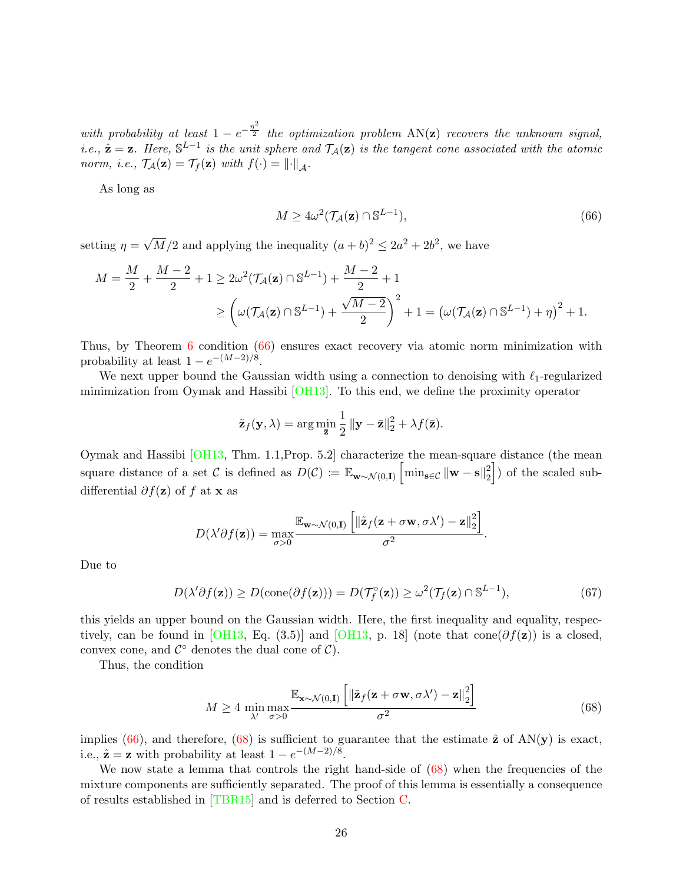with probability at least  $1-e^{-\frac{\eta^2}{2}}$  the optimization problem  $AN(z)$  recovers the unknown signal, i.e.,  $\hat{\mathbf{z}} = \mathbf{z}$ . Here,  $\mathbb{S}^{L-1}$  is the unit sphere and  $\mathcal{T}_{\mathcal{A}}(\mathbf{z})$  is the tangent cone associated with the atomic norm, i.e.,  $\mathcal{T}_{\mathcal{A}}(\mathbf{z}) = \mathcal{T}_f(\mathbf{z})$  with  $f(\cdot) = ||\cdot||_{\mathcal{A}}$ .

As long as

<span id="page-25-0"></span>
$$
M \ge 4\omega^2(\mathcal{T}_\mathcal{A}(\mathbf{z}) \cap \mathbb{S}^{L-1}),\tag{66}
$$

setting  $\eta =$ √  $\overline{M}/2$  and applying the inequality  $(a+b)^2 \leq 2a^2 + 2b^2$ , we have

$$
M = \frac{M}{2} + \frac{M-2}{2} + 1 \ge 2\omega^2 (\mathcal{T}_A(\mathbf{z}) \cap \mathbb{S}^{L-1}) + \frac{M-2}{2} + 1
$$
  
 
$$
\ge \left(\omega(\mathcal{T}_A(\mathbf{z}) \cap \mathbb{S}^{L-1}) + \frac{\sqrt{M-2}}{2}\right)^2 + 1 = \left(\omega(\mathcal{T}_A(\mathbf{z}) \cap \mathbb{S}^{L-1}) + \eta\right)^2 + 1.
$$

Thus, by Theorem [6](#page-24-1) condition [\(66\)](#page-25-0) ensures exact recovery via atomic norm minimization with probability at least  $1 - e^{-(M-2)/8}$ .

We next upper bound the Gaussian width using a connection to denoising with  $\ell_1$ -regularized minimization from Oymak and Hassibi [\[OH13\]](#page-28-14). To this end, we define the proximity operator

$$
\tilde{\mathbf{z}}_f(\mathbf{y}, \lambda) = \arg \min_{\bar{\mathbf{z}}} \frac{1}{2} ||\mathbf{y} - \bar{\mathbf{z}}||_2^2 + \lambda f(\bar{\mathbf{z}}).
$$

Oymak and Hassibi [\[OH13,](#page-28-14) Thm. 1.1,Prop. 5.2] characterize the mean-square distance (the mean square distance of a set C is defined as  $D(\mathcal{C}) \coloneqq \mathbb{E}_{\mathbf{w} \sim \mathcal{N}(0,\mathbf{I})} \left[ \min_{\mathbf{s} \in \mathcal{C}} ||\mathbf{w} - \mathbf{s}||_2^2 \right]$  $\binom{2}{2}$ ) of the scaled subdifferential  $\partial f(\mathbf{z})$  of f at **x** as

$$
D(\lambda'\partial f(\mathbf{z})) = \max_{\sigma>0} \frac{\mathbb{E}_{\mathbf{w}\sim\mathcal{N}(0,\mathbf{I})}\left[\|\tilde{\mathbf{z}}_f(\mathbf{z}+\sigma\mathbf{w},\sigma\lambda')-\mathbf{z}\|_2^2\right]}{\sigma^2}.
$$

Due to

$$
D(\lambda'\partial f(\mathbf{z})) \ge D(\text{cone}(\partial f(\mathbf{z}))) = D(\mathcal{T}_f^{\circ}(\mathbf{z})) \ge \omega^2(\mathcal{T}_f(\mathbf{z}) \cap \mathbb{S}^{L-1}),\tag{67}
$$

this yields an upper bound on the Gaussian width. Here, the first inequality and equality, respec-tively, can be found in [\[OH13,](#page-28-14) Eq. (3.5)] and [OH13, p. 18] (note that cone( $\partial f(\mathbf{z})$ ) is a closed, convex cone, and  $\mathcal{C}^{\circ}$  denotes the dual cone of  $\mathcal{C}$ ).

Thus, the condition

<span id="page-25-1"></span>
$$
M \ge 4 \min_{\lambda'} \max_{\sigma > 0} \frac{\mathbb{E}_{\mathbf{x} \sim \mathcal{N}(0,\mathbf{I})} \left[ \|\tilde{\mathbf{z}}_f(\mathbf{z} + \sigma \mathbf{w}, \sigma \lambda') - \mathbf{z}\|_2^2 \right]}{\sigma^2}
$$
(68)

implies [\(66\)](#page-25-0), and therefore, [\(68\)](#page-25-1) is sufficient to guarantee that the estimate  $\hat{\mathbf{z}}$  of AN(y) is exact, i.e.,  $\hat{\mathbf{z}} = \mathbf{z}$  with probability at least  $1 - e^{-(M-2)/8}$ .

We now state a lemma that controls the right hand-side of  $(68)$  when the frequencies of the mixture components are sufficiently separated. The proof of this lemma is essentially a consequence of results established in [\[TBR15\]](#page-28-15) and is deferred to Section [C.](#page-40-0)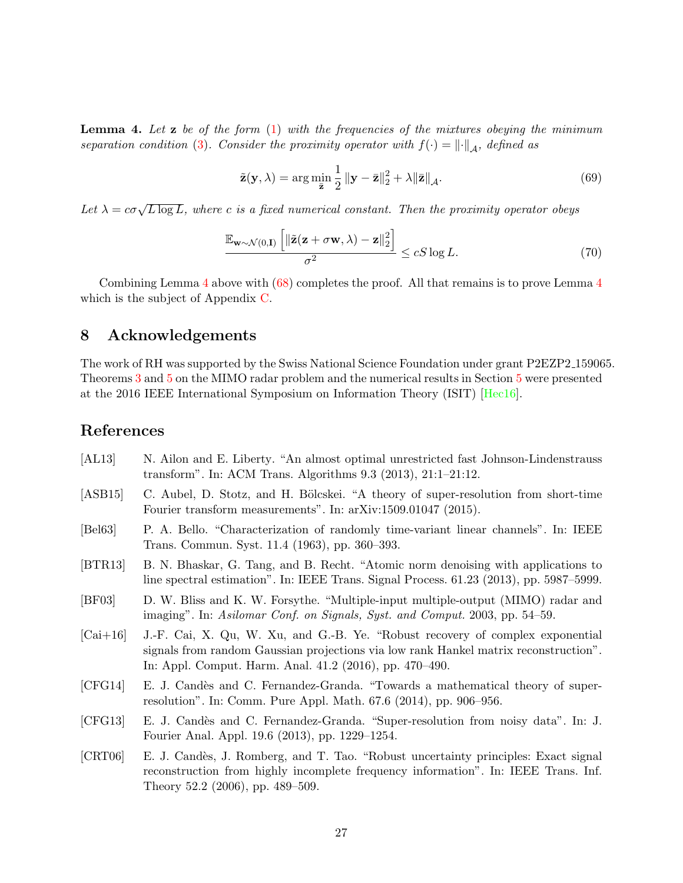<span id="page-26-9"></span>**Lemma 4.** Let  $z$  be of the form  $(1)$  with the frequencies of the mixtures obeying the minimum separation condition [\(3\)](#page-2-0). Consider the proximity operator with  $f(\cdot) = ||\cdot||_A$ , defined as

<span id="page-26-10"></span>
$$
\tilde{\mathbf{z}}(\mathbf{y}, \lambda) = \arg \min_{\bar{\mathbf{z}}} \frac{1}{2} \left\| \mathbf{y} - \bar{\mathbf{z}} \right\|_2^2 + \lambda \|\bar{\mathbf{z}}\|_{\mathcal{A}}.
$$
\n(69)

Let  $\lambda = c\sigma\sqrt{L\log L}$ , where c is a fixed numerical constant. Then the proximity operator obeys

$$
\frac{\mathbb{E}_{\mathbf{w}\sim\mathcal{N}(0,\mathbf{I})}\left[\|\tilde{\mathbf{z}}(\mathbf{z}+\sigma\mathbf{w},\lambda)-\mathbf{z}\|_2^2\right]}{\sigma^2} \leq cS\log L. \tag{70}
$$

Combining Lemma [4](#page-26-9) above with [\(68\)](#page-25-1) completes the proof. All that remains is to prove Lemma [4](#page-26-9) which is the subject of Appendix [C.](#page-40-0)

# 8 Acknowledgements

The work of RH was supported by the Swiss National Science Foundation under grant P2EZP2 159065. Theorems [3](#page-11-1) and [5](#page-13-2) on the MIMO radar problem and the numerical results in Section [5](#page-13-0) were presented at the 2016 IEEE International Symposium on Information Theory (ISIT) [\[Hec16\]](#page-27-9).

# References

<span id="page-26-8"></span><span id="page-26-7"></span><span id="page-26-6"></span><span id="page-26-5"></span><span id="page-26-4"></span><span id="page-26-3"></span><span id="page-26-2"></span><span id="page-26-1"></span><span id="page-26-0"></span>

| [AL13]     | N. Ailon and E. Liberty. "An almost optimal unrestricted fast Johnson-Lindenstrauss<br>transform". In: ACM Trans. Algorithms $9.3$ (2013), $21:1-21:12$ .                                                                         |
|------------|-----------------------------------------------------------------------------------------------------------------------------------------------------------------------------------------------------------------------------------|
| [ASB15]    | C. Aubel, D. Stotz, and H. Bölcskei. "A theory of super-resolution from short-time<br>Fourier transform measurements". In: arXiv:1509.01047 (2015).                                                                               |
| [Bel63]    | P. A. Bello. "Characterization of randomly time-variant linear channels". In: IEEE<br>Trans. Commun. Syst. 11.4 (1963), pp. 360–393.                                                                                              |
| [BTR13]    | B. N. Bhaskar, G. Tang, and B. Recht. "Atomic norm denoising with applications to<br>line spectral estimation". In: IEEE Trans. Signal Process. 61.23 (2013), pp. 5987–5999.                                                      |
| [BF03]     | D. W. Bliss and K. W. Forsythe. "Multiple-input multiple-output (MIMO) radar and<br>imaging". In: Asilomar Conf. on Signals, Syst. and Comput. 2003, pp. 54–59.                                                                   |
| $[Cai+16]$ | J.-F. Cai, X. Qu, W. Xu, and G.-B. Ye. "Robust recovery of complex exponential<br>signals from random Gaussian projections via low rank Hankel matrix reconstruction".<br>In: Appl. Comput. Harm. Anal. 41.2 (2016), pp. 470–490. |
| [CFG14]    | E. J. Candès and C. Fernandez-Granda. "Towards a mathematical theory of super-<br>resolution". In: Comm. Pure Appl. Math. 67.6 (2014), pp. 906–956.                                                                               |
| [CFG13]    | E. J. Candès and C. Fernandez-Granda. "Super-resolution from noisy data". In: J.<br>Fourier Anal. Appl. 19.6 (2013), pp. 1229–1254.                                                                                               |
| [CRT06]    | E. J. Candès, J. Romberg, and T. Tao. "Robust uncertainty principles: Exact signal<br>reconstruction from highly incomplete frequency information". In: IEEE Trans. Inf.<br>Theory 52.2 (2006), pp. 489–509.                      |
|            |                                                                                                                                                                                                                                   |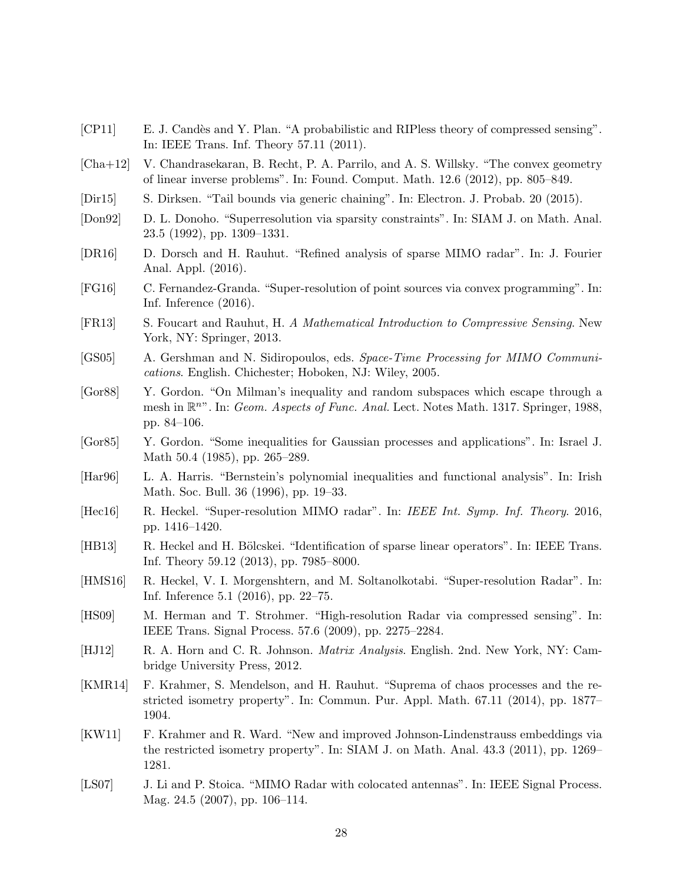- <span id="page-27-3"></span>[CP11] E. J. Candès and Y. Plan. "A probabilistic and RIPless theory of compressed sensing". In: IEEE Trans. Inf. Theory 57.11 (2011).
- <span id="page-27-11"></span>[Cha+12] V. Chandrasekaran, B. Recht, P. A. Parrilo, and A. S. Willsky. "The convex geometry of linear inverse problems". In: Found. Comput. Math. 12.6 (2012), pp. 805–849.
- <span id="page-27-14"></span>[Dir15] S. Dirksen. "Tail bounds via generic chaining". In: Electron. J. Probab. 20 (2015).
- <span id="page-27-2"></span>[Don92] D. L. Donoho. "Superresolution via sparsity constraints". In: SIAM J. on Math. Anal. 23.5 (1992), pp. 1309–1331.
- <span id="page-27-16"></span>[DR16] D. Dorsch and H. Rauhut. "Refined analysis of sparse MIMO radar". In: J. Fourier Anal. Appl. (2016).
- <span id="page-27-0"></span>[FG16] C. Fernandez-Granda. "Super-resolution of point sources via convex programming". In: Inf. Inference (2016).
- <span id="page-27-4"></span>[FR13] S. Foucart and Rauhut, H. A Mathematical Introduction to Compressive Sensing. New York, NY: Springer, 2013.
- <span id="page-27-10"></span>[GS05] A. Gershman and N. Sidiropoulos, eds. Space-Time Processing for MIMO Communications. English. Chichester; Hoboken, NJ: Wiley, 2005.
- <span id="page-27-12"></span>[Gor88] Y. Gordon. "On Milman's inequality and random subspaces which escape through a mesh in  $\mathbb{R}^{n}$ ". In: *Geom. Aspects of Func. Anal.* Lect. Notes Math. 1317. Springer, 1988, pp. 84–106.
- <span id="page-27-13"></span>[Gor85] Y. Gordon. "Some inequalities for Gaussian processes and applications". In: Israel J. Math 50.4 (1985), pp. 265–289.
- <span id="page-27-17"></span>[Har96] L. A. Harris. "Bernstein's polynomial inequalities and functional analysis". In: Irish Math. Soc. Bull. 36 (1996), pp. 19–33.
- <span id="page-27-9"></span>[Hec16] R. Heckel. "Super-resolution MIMO radar". In: IEEE Int. Symp. Inf. Theory. 2016, pp. 1416–1420.
- <span id="page-27-6"></span>[HB13] R. Heckel and H. Bölcskei. "Identification of sparse linear operators". In: IEEE Trans. Inf. Theory 59.12 (2013), pp. 7985–8000.
- <span id="page-27-1"></span>[HMS16] R. Heckel, V. I. Morgenshtern, and M. Soltanolkotabi. "Super-resolution Radar". In: Inf. Inference 5.1 (2016), pp. 22–75.
- <span id="page-27-5"></span>[HS09] M. Herman and T. Strohmer. "High-resolution Radar via compressed sensing". In: IEEE Trans. Signal Process. 57.6 (2009), pp. 2275–2284.
- <span id="page-27-18"></span>[HJ12] R. A. Horn and C. R. Johnson. Matrix Analysis. English. 2nd. New York, NY: Cambridge University Press, 2012.
- <span id="page-27-7"></span>[KMR14] F. Krahmer, S. Mendelson, and H. Rauhut. "Suprema of chaos processes and the restricted isometry property". In: Commun. Pur. Appl. Math. 67.11 (2014), pp. 1877– 1904.
- <span id="page-27-15"></span>[KW11] F. Krahmer and R. Ward. "New and improved Johnson-Lindenstrauss embeddings via the restricted isometry property". In: SIAM J. on Math. Anal. 43.3 (2011), pp. 1269– 1281.
- <span id="page-27-8"></span>[LS07] J. Li and P. Stoica. "MIMO Radar with colocated antennas". In: IEEE Signal Process. Mag. 24.5 (2007), pp. 106–114.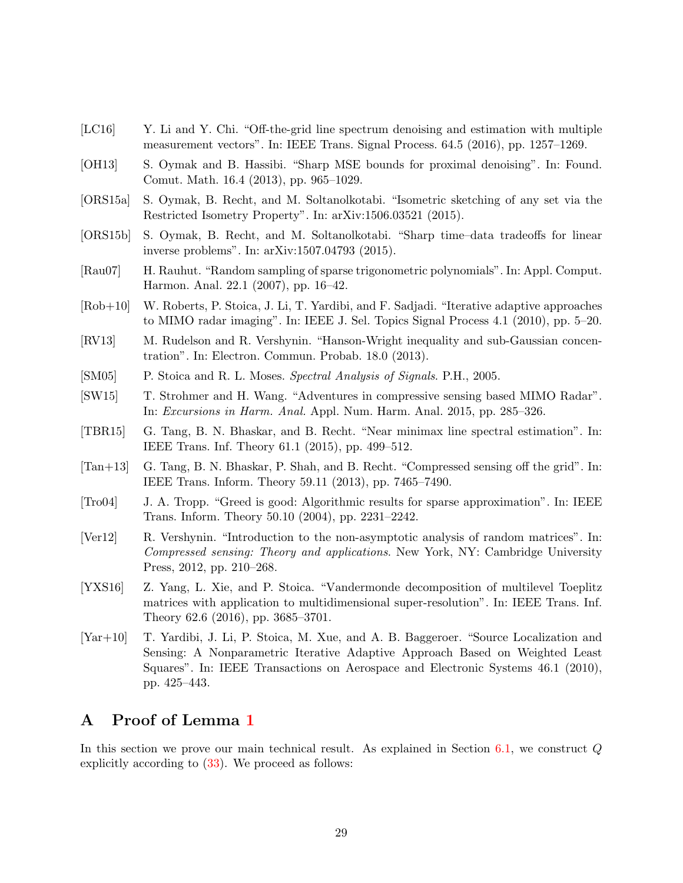- <span id="page-28-3"></span>[LC16] Y. Li and Y. Chi. "Off-the-grid line spectrum denoising and estimation with multiple measurement vectors". In: IEEE Trans. Signal Process. 64.5 (2016), pp. 1257–1269.
- <span id="page-28-14"></span>[OH13] S. Oymak and B. Hassibi. "Sharp MSE bounds for proximal denoising". In: Found. Comut. Math. 16.4 (2013), pp. 965–1029.
- <span id="page-28-6"></span>[ORS15a] S. Oymak, B. Recht, and M. Soltanolkotabi. "Isometric sketching of any set via the Restricted Isometry Property". In: arXiv:1506.03521 (2015).
- <span id="page-28-7"></span>[ORS15b] S. Oymak, B. Recht, and M. Soltanolkotabi. "Sharp time–data tradeoffs for linear inverse problems". In: arXiv:1507.04793 (2015).
- <span id="page-28-4"></span>[Rau07] H. Rauhut. "Random sampling of sparse trigonometric polynomials". In: Appl. Comput. Harmon. Anal. 22.1 (2007), pp. 16–42.
- <span id="page-28-10"></span>[Rob+10] W. Roberts, P. Stoica, J. Li, T. Yardibi, and F. Sadjadi. "Iterative adaptive approaches to MIMO radar imaging". In: IEEE J. Sel. Topics Signal Process 4.1 (2010), pp. 5–20.
- <span id="page-28-12"></span>[RV13] M. Rudelson and R. Vershynin. "Hanson-Wright inequality and sub-Gaussian concentration". In: Electron. Commun. Probab. 18.0 (2013).
- <span id="page-28-0"></span>[SM05] P. Stoica and R. L. Moses. Spectral Analysis of Signals. P.H., 2005.
- <span id="page-28-8"></span>[SW15] T. Strohmer and H. Wang. "Adventures in compressive sensing based MIMO Radar". In: Excursions in Harm. Anal. Appl. Num. Harm. Anal. 2015, pp. 285–326.
- <span id="page-28-15"></span>[TBR15] G. Tang, B. N. Bhaskar, and B. Recht. "Near minimax line spectral estimation". In: IEEE Trans. Inf. Theory 61.1 (2015), pp. 499–512.
- <span id="page-28-2"></span>[Tan+13] G. Tang, B. N. Bhaskar, P. Shah, and B. Recht. "Compressed sensing off the grid". In: IEEE Trans. Inform. Theory 59.11 (2013), pp. 7465–7490.
- <span id="page-28-1"></span>[Tro04] J. A. Tropp. "Greed is good: Algorithmic results for sparse approximation". In: IEEE Trans. Inform. Theory 50.10 (2004), pp. 2231–2242.
- <span id="page-28-13"></span>[Ver12] R. Vershynin. "Introduction to the non-asymptotic analysis of random matrices". In: Compressed sensing: Theory and applications. New York, NY: Cambridge University Press, 2012, pp. 210–268.
- <span id="page-28-5"></span>[YXS16] Z. Yang, L. Xie, and P. Stoica. "Vandermonde decomposition of multilevel Toeplitz matrices with application to multidimensional super-resolution". In: IEEE Trans. Inf. Theory 62.6 (2016), pp. 3685–3701.
- <span id="page-28-9"></span>[Yar+10] T. Yardibi, J. Li, P. Stoica, M. Xue, and A. B. Baggeroer. "Source Localization and Sensing: A Nonparametric Iterative Adaptive Approach Based on Weighted Least Squares". In: IEEE Transactions on Aerospace and Electronic Systems 46.1 (2010), pp. 425–443.

## <span id="page-28-11"></span>A Proof of Lemma [1](#page-17-0)

In this section we prove our main technical result. As explained in Section  $6.1$ , we construct  $Q$ explicitly according to [\(33\)](#page-17-5). We proceed as follows: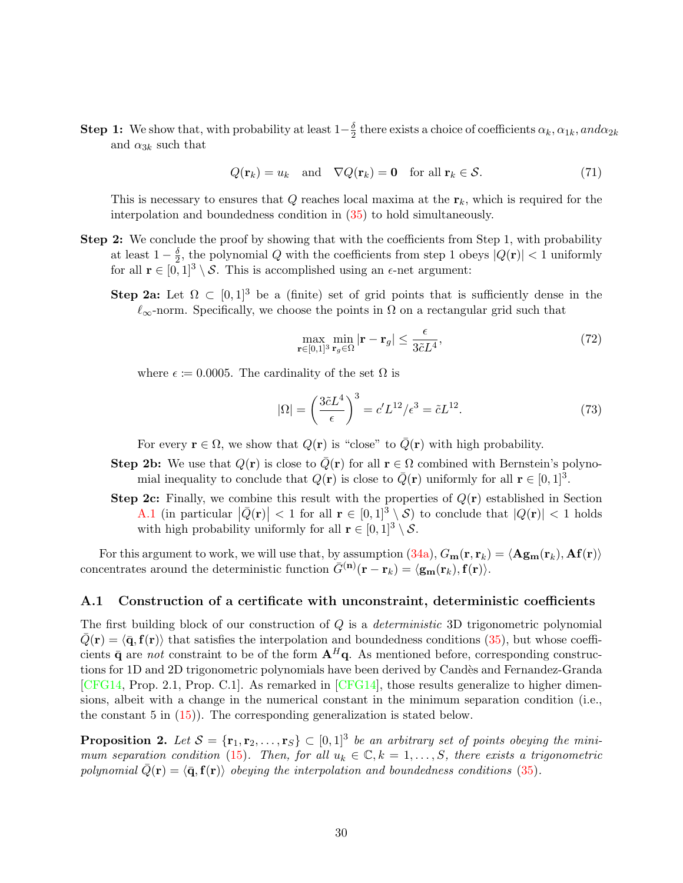**Step 1:** We show that, with probability at least  $1-\frac{\delta}{2}$  $\frac{\delta}{2}$  there exists a choice of coefficients  $\alpha_k, \alpha_{1k}, and \alpha_{2k}$ and  $\alpha_{3k}$  such that

$$
Q(\mathbf{r}_k) = u_k \quad \text{and} \quad \nabla Q(\mathbf{r}_k) = \mathbf{0} \quad \text{for all } \mathbf{r}_k \in \mathcal{S}.
$$
 (71)

This is necessary to ensures that  $Q$  reaches local maxima at the  $r_k$ , which is required for the interpolation and boundedness condition in [\(35\)](#page-17-6) to hold simultaneously.

- Step 2: We conclude the proof by showing that with the coefficients from Step 1, with probability at least  $1-\frac{\delta}{2}$  $\frac{\delta}{2}$ , the polynomial Q with the coefficients from step 1 obeys  $|Q(\mathbf{r})| < 1$  uniformly for all  $\mathbf{r} \in [0, 1]^3 \setminus \mathcal{S}$ . This is accomplished using an  $\epsilon$ -net argument:
	- Step 2a: Let  $\Omega \subset [0,1]^3$  be a (finite) set of grid points that is sufficiently dense in the  $\ell_{\infty}$ -norm. Specifically, we choose the points in  $\Omega$  on a rectangular grid such that

<span id="page-29-3"></span><span id="page-29-2"></span>
$$
\max_{\mathbf{r}\in[0,1]^3} \min_{\mathbf{r}_g\in\Omega} |\mathbf{r}-\mathbf{r}_g| \le \frac{\epsilon}{3\tilde{c}L^4},\tag{72}
$$

where  $\epsilon \coloneqq 0.0005$ . The cardinality of the set  $\Omega$  is

$$
|\Omega| = \left(\frac{3\tilde{c}L^4}{\epsilon}\right)^3 = c'L^{12}/\epsilon^3 = \tilde{c}L^{12}.
$$
 (73)

For every  $\mathbf{r} \in \Omega$ , we show that  $Q(\mathbf{r})$  is "close" to  $\overline{Q}(\mathbf{r})$  with high probability.

- Step 2b: We use that  $Q(\mathbf{r})$  is close to  $\overline{Q}(\mathbf{r})$  for all  $\mathbf{r} \in \Omega$  combined with Bernstein's polynomial inequality to conclude that  $Q(\mathbf{r})$  is close to  $\overline{Q}(\mathbf{r})$  uniformly for all  $\mathbf{r} \in [0,1]^3$ .
- **Step 2c:** Finally, we combine this result with the properties of  $Q(\mathbf{r})$  established in Section [A.1](#page-29-0) (in particular  $|\bar{Q}(\mathbf{r})| < 1$  for all  $\mathbf{r} \in [0,1]^3 \setminus \mathcal{S}$ ) to conclude that  $|Q(\mathbf{r})| < 1$  holds with high probability uniformly for all  $\mathbf{r} \in [0,1]^3 \setminus \mathcal{S}$ .

For this argument to work, we will use that, by assumption  $(34a)$ ,  $G_m(\mathbf{r}, \mathbf{r}_k) = \langle \mathbf{Ag}_m(\mathbf{r}_k), \mathbf{Af}(\mathbf{r})\rangle$ concentrates around the deterministic function  $\bar{G}^{(n)}(\mathbf{r} - \mathbf{r}_k) = \langle \mathbf{g}_{\mathbf{m}}(\mathbf{r}_k), \mathbf{f}(\mathbf{r}) \rangle$ .

#### <span id="page-29-0"></span>A.1 Construction of a certificate with unconstraint, deterministic coefficients

The first building block of our construction of  $Q$  is a *deterministic* 3D trigonometric polynomial  $\bar{Q}(\mathbf{r}) = \langle \bar{\mathbf{q}}, \mathbf{f}(\mathbf{r})\rangle$  that satisfies the interpolation and boundedness conditions [\(35\)](#page-17-6), but whose coefficients  $\bar{\mathbf{q}}$  are not constraint to be of the form  $\mathbf{A}^H\mathbf{q}$ . As mentioned before, corresponding constructions for 1D and 2D trigonometric polynomials have been derived by Candès and Fernandez-Granda  $[CFG14, Prop. 2.1, Prop. C.1]$  $[CFG14, Prop. 2.1, Prop. C.1]$ . As remarked in  $[CFG14]$ , those results generalize to higher dimensions, albeit with a change in the numerical constant in the minimum separation condition (i.e., the constant  $5$  in  $(15)$ ). The corresponding generalization is stated below.

<span id="page-29-1"></span>**Proposition 2.** Let  $S = {\mathbf{r}_1, \mathbf{r}_2, ..., \mathbf{r}_S} \subset [0,1]^3$  be an arbitrary set of points obeying the mini-mum separation condition [\(15\)](#page-9-3). Then, for all  $u_k \in \mathbb{C}, k = 1, \ldots, S$ , there exists a trigonometric polynomial  $\bar{Q}(\mathbf{r}) = \langle \bar{\mathbf{q}}, \mathbf{f}(\mathbf{r}) \rangle$  obeying the interpolation and boundedness conditions [\(35\)](#page-17-6).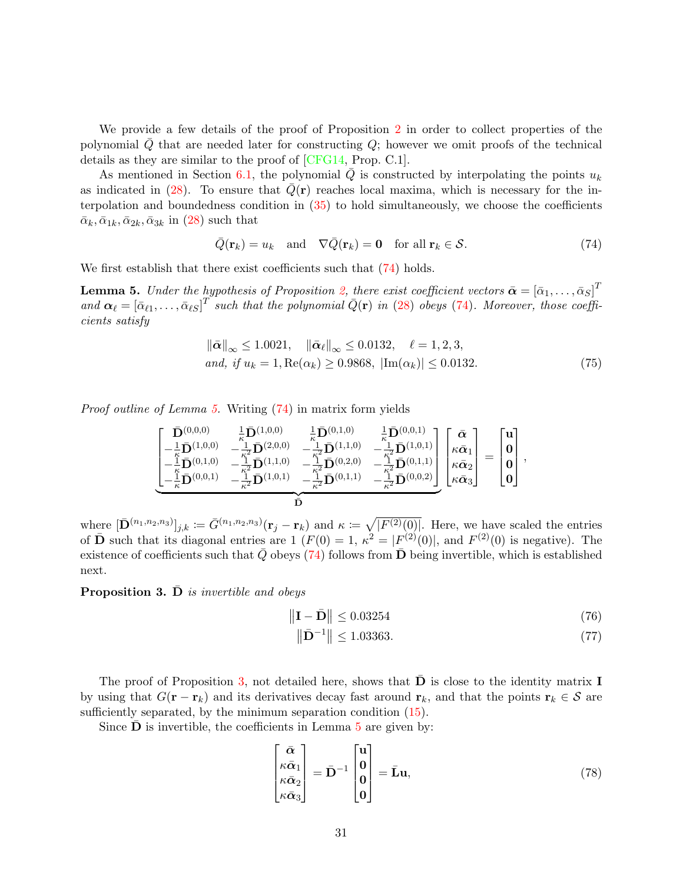We provide a few details of the proof of Proposition [2](#page-29-1) in order to collect properties of the polynomial  $Q$  that are needed later for constructing  $Q$ ; however we omit proofs of the technical details as they are similar to the proof of [\[CFG14,](#page-26-1) Prop. C.1].

As mentioned in Section [6.1,](#page-15-3) the polynomial  $\overline{Q}$  is constructed by interpolating the points  $u_k$ as indicated in [\(28\)](#page-16-2). To ensure that  $\bar{Q}(\mathbf{r})$  reaches local maxima, which is necessary for the interpolation and boundedness condition in [\(35\)](#page-17-6) to hold simultaneously, we choose the coefficients  $\bar{\alpha}_k, \bar{\alpha}_{1k}, \bar{\alpha}_{2k}, \bar{\alpha}_{3k}$  in [\(28\)](#page-16-2) such that

$$
\bar{Q}(\mathbf{r}_k) = u_k \quad \text{and} \quad \nabla \bar{Q}(\mathbf{r}_k) = \mathbf{0} \quad \text{for all } \mathbf{r}_k \in \mathcal{S}.
$$
 (74)

We first establish that there exist coefficients such that  $(74)$  holds.

**Lemma 5.** Under the hypothesis of Proposition [2,](#page-29-1) there exist coefficient vectors  $\bar{\boldsymbol{\alpha}} = [\bar{\alpha}_1,\ldots,\bar{\alpha}_S]^T$ and  $\alpha_\ell = [\bar{\alpha}_{\ell 1}, \ldots, \bar{\alpha}_{\ell S}]^T$  such that the polynomial  $\bar{Q}(\mathbf{r})$  in [\(28\)](#page-16-2) obeys [\(74\)](#page-30-0). Moreover, those coefficients satisfy

$$
\|\bar{\alpha}\|_{\infty} \le 1.0021, \quad \|\bar{\alpha}_{\ell}\|_{\infty} \le 0.0132, \quad \ell = 1, 2, 3,and, if  $u_k = 1, \text{Re}(\alpha_k) \ge 0.9868, |\text{Im}(\alpha_k)| \le 0.0132.$  (75)
$$

Proof outline of Lemma [5.](#page-30-1) Writing [\(74\)](#page-30-0) in matrix form yields

$$
\begin{bmatrix}\n\bar{\mathbf{D}}^{(0,0,0)} & \frac{1}{\kappa} \bar{\mathbf{D}}^{(1,0,0)} & \frac{1}{\kappa} \bar{\mathbf{D}}^{(0,1,0)} & \frac{1}{\kappa} \bar{\mathbf{D}}^{(0,0,1)} \\
-\frac{1}{\kappa} \bar{\mathbf{D}}^{(1,0,0)} & -\frac{1}{\kappa^2} \bar{\mathbf{D}}^{(2,0,0)} & -\frac{1}{\kappa^2} \bar{\mathbf{D}}^{(1,1,0)} & -\frac{1}{\kappa^2} \bar{\mathbf{D}}^{(1,0,1)} \\
-\frac{1}{\kappa} \bar{\mathbf{D}}^{(0,1,0)} & -\frac{1}{\kappa^2} \bar{\mathbf{D}}^{(1,1,0)} & -\frac{1}{\kappa^2} \bar{\mathbf{D}}^{(0,2,0)} & -\frac{1}{\kappa^2} \bar{\mathbf{D}}^{(0,1,1)} \\
-\frac{1}{\kappa} \bar{\mathbf{D}}^{(0,0,1)} & -\frac{1}{\kappa^2} \bar{\mathbf{D}}^{(1,0,1)} & -\frac{1}{\kappa^2} \bar{\mathbf{D}}^{(0,1,1)} & -\frac{1}{\kappa^2} \bar{\mathbf{D}}^{(0,0,2)}\n\end{bmatrix}\n\begin{bmatrix}\n\bar{\alpha} \\
\kappa \bar{\alpha}_1 \\
\kappa \bar{\alpha}_2 \\
\kappa \bar{\alpha}_3\n\end{bmatrix} = \n\begin{bmatrix}\n\mathbf{u} \\
\mathbf{0} \\
\mathbf{0} \\
\mathbf{0}\n\end{bmatrix}
$$

where  $[\bar{\mathbf{D}}^{(n_1,n_2,n_3)}]_{j,k} := \bar{G}^{(n_1,n_2,n_3)}(\mathbf{r}_j - \mathbf{r}_k)$  and  $\kappa \coloneqq \sqrt{|F^{(2)}(0)|}$ . Here, we have scaled the entries of  $\bar{\mathbf{D}}$  such that its diagonal entries are 1  $(F(0) = 1, \kappa^2 = |F^{(2)}(0)|$ , and  $F^{(2)}(0)$  is negative). The existence of coefficients such that  $\bar{Q}$  obeys [\(74\)](#page-30-0) follows from  $\bar{D}$  being invertible, which is established next.

Proposition 3. D is invertible and obeys

$$
\left\| \mathbf{I} - \bar{\mathbf{D}} \right\| \le 0.03254 \tag{76}
$$

<span id="page-30-4"></span><span id="page-30-3"></span><span id="page-30-2"></span><span id="page-30-1"></span><span id="page-30-0"></span>,

$$
\|\bar{\mathbf{D}}^{-1}\| \le 1.03363. \tag{77}
$$

The proof of Proposition [3,](#page-30-2) not detailed here, shows that  **is close to the identity matrix <b>I** by using that  $G(\mathbf{r} - \mathbf{r}_k)$  and its derivatives decay fast around  $\mathbf{r}_k$ , and that the points  $\mathbf{r}_k \in \mathcal{S}$  are sufficiently separated, by the minimum separation condition  $(15)$ .

Since  **is invertible, the coefficients in Lemma**  $5$  **are given by:** 

$$
\begin{bmatrix} \bar{\alpha} \\ \kappa \bar{\alpha}_1 \\ \kappa \bar{\alpha}_2 \\ \kappa \bar{\alpha}_3 \end{bmatrix} = \bar{\mathbf{D}}^{-1} \begin{bmatrix} \mathbf{u} \\ \mathbf{0} \\ \mathbf{0} \\ \mathbf{0} \end{bmatrix} = \bar{\mathbf{L}} \mathbf{u},\tag{78}
$$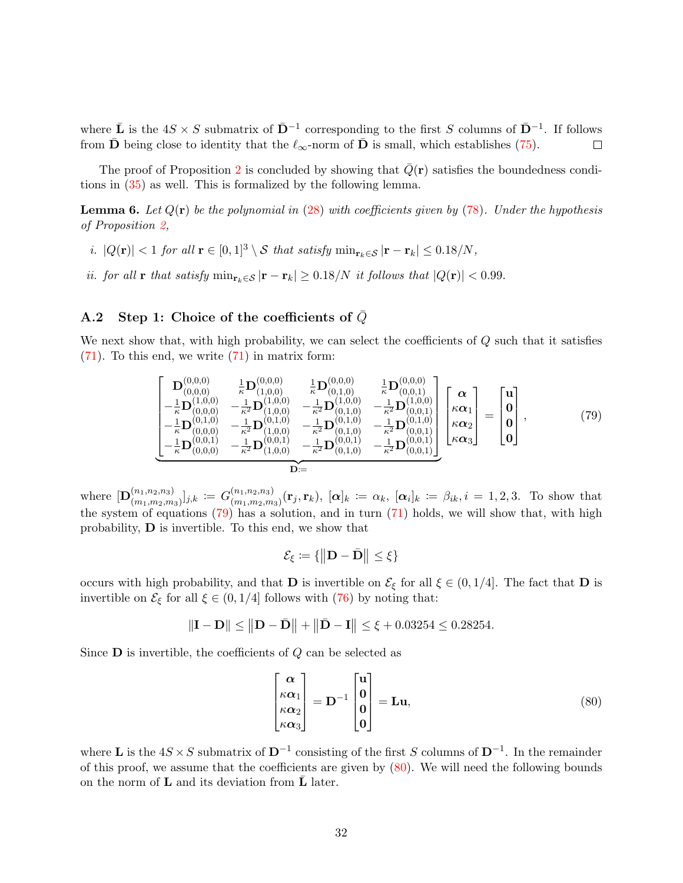where  $\bar{\bf L}$  is the  $4S \times S$  submatrix of  $\bar{\bf D}^{-1}$  corresponding to the first S columns of  $\bar{\bf D}^{-1}$ . If follows from  $\bar{\mathbf{D}}$  being close to identity that the  $\ell_{\infty}$ -norm of  $\bar{\mathbf{D}}$  is small, which establishes [\(75\)](#page-30-1).  $\Box$ 

The proof of Proposition [2](#page-29-1) is concluded by showing that  $Q(\mathbf{r})$  satisfies the boundedness conditions in [\(35\)](#page-17-6) as well. This is formalized by the following lemma.

**Lemma 6.** Let  $Q(\mathbf{r})$  be the polynomial in [\(28\)](#page-16-2) with coefficients given by [\(78\)](#page-30-3). Under the hypothesis of Proposition [2,](#page-29-1)

- i.  $|Q(\mathbf{r})| < 1$  for all  $\mathbf{r} \in [0,1]^3 \setminus S$  that satisfy  $\min_{\mathbf{r}_k \in S} |\mathbf{r} \mathbf{r}_k| \leq 0.18/N$ ,
- <span id="page-31-2"></span>ii. for all r that satisfy  $\min_{\mathbf{r}_k \in \mathcal{S}} |\mathbf{r} - \mathbf{r}_k| \geq 0.18/N$  it follows that  $|Q(\mathbf{r})| < 0.99$ .

## A.2 Step 1: Choice of the coefficients of  $\bar{Q}$

We next show that, with high probability, we can select the coefficients of  $Q$  such that it satisfies [\(71\)](#page-29-2). To this end, we write [\(71\)](#page-29-2) in matrix form:

$$
\begin{bmatrix}\n\mathbf{D}_{(0,0,0)}^{(0,0,0)} & \frac{1}{\kappa} \mathbf{D}_{(1,0,0)}^{(0,0,0)} & \frac{1}{\kappa} \mathbf{D}_{(0,1,0)}^{(0,0,0)} & \frac{1}{\kappa} \mathbf{D}_{(0,0,1)}^{(0,0,0)} \\
-\frac{1}{\kappa} \mathbf{D}_{(0,0,0)}^{(1,0,0)} & -\frac{1}{\kappa^2} \mathbf{D}_{(1,0,0)}^{(1,0,0)} & -\frac{1}{\kappa^2} \mathbf{D}_{(0,1,0)}^{(1,0,0)} & -\frac{1}{\kappa^2} \mathbf{D}_{(0,0,1)}^{(1,0,0)} \\
-\frac{1}{\kappa} \mathbf{D}_{(0,0,0)}^{(0,1,0)} & -\frac{1}{\kappa^2} \mathbf{D}_{(1,0,0)}^{(0,1,0)} & -\frac{1}{\kappa^2} \mathbf{D}_{(0,1,0)}^{(0,1,0)} & -\frac{1}{\kappa^2} \mathbf{D}_{(0,0,1)}^{(0,1,0)} \\
-\frac{1}{\kappa} \mathbf{D}_{(0,0,0)}^{(0,0,1)} & -\frac{1}{\kappa^2} \mathbf{D}_{(1,0,0)}^{(0,0,1)} & -\frac{1}{\kappa^2} \mathbf{D}_{(0,0,1)}^{(0,0,1)} & -\frac{1}{\kappa^2} \mathbf{D}_{(0,0,1)}^{(0,0,1)}\n\end{bmatrix}\n\begin{bmatrix}\n\boldsymbol{\alpha} \\
\boldsymbol{\kappa}\boldsymbol{\alpha}_1 \\
\boldsymbol{\kappa}\boldsymbol{\alpha}_2 \\
\boldsymbol{\kappa}\boldsymbol{\alpha}_3\n\end{bmatrix} = \begin{bmatrix}\n\mathbf{u} \\
\mathbf{0} \\
\mathbf{0} \\
\mathbf{0}\n\end{bmatrix},
$$
\n(79)\n
$$
\mathbf{D} =
$$

where  $\left[\mathbf{D}_{(m_1,m_2,n_3)}^{(n_1,n_2,n_3)}\right]$  $\ _{(m_{1},m_{2},m_{3})}^{(n_{1},n_{2},n_{3})}]_{j,k}\,\coloneqq\, G_{(m_{1},m_{2},m_{3})}^{(n_{1},n_{2},n_{3})}$  $(\alpha_{1},m_{2},m_{3}) \ (r_{j},r_{k}), \ [\alpha]_{k} \coloneqq \alpha_{k}, \ [\alpha_{i}]_{k} \coloneqq \beta_{ik}, i = 1,2,3.$  To show that the system of equations  $(79)$  has a solution, and in turn  $(71)$  holds, we will show that, with high probability, D is invertible. To this end, we show that

<span id="page-31-0"></span>
$$
\mathcal{E}_{\xi} \coloneqq \{ \left\| \mathbf{D} - \bar{\mathbf{D}} \right\| \leq \xi \}
$$

occurs with high probability, and that **D** is invertible on  $\mathcal{E}_{\xi}$  for all  $\xi \in (0, 1/4]$ . The fact that **D** is invertible on  $\mathcal{E}_{\xi}$  for all  $\xi \in (0, 1/4]$  follows with [\(76\)](#page-30-4) by noting that:

$$
\|\mathbf{I} - \mathbf{D}\| \le \|\mathbf{D} - \bar{\mathbf{D}}\| + \|\bar{\mathbf{D}} - \mathbf{I}\| \le \xi + 0.03254 \le 0.28254.
$$

Since  **is invertible, the coefficients of**  $Q$  **can be selected as** 

<span id="page-31-1"></span>
$$
\begin{bmatrix} \alpha \\ \kappa \alpha_1 \\ \kappa \alpha_2 \\ \kappa \alpha_3 \end{bmatrix} = \mathbf{D}^{-1} \begin{bmatrix} \mathbf{u} \\ \mathbf{0} \\ \mathbf{0} \\ \mathbf{0} \end{bmatrix} = \mathbf{L} \mathbf{u},\tag{80}
$$

where **L** is the  $4S \times S$  submatrix of  $D^{-1}$  consisting of the first S columns of  $D^{-1}$ . In the remainder of this proof, we assume that the coefficients are given by [\(80\)](#page-31-1). We will need the following bounds on the norm of  $L$  and its deviation from  $L$  later.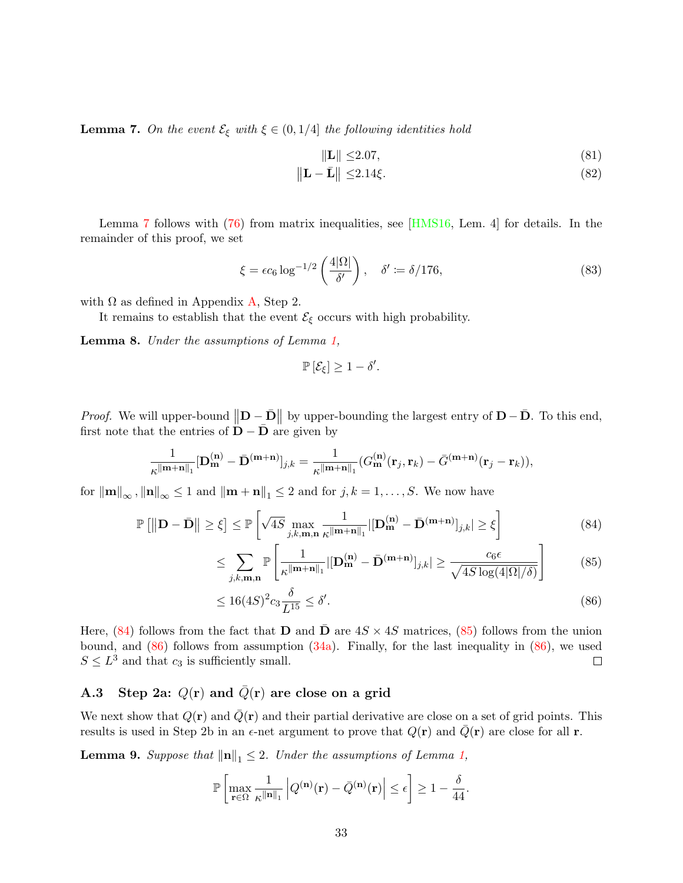**Lemma 7.** On the event  $\mathcal{E}_{\xi}$  with  $\xi \in (0, 1/4]$  the following identities hold

<span id="page-32-7"></span><span id="page-32-6"></span><span id="page-32-0"></span>
$$
\|\mathbf{L}\| \le 2.07,\tag{81}
$$

$$
\|\mathbf{L} - \bar{\mathbf{L}}\| \le 2.14\xi. \tag{82}
$$

Lemma [7](#page-32-0) follows with [\(76\)](#page-30-4) from matrix inequalities, see [\[HMS16,](#page-27-1) Lem. 4] for details. In the remainder of this proof, we set

$$
\xi = \epsilon c_6 \log^{-1/2} \left( \frac{4|\Omega|}{\delta'} \right), \quad \delta' := \delta / 176, \tag{83}
$$

with  $\Omega$  as defined in Appendix [A,](#page-28-11) Step 2.

It remains to establish that the event  $\mathcal{E}_{\xi}$  occurs with high probability.

<span id="page-32-5"></span>Lemma 8. Under the assumptions of Lemma [1,](#page-17-0)

$$
\mathbb{P}\left[\mathcal{E}_{\xi}\right] \geq 1 - \delta'.
$$

*Proof.* We will upper-bound  $\|\mathbf{D} - \bar{\mathbf{D}}\|$  by upper-bounding the largest entry of  $\mathbf{D} - \bar{\mathbf{D}}$ . To this end, first note that the entries of  $\mathbf{D} - \bar{\mathbf{D}}$  are given by

$$
\frac{1}{\kappa^{\|\mathbf{m}+\mathbf{n}\|_1}}[\mathbf{D}_{\mathbf{m}}^{(\mathbf{n})}-\bar{\mathbf{D}}^{(\mathbf{m}+\mathbf{n})}]_{j,k}=\frac{1}{\kappa^{\|\mathbf{m}+\mathbf{n}\|_1}}(G_{\mathbf{m}}^{(\mathbf{n})}(\mathbf{r}_j,\mathbf{r}_k)-\bar{G}^{(\mathbf{m}+\mathbf{n})}(\mathbf{r}_j-\mathbf{r}_k)),
$$

for  $\|\mathbf{m}\|_{\infty}$ ,  $\|\mathbf{n}\|_{\infty} \leq 1$  and  $\|\mathbf{m} + \mathbf{n}\|_{1} \leq 2$  and for  $j, k = 1, ..., S$ . We now have

$$
\mathbb{P}\left[\left\|\mathbf{D} - \bar{\mathbf{D}}\right\| \ge \xi\right] \le \mathbb{P}\left[\sqrt{4S} \max_{j,k,\mathbf{m},\mathbf{n}} \frac{1}{\kappa^{\|\mathbf{m} + \mathbf{n}\|_1}} \left| [\mathbf{D}_{\mathbf{m}}^{(\mathbf{n})} - \bar{\mathbf{D}}^{(\mathbf{m} + \mathbf{n})}]_{j,k} \right| \ge \xi\right]
$$
(84)

$$
\leq \sum_{j,k,\mathbf{m},\mathbf{n}} \mathbb{P}\left[\frac{1}{\kappa^{\|\mathbf{m}+\mathbf{n}\|_1}} |[\mathbf{D}_{\mathbf{m}}^{(\mathbf{n})} - \bar{\mathbf{D}}^{(\mathbf{m}+\mathbf{n})}]_{j,k}| \geq \frac{c_6 \epsilon}{\sqrt{4S \log(4|\Omega|/\delta)}}\right]
$$
(85)

$$
\leq 16(4S)^2 c_3 \frac{\delta}{L^{15}} \leq \delta'.\tag{86}
$$

<span id="page-32-3"></span><span id="page-32-2"></span><span id="page-32-1"></span>.

Here,  $(84)$  follows from the fact that **D** and **D** are  $4S \times 4S$  matrices,  $(85)$  follows from the union bound, and  $(86)$  follows from assumption  $(34a)$ . Finally, for the last inequality in  $(86)$ , we used  $S \leq L^3$  and that  $c_3$  is sufficiently small.  $\Box$ 

## A.3 Step 2a:  $Q(r)$  and  $\overline{Q}(r)$  are close on a grid

We next show that  $Q(\mathbf{r})$  and  $\overline{Q}(\mathbf{r})$  and their partial derivative are close on a set of grid points. This results is used in Step 2b in an  $\epsilon$ -net argument to prove that  $Q(\mathbf{r})$  and  $\bar{Q}(\mathbf{r})$  are close for all r.

<span id="page-32-4"></span>**Lemma 9.** Suppose that  $\|\mathbf{n}\|_1 \leq 2$ . Under the assumptions of Lemma [1,](#page-17-0)

$$
\mathbb{P}\left[\max_{\mathbf{r}\in\Omega}\frac{1}{\kappa^{\|\mathbf{n}\|_1}}\left|Q^{(\mathbf{n})}(\mathbf{r})-\bar{Q}^{(\mathbf{n})}(\mathbf{r})\right|\leq\epsilon\right]\geq1-\frac{\delta}{44}
$$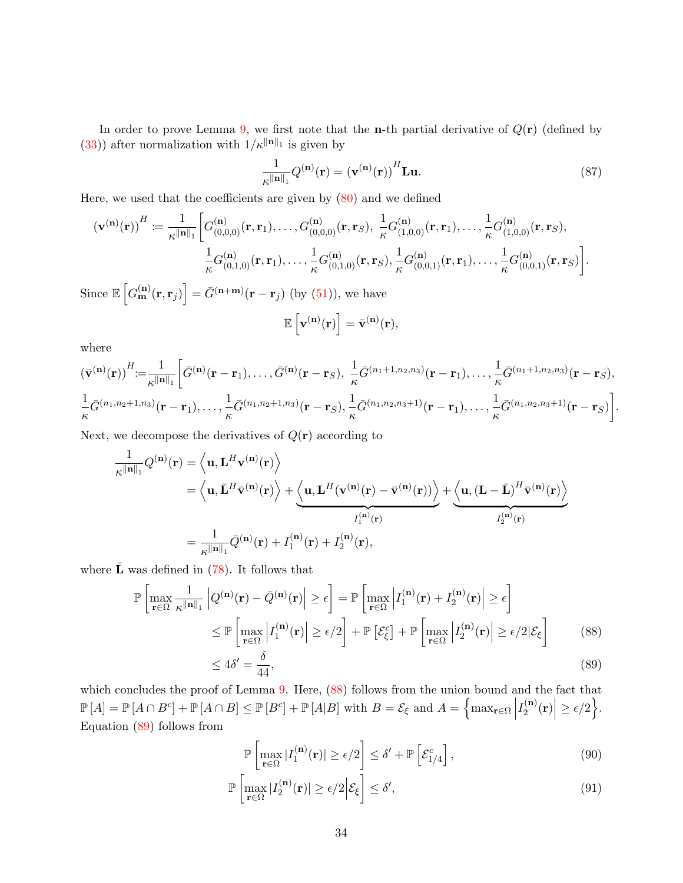In order to prove Lemma [9,](#page-32-4) we first note that the **n**-th partial derivative of  $Q(\mathbf{r})$  (defined by [\(33\)](#page-17-5)) after normalization with  $1/\kappa^{||\mathbf{n}||_1}$  is given by

<span id="page-33-4"></span>
$$
\frac{1}{\kappa \|\mathbf{n}\|_1} Q^{(\mathbf{n})}(\mathbf{r}) = (\mathbf{v}^{(\mathbf{n})}(\mathbf{r}))^H \mathbf{L} \mathbf{u}.
$$
 (87)

Here, we used that the coefficients are given by  $(80)$  and we defined

$$
\left(\mathbf{v}^{(\mathbf{n})}(\mathbf{r})\right)^H := \frac{1}{\kappa^{\|\mathbf{n}\|_1}} \bigg[ G^{(\mathbf{n})}_{(0,0,0)}(\mathbf{r}, \mathbf{r}_1), \dots, G^{(\mathbf{n})}_{(0,0,0)}(\mathbf{r}, \mathbf{r}_S), \frac{1}{\kappa} G^{(\mathbf{n})}_{(1,0,0)}(\mathbf{r}, \mathbf{r}_1), \dots, \frac{1}{\kappa} G^{(\mathbf{n})}_{(1,0,0)}(\mathbf{r}, \mathbf{r}_S),
$$

$$
\frac{1}{\kappa} G^{(\mathbf{n})}_{(0,1,0)}(\mathbf{r}, \mathbf{r}_1), \dots, \frac{1}{\kappa} G^{(\mathbf{n})}_{(0,1,0)}(\mathbf{r}, \mathbf{r}_S), \frac{1}{\kappa} G^{(\mathbf{n})}_{(0,0,1)}(\mathbf{r}, \mathbf{r}_1), \dots, \frac{1}{\kappa} G^{(\mathbf{n})}_{(0,0,1)}(\mathbf{r}, \mathbf{r}_S) \bigg].
$$
Since  $\mathbb{E}\left[G^{(\mathbf{n})}_{\mathbf{m}}(\mathbf{r}, \mathbf{r}_j)\right] = \bar{G}^{(\mathbf{n}+\mathbf{m})}(\mathbf{r}-\mathbf{r}_j)$  (by (51)), we have

$$
\mathbb{E}\left[\mathbf{v}^{(\mathbf{n})}(\mathbf{r})\right] = \bar{\mathbf{v}}^{(\mathbf{n})}(\mathbf{r}),
$$

where

$$
(\bar{\mathbf{v}}^{(\mathbf{n})}(\mathbf{r}))^{H} := \frac{1}{\kappa^{||\mathbf{n}||_1}} \bigg[ \bar{G}^{(\mathbf{n})}(\mathbf{r}-\mathbf{r}_1), \ldots, \bar{G}^{(\mathbf{n})}(\mathbf{r}-\mathbf{r}_S), \frac{1}{\kappa} \bar{G}^{(n_1+1,n_2,n_3)}(\mathbf{r}-\mathbf{r}_1), \ldots, \frac{1}{\kappa} \bar{G}^{(n_1+1,n_2,n_3)}(\mathbf{r}-\mathbf{r}_S),
$$
  

$$
\frac{1}{\kappa} \bar{G}^{(n_1,n_2+1,n_3)}(\mathbf{r}-\mathbf{r}_1), \ldots, \frac{1}{\kappa} \bar{G}^{(n_1,n_2+1,n_3)}(\mathbf{r}-\mathbf{r}_S), \frac{1}{\kappa} \bar{G}^{(n_1,n_2,n_3+1)}(\mathbf{r}-\mathbf{r}_1), \ldots, \frac{1}{\kappa} \bar{G}^{(n_1,n_2,n_3+1)}(\mathbf{r}-\mathbf{r}_S) \bigg].
$$

Next, we decompose the derivatives of  $Q(\mathbf{r})$  according to

$$
\frac{1}{\kappa \|\mathbf{n}\|_1} Q^{(\mathbf{n})}(\mathbf{r}) = \left\langle \mathbf{u}, \mathbf{L}^H \mathbf{v}^{(\mathbf{n})}(\mathbf{r}) \right\rangle \n= \left\langle \mathbf{u}, \bar{\mathbf{L}}^H \bar{\mathbf{v}}^{(\mathbf{n})}(\mathbf{r}) \right\rangle + \underbrace{\left\langle \mathbf{u}, \mathbf{L}^H (\mathbf{v}^{(\mathbf{n})}(\mathbf{r}) - \bar{\mathbf{v}}^{(\mathbf{n})}(\mathbf{r})) \right\rangle}_{I_1^{(\mathbf{n})}(\mathbf{r})} + \underbrace{\left\langle \mathbf{u}, (\mathbf{L} - \bar{\mathbf{L}})^H \bar{\mathbf{v}}^{(\mathbf{n})}(\mathbf{r}) \right\rangle}_{I_2^{(\mathbf{n})}(\mathbf{r})} \n= \frac{1}{\kappa \|\mathbf{n}\|_1} \bar{Q}^{(\mathbf{n})}(\mathbf{r}) + I_1^{(\mathbf{n})}(\mathbf{r}) + I_2^{(\mathbf{n})}(\mathbf{r}),
$$

where  $\bar{L}$  was defined in [\(78\)](#page-30-3). It follows that

$$
\mathbb{P}\left[\max_{\mathbf{r}\in\Omega}\frac{1}{\kappa\|\mathbf{n}\|_{1}}\left|Q^{(\mathbf{n})}(\mathbf{r})-\bar{Q}^{(\mathbf{n})}(\mathbf{r})\right|\geq\epsilon\right]=\mathbb{P}\left[\max_{\mathbf{r}\in\Omega}\left|I_{1}^{(\mathbf{n})}(\mathbf{r})+I_{2}^{(\mathbf{n})}(\mathbf{r})\right|\geq\epsilon\right]
$$
\n
$$
\leq\mathbb{P}\left[\max_{\mathbf{r}\in\Omega}\left|I_{1}^{(\mathbf{n})}(\mathbf{r})\right|\geq\epsilon/2\right]+\mathbb{P}\left[\mathcal{E}_{\xi}^{c}\right]+\mathbb{P}\left[\max_{\mathbf{r}\in\Omega}\left|I_{2}^{(\mathbf{n})}(\mathbf{r})\right|\geq\epsilon/2|\mathcal{E}_{\xi}\right]
$$
\n(88)

$$
\leq 4\delta' = \frac{\delta}{44},\tag{89}
$$

which concludes the proof of Lemma [9.](#page-32-4) Here,  $(88)$  follows from the union bound and the fact that  $\mathbb{P}[A] = \mathbb{P}[A \cap B^c] + \mathbb{P}[A \cap B] \le \mathbb{P}[B^c] + \mathbb{P}[A|B]$  with  $B = \mathcal{E}_{\xi}$  and  $A = \left\{ \max_{\mathbf{r} \in \Omega} \Big|$  $I_2^{\left( {\bf n}\right) }$  $\begin{aligned} \mathbf{r}^{(n)}_2(\mathbf{r}) \geq \epsilon/2 \big\} . \end{aligned}$ Equation [\(89\)](#page-33-1) follows from

<span id="page-33-3"></span><span id="page-33-2"></span><span id="page-33-1"></span><span id="page-33-0"></span>
$$
\mathbb{P}\left[\max_{\mathbf{r}\in\Omega}|I_1^{(\mathbf{n})}(\mathbf{r})| \ge \epsilon/2\right] \le \delta' + \mathbb{P}\left[\mathcal{E}_{1/4}^c\right],\tag{90}
$$

$$
\mathbb{P}\left[\max_{\mathbf{r}\in\Omega}|I_2^{(\mathbf{n})}(\mathbf{r})|\geq\epsilon/2\Big|\mathcal{E}_{\xi}\right]\leq\delta',\tag{91}
$$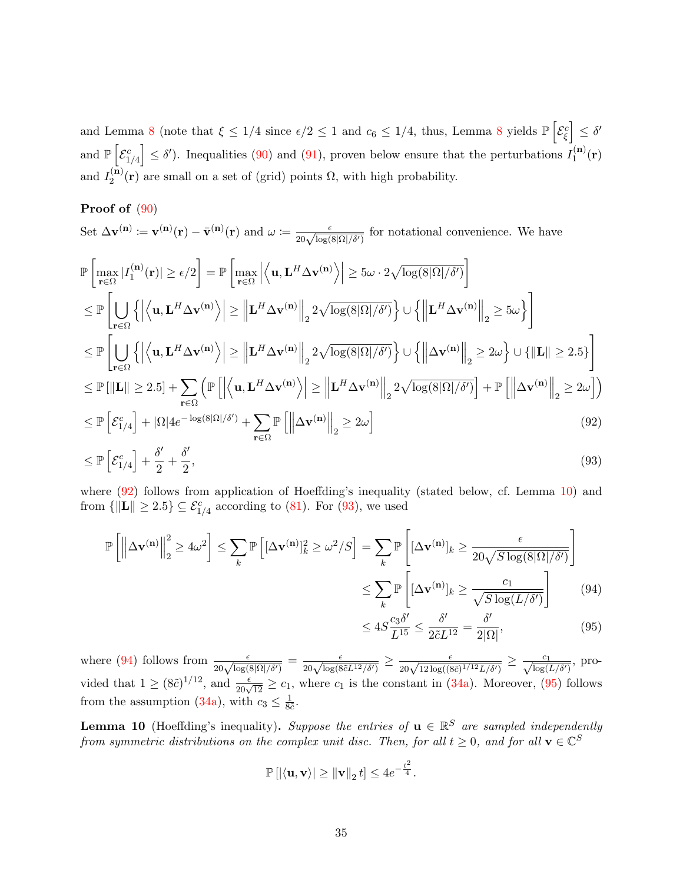and Lemma [8](#page-32-5) (note that  $\xi \leq 1/4$  since  $\epsilon/2 \leq 1$  and  $c_6 \leq 1/4$ , thus, Lemma 8 yields  $\mathbb{P}\left[\mathcal{E}_{\xi}^c\right] \leq \delta'$ and  $\mathbb{P}\left[\mathcal{E}_{1/4}^c\right] \leq \delta'$ ). Inequalities [\(90\)](#page-33-2) and [\(91\)](#page-33-3), proven below ensure that the perturbations  $I_1^{(n)}$  $\mathbf{f}_{1}^{(\mathbf{n})}(\mathbf{r})$ and  $I_2^{(n)}$  $2^{(n)}(r)$  are small on a set of (grid) points  $\Omega$ , with high probability.

### Proof of [\(90\)](#page-33-2)

Set 
$$
\Delta \mathbf{v}^{(\mathbf{n})} := \mathbf{v}^{(\mathbf{n})}(\mathbf{r}) - \bar{\mathbf{v}}^{(\mathbf{n})}(\mathbf{r})
$$
 and  $\omega := \frac{\epsilon}{20\sqrt{\log(8|\Omega|/\delta')}}$   
\n $\mathbb{P}\left[\max_{\mathbf{r}\in\Omega}|I_{1}^{(\mathbf{n})}(\mathbf{r})| \geq \epsilon/2\right] = \mathbb{P}\left[\max_{\mathbf{r}\in\Omega}\left|\left\langle\mathbf{u},\mathbf{L}^{H}\Delta\mathbf{v}^{(\mathbf{n})}\right\rangle\right| \geq 5\omega \cdot 2\sqrt{\log(8|\Omega|/\delta')} \right]$   
\n $\leq \mathbb{P}\left[\bigcup_{\mathbf{r}\in\Omega}\left\{\left|\left\langle\mathbf{u},\mathbf{L}^{H}\Delta\mathbf{v}^{(\mathbf{n})}\right\rangle\right| \geq \left\|\mathbf{L}^{H}\Delta\mathbf{v}^{(\mathbf{n})}\right\|_{2} 2\sqrt{\log(8|\Omega|/\delta')} \right\} \cup \left\{\left\|\mathbf{L}^{H}\Delta\mathbf{v}^{(\mathbf{n})}\right\|_{2} \geq 5\omega\right\}\right]$   
\n $\leq \mathbb{P}\left[\bigcup_{\mathbf{r}\in\Omega}\left\{\left|\left\langle\mathbf{u},\mathbf{L}^{H}\Delta\mathbf{v}^{(\mathbf{n})}\right\rangle\right| \geq \left\|\mathbf{L}^{H}\Delta\mathbf{v}^{(\mathbf{n})}\right\|_{2} 2\sqrt{\log(8|\Omega|/\delta')} \right\} \cup \left\{\left\|\Delta\mathbf{v}^{(\mathbf{n})}\right\|_{2} \geq 2\omega\right\} \cup \left\{\|\mathbf{L}\| \geq 2.5 \right\}\right]$   
\n $\leq \mathbb{P}\left[\|\mathbf{L}\| \geq 2.5\right] + \sum_{\mathbf{r}\in\Omega}\left(\mathbb{P}\left[\left|\left\langle\mathbf{u},\mathbf{L}^{H}\Delta\mathbf{v}^{(\mathbf{n})}\right\rangle\right| \geq \left\|\mathbf{L}^{H}\Delta\mathbf{v}^{(\mathbf{n})}\right\|_{2} 2\sqrt{\log(8|\Omega|/\delta')} \right] + \mathbb{P}\left[\left\|\Delta\math$ 

$$
\leq \mathbb{P}\left[\mathcal{E}_{1/4}^{c}\right] + \frac{\delta'}{2} + \frac{\delta'}{2},\tag{93}
$$

where  $(92)$  follows from application of Hoeffding's inequality (stated below, cf. Lemma [10\)](#page-34-1) and from  $\{\Vert \mathbf{L} \Vert \geq 2.5\} \subseteq \mathcal{E}_{1/4}^c$  according to [\(81\)](#page-32-6). For [\(93\)](#page-34-2), we used

$$
\mathbb{P}\left[\left\|\Delta\mathbf{v}^{(\mathbf{n})}\right\|_{2}^{2} \geq 4\omega^{2}\right] \leq \sum_{k} \mathbb{P}\left[(\Delta\mathbf{v}^{(\mathbf{n})}]_{k}^{2} \geq \omega^{2}/S\right] = \sum_{k} \mathbb{P}\left[(\Delta\mathbf{v}^{(\mathbf{n})}]_{k} \geq \frac{\epsilon}{20\sqrt{S\log(8|\Omega|/\delta')}}\right]
$$

$$
\leq \sum_{k} \mathbb{P}\left[(\Delta\mathbf{v}^{(\mathbf{n})}]_{k} \geq \frac{c_{1}}{\sqrt{S\log(L/\delta')}}\right] \tag{94}
$$

<span id="page-34-4"></span><span id="page-34-3"></span><span id="page-34-2"></span><span id="page-34-0"></span>
$$
\leq 4S \frac{c_3 \delta'}{L^{15}} \leq \frac{\delta'}{2\tilde{c} L^{12}} = \frac{\delta'}{2|\Omega|},\tag{95}
$$

where [\(94\)](#page-34-3) follows from  $\frac{\epsilon}{20\sqrt{\log(8|\Omega|/\delta')}} = \frac{\epsilon}{20\sqrt{\log(8\tilde{c}L^{12}/\delta')}} \ge \frac{\epsilon}{20\sqrt{12\log((8\tilde{c})^{1/12}L/\delta')}} \ge \frac{c_1}{\sqrt{\log(L/\delta')}}$ , provided that  $1 \geq (8\tilde{c})^{1/12}$ , and  $\frac{\epsilon}{20\sqrt{12}} \geq c_1$ , where  $c_1$  is the constant in  $(34a)$ . Moreover,  $(95)$  follows from the assumption [\(34a\)](#page-17-1), with  $c_3 \leq \frac{1}{86}$  $\frac{1}{8\tilde{c}}$ .

<span id="page-34-1"></span>**Lemma 10** (Hoeffding's inequality). Suppose the entries of  $\mathbf{u} \in \mathbb{R}^S$  are sampled independently from symmetric distributions on the complex unit disc. Then, for all  $t \geq 0$ , and for all  $\mathbf{v} \in \mathbb{C}^S$ 

$$
\mathbb{P}\left[\left|\langle \mathbf{u}, \mathbf{v} \rangle\right| \ge \|\mathbf{v}\|_2 t\right] \le 4e^{-\frac{t^2}{4}}.
$$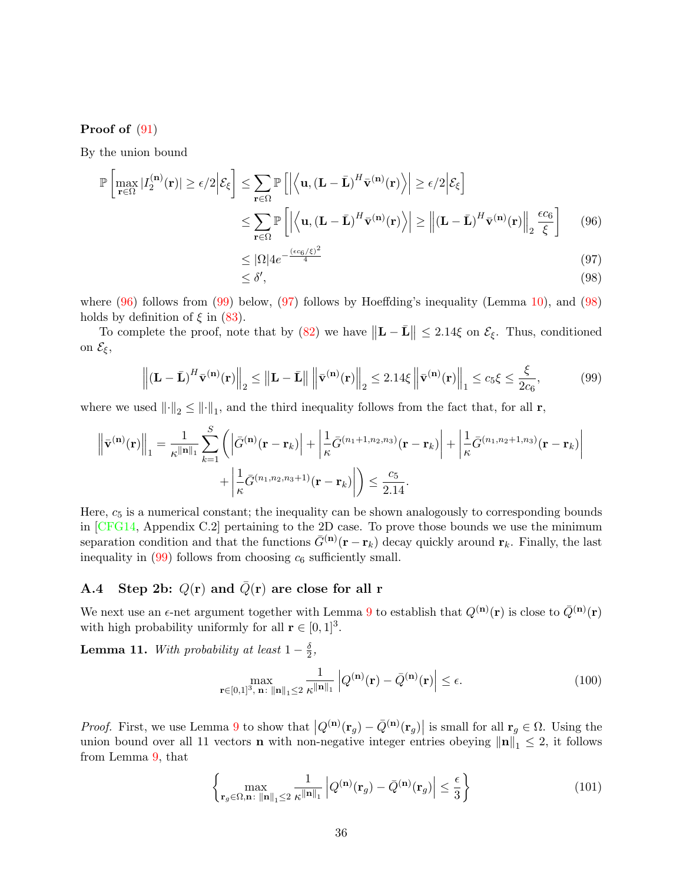#### Proof of [\(91\)](#page-33-3)

By the union bound

$$
\mathbb{P}\left[\max_{\mathbf{r}\in\Omega}|I_{2}^{(\mathbf{n})}(\mathbf{r})|\geq\epsilon/2\Big|\mathcal{E}_{\xi}\right]\leq\sum_{\mathbf{r}\in\Omega}\mathbb{P}\left[\left|\left\langle\mathbf{u},(\mathbf{L}-\bar{\mathbf{L}})^{H}\bar{\mathbf{v}}^{(\mathbf{n})}(\mathbf{r})\right\rangle\right|\geq\epsilon/2\Big|\mathcal{E}_{\xi}\right]
$$

$$
\leq\sum_{\mathbf{r}\in\Omega}\mathbb{P}\left[\left|\left\langle\mathbf{u},(\mathbf{L}-\bar{\mathbf{L}})^{H}\bar{\mathbf{v}}^{(\mathbf{n})}(\mathbf{r})\right\rangle\right|\geq\left\|(\mathbf{L}-\bar{\mathbf{L}})^{H}\bar{\mathbf{v}}^{(\mathbf{n})}(\mathbf{r})\right\|_{2}\frac{\epsilon c_{6}}{\xi}\right]
$$
(96)

<span id="page-35-0"></span>
$$
\leq |\Omega| 4e^{-\frac{(\epsilon c_6/\xi)^2}{4}} \tag{97}
$$

<span id="page-35-3"></span><span id="page-35-2"></span><span id="page-35-1"></span>
$$
\leq \delta',\tag{98}
$$

where  $(96)$  follows from  $(99)$  below,  $(97)$  follows by Hoeffding's inequality (Lemma [10\)](#page-34-1), and  $(98)$ holds by definition of  $\xi$  in [\(83\)](#page-32-7).

To complete the proof, note that by [\(82\)](#page-32-0) we have  $\|\mathbf{L} - \bar{\mathbf{L}}\| \leq 2.14\xi$  on  $\mathcal{E}_{\xi}$ . Thus, conditioned on  $\mathcal{E}_{\xi}$ ,

$$
\left\| \left( \mathbf{L} - \bar{\mathbf{L}} \right)^H \bar{\mathbf{v}}^{(\mathbf{n})}(\mathbf{r}) \right\|_2 \le \left\| \mathbf{L} - \bar{\mathbf{L}} \right\| \left\| \bar{\mathbf{v}}^{(\mathbf{n})}(\mathbf{r}) \right\|_2 \le 2.14 \xi \left\| \bar{\mathbf{v}}^{(\mathbf{n})}(\mathbf{r}) \right\|_1 \le c_5 \xi \le \frac{\xi}{2c_6},\tag{99}
$$

where we used  $\|\cdot\|_2 \le \|\cdot\|_1$ , and the third inequality follows from the fact that, for all **r**,

$$
\left\| \bar{\mathbf{v}}^{(\mathbf{n})}(\mathbf{r}) \right\|_1 = \frac{1}{\kappa^{\|\mathbf{n}\|_1}} \sum_{k=1}^S \left( \left| \bar{G}^{(\mathbf{n})}(\mathbf{r} - \mathbf{r}_k) \right| + \left| \frac{1}{\kappa} \bar{G}^{(n_1+1,n_2,n_3)}(\mathbf{r} - \mathbf{r}_k) \right| + \left| \frac{1}{\kappa} \bar{G}^{(n_1,n_2+1,n_3)}(\mathbf{r} - \mathbf{r}_k) \right| + \left| \frac{1}{\kappa} \bar{G}^{(n_1,n_2+1,n_3)}(\mathbf{r} - \mathbf{r}_k) \right| \right)
$$

Here,  $c<sub>5</sub>$  is a numerical constant; the inequality can be shown analogously to corresponding bounds in [\[CFG14,](#page-26-1) Appendix C.2] pertaining to the 2D case. To prove those bounds we use the minimum separation condition and that the functions  $\bar{G}^{(n)}(\mathbf{r}-\mathbf{r}_k)$  decay quickly around  $\mathbf{r}_k$ . Finally, the last inequality in  $(99)$  follows from choosing  $c_6$  sufficiently small.

### A.4 Step 2b:  $Q(r)$  and  $\overline{Q}(r)$  are close for all r

We next use an  $\epsilon$ -net argument together with Lemma [9](#page-32-4) to establish that  $Q^{(\mathbf{n})}(\mathbf{r})$  is close to  $\bar{Q}^{(\mathbf{n})}(\mathbf{r})$ with high probability uniformly for all  $\mathbf{r} \in [0,1]^3$ .

**Lemma 11.** With probability at least  $1-\frac{\delta}{2}$  $\frac{\delta}{2}$ ,

<span id="page-35-5"></span>
$$
\max_{\mathbf{r}\in[0,1]^3,\,\mathbf{n}\colon\|\mathbf{n}\|_1\leq 2}\frac{1}{\kappa^{\|\mathbf{n}\|_1}}\left|Q^{(\mathbf{n})}(\mathbf{r})-\bar{Q}^{(\mathbf{n})}(\mathbf{r})\right|\leq \epsilon. \tag{100}
$$

*Proof.* First, we use Lemma [9](#page-32-4) to show that  $|Q^{(n)}(\mathbf{r}_g) - \bar{Q}^{(n)}(\mathbf{r}_g)|$  is small for all  $\mathbf{r}_g \in \Omega$ . Using the union bound over all 11 vectors **n** with non-negative integer entries obeying  $\|\mathbf{n}\|_1 \leq 2$ , it follows from Lemma [9,](#page-32-4) that

<span id="page-35-4"></span>
$$
\left\{\max_{\mathbf{r}_g \in \Omega, \mathbf{n} \colon \|\mathbf{n}\|_1 \le 2} \frac{1}{\kappa \|\mathbf{n}\|_1} \left| Q^{(\mathbf{n})}(\mathbf{r}_g) - \bar{Q}^{(\mathbf{n})}(\mathbf{r}_g) \right| \le \frac{\epsilon}{3} \right\} \tag{101}
$$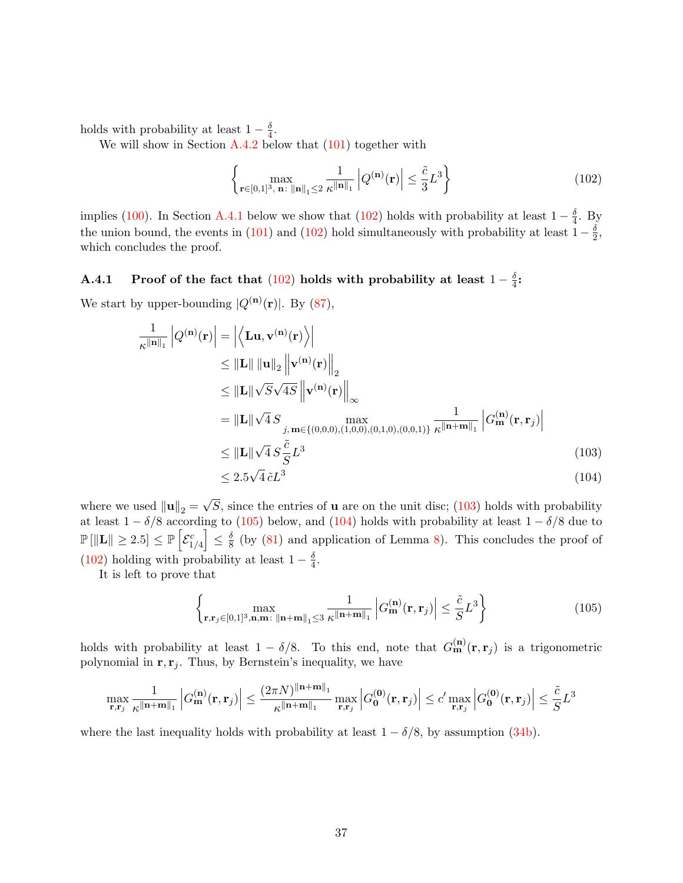holds with probability at least  $1-\frac{\delta}{4}$  $\frac{\delta}{4}$ .

We will show in Section  $A.4.2$  below that  $(101)$  together with

<span id="page-36-1"></span>
$$
\left\{ \max_{\mathbf{r} \in [0,1]^3, \mathbf{n}: \|\mathbf{n}\|_1 \le 2} \frac{1}{\kappa \|\mathbf{n}\|_1} \left| Q^{(\mathbf{n})}(\mathbf{r}) \right| \le \frac{\tilde{c}}{3} L^3 \right\}
$$
(102)

implies [\(100\)](#page-35-5). In Section [A.4.1](#page-36-0) below we show that [\(102\)](#page-36-1) holds with probability at least  $1-\frac{\delta}{4}$  $\frac{\delta}{4}$ . By the union bound, the events in [\(101\)](#page-35-4) and [\(102\)](#page-36-1) hold simultaneously with probability at least  $1-\frac{\delta}{2}$  $\frac{\delta}{2}$ , which concludes the proof.

#### <span id="page-36-0"></span>A.4.1 Proof of the fact that [\(102\)](#page-36-1) holds with probability at least  $1-\frac{\delta}{4}$  $\frac{\delta}{4}$ :

We start by upper-bounding  $|Q^{(\mathbf{n})}(\mathbf{r})|$ . By [\(87\)](#page-33-4),

$$
\frac{1}{\kappa^{\|\mathbf{n}\|_1}} |Q^{(\mathbf{n})}(\mathbf{r})| = \left| \left\langle \mathbf{L} \mathbf{u}, \mathbf{v}^{(\mathbf{n})}(\mathbf{r}) \right\rangle \right|
$$
\n
$$
\leq \|\mathbf{L}\| \|\mathbf{u}\|_2 \left\| \mathbf{v}^{(\mathbf{n})}(\mathbf{r}) \right\|_2
$$
\n
$$
\leq \|\mathbf{L}\| \sqrt{S} \sqrt{4S} \left\| \mathbf{v}^{(\mathbf{n})}(\mathbf{r}) \right\|_{\infty}
$$
\n
$$
= \|\mathbf{L}\| \sqrt{4} S \max_{j, \mathbf{m} \in \{(0,0,0), (1,0,0), (0,1,0), (0,0,1)\}} \frac{1}{\kappa^{\|\mathbf{n} + \mathbf{m}\|_1}} |G_{\mathbf{m}}^{(\mathbf{n})}(\mathbf{r}, \mathbf{r}_j)|
$$
\n
$$
\leq \|\mathbf{L}\| \sqrt{4} S \frac{\tilde{c}}{S} L^3
$$
\n(103)

<span id="page-36-4"></span><span id="page-36-3"></span><span id="page-36-2"></span>
$$
\leq 2.5\sqrt{4}\,\tilde{c}L^3\tag{104}
$$

where we used  $\left\| \mathbf{u} \right\|_2 =$ √ S, since the entries of  $\bf{u}$  are on the unit disc; [\(103\)](#page-36-2) holds with probability at least  $1 - \delta/8$  according to [\(105\)](#page-36-3) below, and [\(104\)](#page-36-4) holds with probability at least  $1 - \delta/8$  due to  $\mathbb{P}\left[ \left\Vert \mathbf{L} \right\Vert \geq 2.5 \right] \leq \mathbb{P}\left[ \mathcal{E}_{1/4}^c \right] \leq \frac{\delta}{8}$  $\frac{8}{8}$  (by [\(81\)](#page-32-6) and application of Lemma [8\)](#page-32-5). This concludes the proof of [\(102\)](#page-36-1) holding with probability at least  $1 - \frac{\delta}{4}$  $\frac{\delta}{4}$ .

It is left to prove that

$$
\left\{\max_{\mathbf{r},\mathbf{r}_j\in[0,1]^3,\mathbf{n},\mathbf{m}\colon\|\mathbf{n}+\mathbf{m}\|_1\leq 3} \frac{1}{\kappa^{\|\mathbf{n}+\mathbf{m}\|_1}} \left| G_{\mathbf{m}}^{(\mathbf{n})}(\mathbf{r},\mathbf{r}_j) \right| \leq \frac{\tilde{c}}{S} L^3 \right\}
$$
(105)

holds with probability at least  $1 - \delta/8$ . To this end, note that  $G_{\mathbf{m}}^{(\mathbf{n})}(\mathbf{r}, \mathbf{r}_j)$  is a trigonometric polynomial in  $\mathbf{r}, \mathbf{r}_i$ . Thus, by Bernstein's inequality, we have

$$
\max_{\mathbf{r}, \mathbf{r}_j} \frac{1}{\kappa^{\|\mathbf{n}+\mathbf{m}\|_1}} \left| G_{\mathbf{m}}^{(\mathbf{n})}(\mathbf{r}, \mathbf{r}_j) \right| \leq \frac{(2\pi N)^{\|\mathbf{n}+\mathbf{m}\|_1}}{\kappa^{\|\mathbf{n}+\mathbf{m}\|_1}} \max_{\mathbf{r}, \mathbf{r}_j} \left| G_{\mathbf{0}}^{(\mathbf{0})}(\mathbf{r}, \mathbf{r}_j) \right| \leq c' \max_{\mathbf{r}, \mathbf{r}_j} \left| G_{\mathbf{0}}^{(\mathbf{0})}(\mathbf{r}, \mathbf{r}_j) \right| \leq \frac{\tilde{c}}{S} L^3
$$

where the last inequality holds with probability at least  $1 - \delta/8$ , by assumption [\(34b\)](#page-17-2).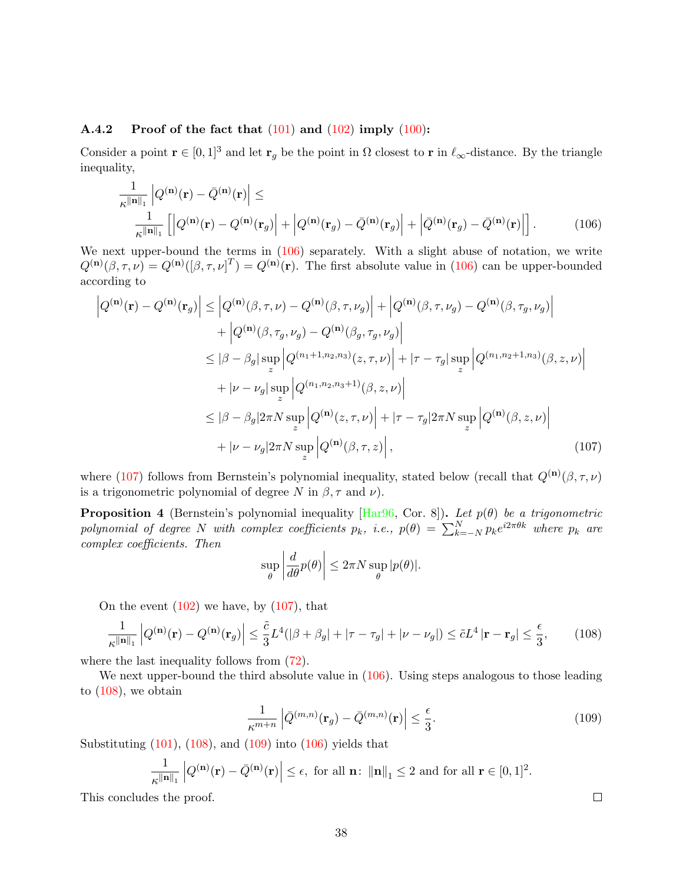#### <span id="page-37-0"></span>A.4.2 Proof of the fact that  $(101)$  and  $(102)$  imply  $(100)$ :

Consider a point  $\mathbf{r} \in [0,1]^3$  and let  $\mathbf{r}_q$  be the point in  $\Omega$  closest to r in  $\ell_{\infty}$ -distance. By the triangle inequality,

<span id="page-37-1"></span>
$$
\frac{1}{\kappa^{\|\mathbf{n}\|_1}} \left| Q^{(\mathbf{n})}(\mathbf{r}) - \bar{Q}^{(\mathbf{n})}(\mathbf{r}) \right| \le
$$
\n
$$
\frac{1}{\kappa^{\|\mathbf{n}\|_1}} \left[ \left| Q^{(\mathbf{n})}(\mathbf{r}) - Q^{(\mathbf{n})}(\mathbf{r}_g) \right| + \left| Q^{(\mathbf{n})}(\mathbf{r}_g) - \bar{Q}^{(\mathbf{n})}(\mathbf{r}_g) \right| + \left| \bar{Q}^{(\mathbf{n})}(\mathbf{r}_g) - \bar{Q}^{(\mathbf{n})}(\mathbf{r}) \right| \right].
$$
\n(106)

We next upper-bound the terms in  $(106)$  separately. With a slight abuse of notation, we write  $Q^{(n)}(\beta, \tau, \nu) = Q^{(n)}([\beta, \tau, \nu]^T) = Q^{(n)}(\mathbf{r})$ . The first absolute value in [\(106\)](#page-37-1) can be upper-bounded according to

$$
\left| Q^{(\mathbf{n})}(\mathbf{r}) - Q^{(\mathbf{n})}(\mathbf{r}_{g}) \right| \leq \left| Q^{(\mathbf{n})}(\beta, \tau, \nu) - Q^{(\mathbf{n})}(\beta, \tau, \nu_{g}) \right| + \left| Q^{(\mathbf{n})}(\beta, \tau, \nu_{g}) - Q^{(\mathbf{n})}(\beta, \tau_{g}, \nu_{g}) \right| \n+ \left| Q^{(\mathbf{n})}(\beta, \tau_{g}, \nu_{g}) - Q^{(\mathbf{n})}(\beta_{g}, \tau_{g}, \nu_{g}) \right| \n\leq |\beta - \beta_{g}| \sup_{z} \left| Q^{(n_{1}+1, n_{2}, n_{3})}(z, \tau, \nu) \right| + |\tau - \tau_{g}| \sup_{z} \left| Q^{(n_{1}, n_{2}+1, n_{3})}(\beta, z, \nu) \right| \n+ |\nu - \nu_{g}| \sup_{z} \left| Q^{(n_{1}, n_{2}, n_{3}+1)}(\beta, z, \nu) \right| \n\leq |\beta - \beta_{g}| 2\pi N \sup_{z} \left| Q^{(\mathbf{n})}(z, \tau, \nu) \right| + |\tau - \tau_{g}| 2\pi N \sup_{z} \left| Q^{(\mathbf{n})}(\beta, z, \nu) \right| \n+ |\nu - \nu_{g}| 2\pi N \sup_{z} \left| Q^{(\mathbf{n})}(\beta, \tau, z) \right|,
$$
\n(107)

where [\(107\)](#page-37-2) follows from Bernstein's polynomial inequality, stated below (recall that  $Q^{(n)}(\beta, \tau, \nu)$ is a trigonometric polynomial of degree N in  $\beta$ ,  $\tau$  and  $\nu$ ).

**Proposition 4** (Bernstein's polynomial inequality [\[Har96,](#page-27-17) Cor. 8]). Let  $p(\theta)$  be a trigonometric polynomial of degree N with complex coefficients  $p_k$ , i.e.,  $p(\theta) = \sum_{k=-N}^{N} p_k e^{i2\pi \theta k}$  where  $p_k$  are complex coefficients. Then

<span id="page-37-2"></span>
$$
\sup_{\theta} \left| \frac{d}{d\theta} p(\theta) \right| \le 2\pi N \sup_{\theta} |p(\theta)|.
$$

On the event  $(102)$  we have, by  $(107)$ , that

$$
\frac{1}{\kappa \|\mathbf{n}\|_1} \left| Q^{(\mathbf{n})}(\mathbf{r}) - Q^{(\mathbf{n})}(\mathbf{r}_g) \right| \le \frac{\tilde{c}}{3} L^4 (|\beta + \beta_g| + |\tau - \tau_g| + |\nu - \nu_g|) \le \tilde{c} L^4 |\mathbf{r} - \mathbf{r}_g| \le \frac{\epsilon}{3},\tag{108}
$$

where the last inequality follows from  $(72)$ .

We next upper-bound the third absolute value in  $(106)$ . Using steps analogous to those leading to [\(108\)](#page-37-3), we obtain

$$
\frac{1}{\kappa^{m+n}} \left| \bar{Q}^{(m,n)}(\mathbf{r}_g) - \bar{Q}^{(m,n)}(\mathbf{r}) \right| \le \frac{\epsilon}{3}.
$$
\n(109)

Substituting  $(101)$ ,  $(108)$ , and  $(109)$  into  $(106)$  yields that

$$
\frac{1}{\kappa^{\|\mathbf{n}\|_1}}\left|Q^{(\mathbf{n})}(\mathbf{r})-\bar{Q}^{(\mathbf{n})}(\mathbf{r})\right|\leq \epsilon, \text{ for all } \mathbf{n}\colon \|\mathbf{n}\|_1\leq 2 \text{ and for all } \mathbf{r}\in [0,1]^2.
$$

This concludes the proof.

<span id="page-37-4"></span><span id="page-37-3"></span> $\Box$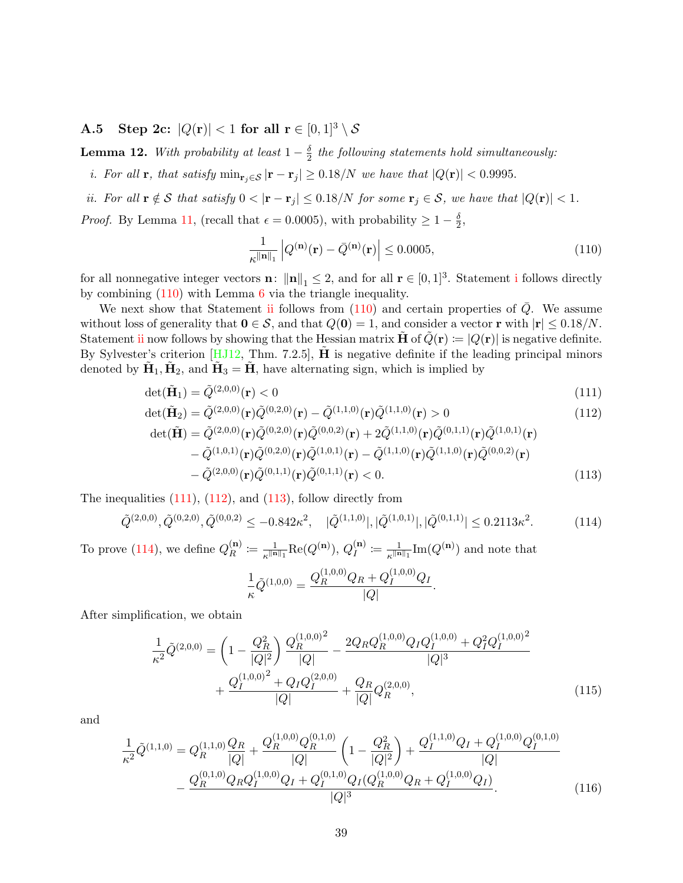A.5 Step 2c:  $|Q(\mathbf{r})| < 1$  for all  $\mathbf{r} \in [0,1]^3 \setminus \mathcal{S}$ 

**Lemma 12.** With probability at least  $1-\frac{\delta}{2}$  $\frac{\delta}{2}$  the following statements hold simultaneously:

<span id="page-38-0"></span>i. For all **r**, that satisfy  $\min_{\mathbf{r}_j \in \mathcal{S}} |\mathbf{r} - \mathbf{r}_j| \geq 0.18/N$  we have that  $|Q(\mathbf{r})| < 0.9995$ .

<span id="page-38-2"></span>ii. For all  $\mathbf{r} \notin \mathcal{S}$  that satisfy  $0 < |\mathbf{r} - \mathbf{r}_j| \leq 0.18/N$  for some  $\mathbf{r}_j \in \mathcal{S}$ , we have that  $|Q(\mathbf{r})| < 1$ .

*Proof.* By Lemma [11,](#page-35-5) (recall that  $\epsilon = 0.0005$ ), with probability  $\geq 1 - \frac{\delta}{2}$  $\frac{\delta}{2}$ ,

<span id="page-38-4"></span><span id="page-38-3"></span><span id="page-38-1"></span>
$$
\frac{1}{\kappa \|\mathbf{n}\|_1} \left| Q^{(\mathbf{n})}(\mathbf{r}) - \bar{Q}^{(\mathbf{n})}(\mathbf{r}) \right| \le 0.0005,\tag{110}
$$

for all nonnegat[i](#page-38-0)ve integer vectors **n**:  $\|\mathbf{n}\|_1 \leq 2$ , and for all  $\mathbf{r} \in [0, 1]^3$ . Statement i follows directly by combining [\(110\)](#page-38-1) with Lemma [6](#page-31-2) via the triangle inequality.

We next show that Statement [ii](#page-38-2) follows from  $(110)$  and certain properties of  $\overline{Q}$ . We assume without loss of generality that  $0 \in S$ , and that  $Q(0) = 1$ , and consider a vector r with  $|r| \le 0.18/N$ . Statement [ii](#page-38-2) now follows by showing that the Hessian matrix  $H$  of  $Q(\mathbf{r}) \coloneqq |Q(\mathbf{r})|$  is negative definite. By Sylvester's criterion  $[HJ12, Thm. 7.2.5]$  $[HJ12, Thm. 7.2.5]$ , **H** is negative definite if the leading principal minors denoted by  $\tilde{\mathbf{H}}_1$ ,  $\tilde{\mathbf{H}}_2$ , and  $\tilde{\mathbf{H}}_3 = \tilde{\mathbf{H}}$ , have alternating sign, which is implied by

$$
\det(\tilde{\mathbf{H}}_1) = \tilde{Q}^{(2,0,0)}(\mathbf{r}) < 0 \tag{111}
$$

$$
\det(\tilde{\mathbf{H}}_2) = \tilde{Q}^{(2,0,0)}(\mathbf{r})\tilde{Q}^{(0,2,0)}(\mathbf{r}) - \tilde{Q}^{(1,1,0)}(\mathbf{r})\tilde{Q}^{(1,1,0)}(\mathbf{r}) > 0
$$
\n(112)

$$
\det(\tilde{\mathbf{H}}) = \tilde{Q}^{(2,0,0)}(\mathbf{r})\tilde{Q}^{(0,2,0)}(\mathbf{r})\tilde{Q}^{(0,0,2)}(\mathbf{r}) + 2\tilde{Q}^{(1,1,0)}(\mathbf{r})\tilde{Q}^{(0,1,1)}(\mathbf{r})\tilde{Q}^{(1,0,1)}(\mathbf{r}) - \tilde{Q}^{(1,0,1)}(\mathbf{r})\tilde{Q}^{(0,2,0)}(\mathbf{r})\tilde{Q}^{(1,0,1)}(\mathbf{r}) - \tilde{Q}^{(1,1,0)}(\mathbf{r})\tilde{Q}^{(1,1,0)}(\mathbf{r})\tilde{Q}^{(0,0,2)}(\mathbf{r}) - \tilde{Q}^{(2,0,0)}(\mathbf{r})\tilde{Q}^{(0,1,1)}(\mathbf{r})\tilde{Q}^{(0,1,1)}(\mathbf{r}) < 0.
$$
\n(113)

The inequalities  $(111)$ ,  $(112)$ , and  $(113)$ , follow directly from

$$
\tilde{Q}^{(2,0,0)}, \tilde{Q}^{(0,2,0)}, \tilde{Q}^{(0,0,2)} \le -0.842\kappa^2, \quad |\tilde{Q}^{(1,1,0)}|, |\tilde{Q}^{(1,0,1)}|, |\tilde{Q}^{(0,1,1)}| \le 0.2113\kappa^2. \tag{114}
$$

To prove [\(114\)](#page-38-6), we define  $Q_R^{(n)}$  $\mathsf{f}_R^{(\mathbf{n})} \coloneqq \frac{1}{\kappa^{\parallel \mathbf{n}}}$  $\frac{1}{\kappa^{\|\mathbf{n}\|_1}}\text{Re}(Q^{(\mathbf{n})}),\,Q^{(\mathbf{n})}_I$  $\frac{\mathbf{f}(\mathbf{n})}{I}\coloneqq \frac{1}{\kappa^{\parallel\mathbf{n}}}$  $\frac{1}{\kappa^{\|\mathbf{n}\|_1}} \text{Im}(Q^{(\mathbf{n})})$  and note that

<span id="page-38-8"></span><span id="page-38-7"></span><span id="page-38-6"></span><span id="page-38-5"></span>
$$
\frac{1}{\kappa}\tilde{Q}^{(1,0,0)} = \frac{Q_R^{(1,0,0)}Q_R + Q_I^{(1,0,0)}Q_I}{|Q|}.
$$

After simplification, we obtain

$$
\frac{1}{\kappa^2} \tilde{Q}^{(2,0,0)} = \left(1 - \frac{Q_R^2}{|Q|^2}\right) \frac{Q_R^{(1,0,0)^2}}{|Q|} - \frac{2Q_R Q_R^{(1,0,0)} Q_I Q_I^{(1,0,0)} + Q_I^2 Q_I^{(1,0,0)^2}}{|Q|^3} + \frac{Q_I^{(1,0,0)^2} + Q_I Q_I^{(2,0,0)}}{|Q|} + \frac{Q_R}{|Q|} Q_R^{(2,0,0)},\tag{115}
$$

and

$$
\frac{1}{\kappa^2} \tilde{Q}^{(1,1,0)} = Q_R^{(1,1,0)} \frac{Q_R}{|Q|} + \frac{Q_R^{(1,0,0)} Q_R^{(0,1,0)}}{|Q|} \left(1 - \frac{Q_R^2}{|Q|^2}\right) + \frac{Q_I^{(1,1,0)} Q_I + Q_I^{(1,0,0)} Q_I^{(0,1,0)}}{|Q|} \n- \frac{Q_R^{(0,1,0)} Q_R Q_I^{(1,0,0)} Q_I + Q_I^{(0,1,0)} Q_I (Q_R^{(1,0,0)} Q_R + Q_I^{(1,0,0)} Q_I)}{|Q|^3}.
$$
\n(116)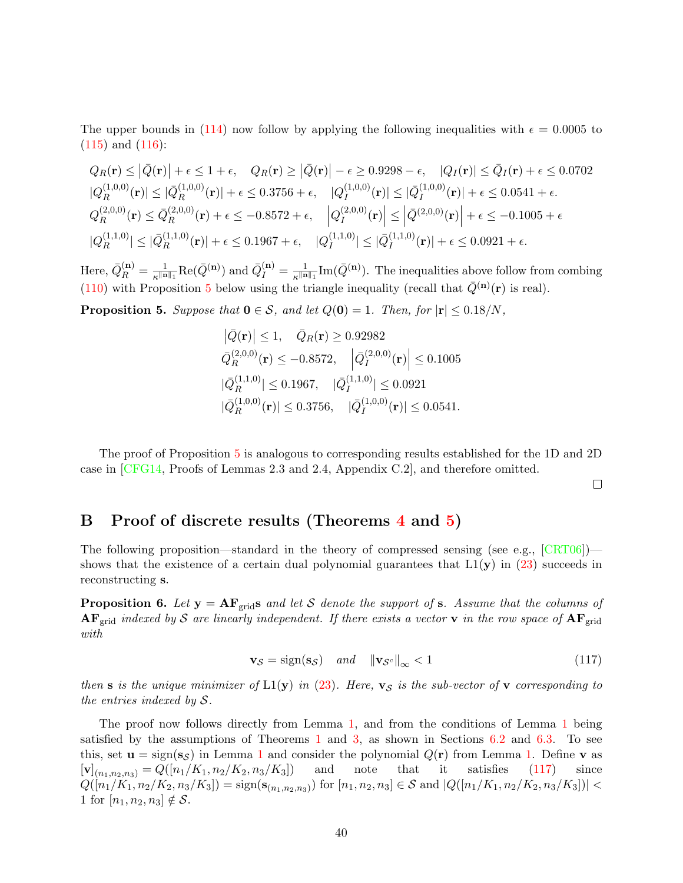The upper bounds in [\(114\)](#page-38-6) now follow by applying the following inequalities with  $\epsilon = 0.0005$  to [\(115\)](#page-38-7) and [\(116\)](#page-38-8):

$$
Q_R(\mathbf{r}) \le |\bar{Q}(\mathbf{r})| + \epsilon \le 1 + \epsilon, \quad Q_R(\mathbf{r}) \ge |\bar{Q}(\mathbf{r})| - \epsilon \ge 0.9298 - \epsilon, \quad |Q_I(\mathbf{r})| \le \bar{Q}_I(\mathbf{r}) + \epsilon \le 0.0702
$$
  
\n $|Q_R^{(1,0,0)}(\mathbf{r})| \le |\bar{Q}_R^{(1,0,0)}(\mathbf{r})| + \epsilon \le 0.3756 + \epsilon, \quad |Q_I^{(1,0,0)}(\mathbf{r})| \le |\bar{Q}_I^{(1,0,0)}(\mathbf{r})| + \epsilon \le 0.0541 + \epsilon.$   
\n $Q_R^{(2,0,0)}(\mathbf{r}) \le \bar{Q}_R^{(2,0,0)}(\mathbf{r}) + \epsilon \le -0.8572 + \epsilon, \quad |Q_I^{(2,0,0)}(\mathbf{r})| \le |\bar{Q}_I^{(2,0,0)}(\mathbf{r})| + \epsilon \le -0.1005 + \epsilon$   
\n $|Q_R^{(1,1,0)}| \le |\bar{Q}_R^{(1,1,0)}(\mathbf{r})| + \epsilon \le 0.1967 + \epsilon, \quad |Q_I^{(1,1,0)}| \le |\bar{Q}_I^{(1,1,0)}(\mathbf{r})| + \epsilon \le 0.0921 + \epsilon.$ 

Here,  $\bar{Q}_R^{(\mathbf{n})} = \frac{1}{\kappa^{\parallel \mathbf{n}}}$  $\frac{1}{\kappa^{\|\mathbf{n}\|_1}}\text{Re}(\bar{Q}^{(\mathbf{n})})$  and  $\bar{Q}^{(\mathbf{n})}_I = \frac{1}{\kappa^{\|\mathbf{n}\|_1}}$  $\frac{1}{\kappa^{\|\mathbf{n}\|_1}} \text{Im}(\bar{Q}^{(\mathbf{n})})$ . The inequalities above follow from combing [\(110\)](#page-38-1) with Proposition [5](#page-39-1) below using the triangle inequality (recall that  $\bar{Q}^{(n)}(\mathbf{r})$  is real).

<span id="page-39-1"></span>**Proposition 5.** Suppose that  $0 \in S$ , and let  $Q(0) = 1$ . Then, for  $|r| \leq 0.18/N$ ,

$$
\begin{aligned} \left| \bar{Q}(\mathbf{r}) \right| &\leq 1, \quad \bar{Q}_R(\mathbf{r}) \geq 0.92982 \\ \bar{Q}_R^{(2,0,0)}(\mathbf{r}) &\leq -0.8572, \quad \left| \bar{Q}_I^{(2,0,0)}(\mathbf{r}) \right| \leq 0.1005 \\ \left| \bar{Q}_R^{(1,1,0)} \right| &\leq 0.1967, \quad \left| \bar{Q}_I^{(1,1,0)} \right| \leq 0.0921 \\ \left| \bar{Q}_R^{(1,0,0)}(\mathbf{r}) \right| &\leq 0.3756, \quad \left| \bar{Q}_I^{(1,0,0)}(\mathbf{r}) \right| \leq 0.0541. \end{aligned}
$$

The proof of Proposition [5](#page-39-1) is analogous to corresponding results established for the 1D and 2D case in [\[CFG14,](#page-26-1) Proofs of Lemmas 2.3 and 2.4, Appendix C.2], and therefore omitted.

<span id="page-39-2"></span> $\Box$ 

## <span id="page-39-0"></span>B Proof of discrete results (Theorems [4](#page-12-2) and [5\)](#page-13-2)

The following proposition—standard in the theory of compressed sensing (see e.g., [\[CRT06\]](#page-26-0)) shows that the existence of a certain dual polynomial guarantees that  $L1(y)$  in [\(23\)](#page-12-3) succeeds in reconstructing s.

**Proposition 6.** Let  $y = AF_{grid}s$  and let S denote the support of s. Assume that the columns of  $AF_{grid}$  indexed by S are linearly independent. If there exists a vector v in the row space of  $AF_{grid}$ with

$$
\mathbf{v}_{\mathcal{S}} = \text{sign}(\mathbf{s}_{\mathcal{S}}) \quad \text{and} \quad \|\mathbf{v}_{\mathcal{S}^c}\|_{\infty} < 1 \tag{117}
$$

then s is the unique minimizer of  $L1(y)$  in [\(23\)](#page-12-3). Here,  $v_s$  is the sub-vector of v corresponding to the entries indexed by S.

The proof now follows directly from Lemma [1,](#page-17-0) and from the conditions of Lemma [1](#page-17-0) being satisfied by the assumptions of Theorems [1](#page-9-0) and [3,](#page-11-1) as shown in Sections [6.2](#page-17-4) and [6.3.](#page-20-0) To see this, set  $\mathbf{u} = \text{sign}(s_{\mathcal{S}})$  in Lemma [1](#page-17-0) and consider the polynomial  $Q(\mathbf{r})$  from Lemma [1.](#page-17-0) Define  $\mathbf{v}$  as  $[\mathbf{v}]_{(n_1,n_2,n_3)} = Q([n_1/K_1,n_2/K_2,n_3/K_3])$  and note that it satisfies [\(117\)](#page-39-2) since  $Q([n_1/K_1, n_2/K_2, n_3/K_3]) = \text{sign}(\mathbf{s}_{(n_1,n_2,n_3)})$  for  $[n_1, n_2, n_3] \in \mathcal{S}$  and  $|Q([n_1/K_1, n_2/K_2, n_3/K_3])|$ 1 for  $[n_1, n_2, n_3] \notin S$ .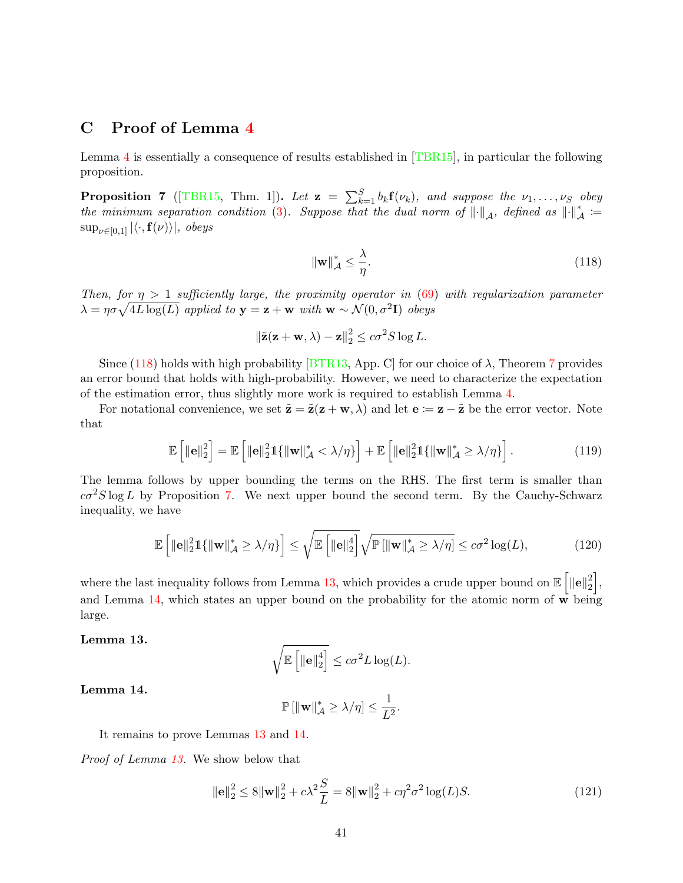## <span id="page-40-0"></span>C Proof of Lemma [4](#page-26-9)

Lemma [4](#page-26-9) is essentially a consequence of results established in [\[TBR15\]](#page-28-15), in particular the following proposition.

<span id="page-40-2"></span>**Proposition 7** ([\[TBR15,](#page-28-15) Thm. 1]). Let  $\mathbf{z} = \sum_{k=1}^{S} b_k \mathbf{f}(\nu_k)$ , and suppose the  $\nu_1, \ldots, \nu_S$  obey the minimum separation condition [\(3\)](#page-2-0). Suppose that the dual norm of  $\|\cdot\|_{\mathcal{A}}$ , defined as  $\|\cdot\|_{\mathcal{A}}^* :=$  $\sup_{\nu \in [0,1]} |\langle \cdot, \mathbf{f}(\nu) \rangle|, \text{ obeys}$ 

<span id="page-40-1"></span>
$$
\|\mathbf{w}\|_{\mathcal{A}}^* \le \frac{\lambda}{\eta}.\tag{118}
$$

Then, for  $\eta > 1$  sufficiently large, the proximity operator in [\(69\)](#page-26-10) with regularization parameter  $\lambda = \eta \sigma \sqrt{4L \log(L)}$  applied to  $\mathbf{y} = \mathbf{z} + \mathbf{w}$  with  $\mathbf{w} \sim \mathcal{N}(0, \sigma^2 \mathbf{I})$  obeys

$$
\|\tilde{\mathbf{z}}(\mathbf{z} + \mathbf{w}, \lambda) - \mathbf{z}\|_2^2 \le c\sigma^2 S \log L.
$$

Since [\(118\)](#page-40-1) holds with high probability [\[BTR13,](#page-26-3) App. C] for our choice of  $\lambda$ , Theorem [7](#page-40-2) provides an error bound that holds with high-probability. However, we need to characterize the expectation of the estimation error, thus slightly more work is required to establish Lemma [4.](#page-26-9)

For notational convenience, we set  $\tilde{\mathbf{z}} = \tilde{\mathbf{z}}(\mathbf{z} + \mathbf{w}, \lambda)$  and let  $\mathbf{e} := \mathbf{z} - \tilde{\mathbf{z}}$  be the error vector. Note that

$$
\mathbb{E}\left[\|\mathbf{e}\|_2^2\right] = \mathbb{E}\left[\|\mathbf{e}\|_2^2 \mathbb{1}\{\|\mathbf{w}\|_{\mathcal{A}}^* < \lambda/\eta\}\right] + \mathbb{E}\left[\|\mathbf{e}\|_2^2 \mathbb{1}\{\|\mathbf{w}\|_{\mathcal{A}}^* \ge \lambda/\eta\}\right].\tag{119}
$$

The lemma follows by upper bounding the terms on the RHS. The first term is smaller than  $c\sigma^2S\log L$  by Proposition [7.](#page-40-2) We next upper bound the second term. By the Cauchy-Schwarz inequality, we have

$$
\mathbb{E}\left[\|\mathbf{e}\|_{2}^{2}\mathbb{1}\{\|\mathbf{w}\|_{\mathcal{A}}^{*} \geq \lambda/\eta\}\right] \leq \sqrt{\mathbb{E}\left[\|\mathbf{e}\|_{2}^{4}\right]}\sqrt{\mathbb{P}\left[\|\mathbf{w}\|_{\mathcal{A}}^{*} \geq \lambda/\eta\right]} \leq c\sigma^{2}\log(L),\tag{120}
$$

where the last inequality follows from Lemma [13,](#page-40-3) which provides a crude upper bound on  $\mathbb{E}\left[\|\mathbf{e}\|_2^2\right]$  $\begin{bmatrix} 2 \ 2 \end{bmatrix}$ and Lemma [14,](#page-40-4) which states an upper bound on the probability for the atomic norm of  $\bf{w}$  being large.

#### <span id="page-40-3"></span>Lemma 13.

$$
\sqrt{\mathbb{E}\left[\|\mathbf{e}\|_2^4\right]} \leq c\sigma^2 L \log(L).
$$

#### <span id="page-40-4"></span>Lemma 14.

<span id="page-40-5"></span>
$$
\mathbb{P}\left[\|\mathbf{w}\|_{\mathcal{A}}^*\geq \lambda/\eta\right]\leq \frac{1}{L^2}.
$$

It remains to prove Lemmas [13](#page-40-3) and [14.](#page-40-4)

Proof of Lemma [13.](#page-40-3) We show below that

$$
\|\mathbf{e}\|_{2}^{2} \le 8\|\mathbf{w}\|_{2}^{2} + c\lambda^{2}\frac{S}{L} = 8\|\mathbf{w}\|_{2}^{2} + c\eta^{2}\sigma^{2}\log(L)S.
$$
 (121)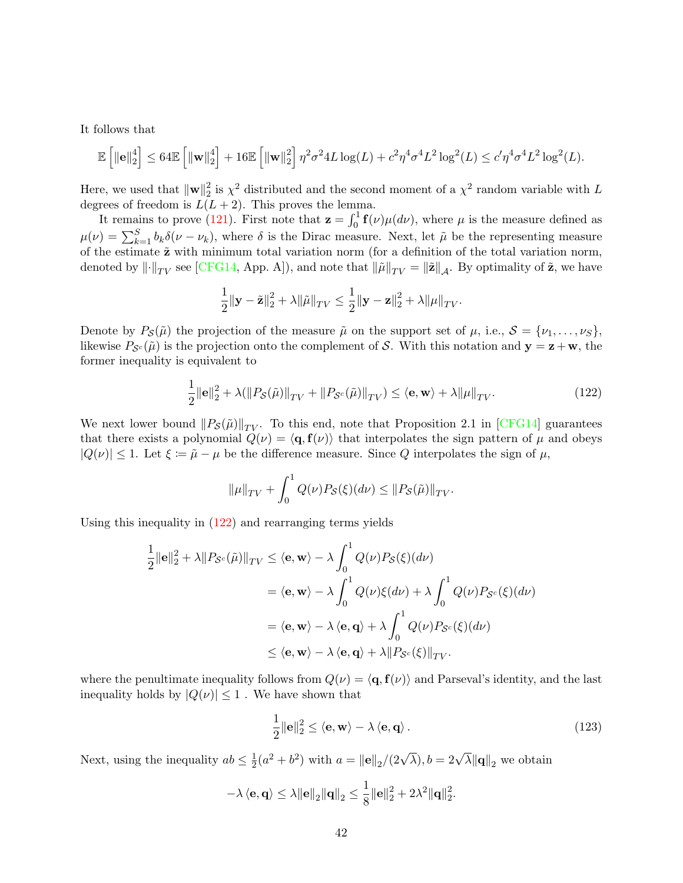It follows that

$$
\mathbb{E}\left[\left\Vert \mathbf{e} \right\Vert_2^4\right] \leq 64 \mathbb{E}\left[\left\Vert \mathbf{w} \right\Vert_2^4\right] + 16 \mathbb{E}\left[\left\Vert \mathbf{w} \right\Vert_2^2\right] \eta^2 \sigma^2 4L \log(L) + c^2 \eta^4 \sigma^4 L^2 \log^2(L) \leq c' \eta^4 \sigma^4 L^2 \log^2(L).
$$

Here, we used that  $\|\mathbf{w}\|_2^2$  $2\over 2$  is  $\chi^2$  distributed and the second moment of a  $\chi^2$  random variable with L degrees of freedom is  $L(L+2)$ . This proves the lemma.

It remains to prove [\(121\)](#page-40-5). First note that  $\mathbf{z} = \int_0^1 \mathbf{f}(\nu) \mu(d\nu)$ , where  $\mu$  is the measure defined as  $\mu(\nu) = \sum_{k=1}^{S} b_k \delta(\nu - \nu_k)$ , where  $\delta$  is the Dirac measure. Next, let  $\tilde{\mu}$  be the representing measure of the estimate  $\tilde{\mathbf{z}}$  with minimum total variation norm (for a definition of the total variation norm, denoted by  $\|\cdot\|_{TV}$  see [\[CFG14,](#page-26-1) App. A]), and note that  $\|\tilde{\mu}\|_{TV} = \|\tilde{\mathbf{z}}\|_{\mathcal{A}}$ . By optimality of  $\tilde{\mathbf{z}}$ , we have

$$
\frac{1}{2} \|\mathbf{y} - \tilde{\mathbf{z}}\|_2^2 + \lambda \|\tilde{\mu}\|_{TV} \le \frac{1}{2} \|\mathbf{y} - \mathbf{z}\|_2^2 + \lambda \|\mu\|_{TV}.
$$

Denote by  $P_{\mathcal{S}}(\tilde{\mu})$  the projection of the measure  $\tilde{\mu}$  on the support set of  $\mu$ , i.e.,  $\mathcal{S} = {\nu_1, \ldots, \nu_S}$ , likewise  $P_{\mathcal{S}^c}(\tilde{\mu})$  is the projection onto the complement of S. With this notation and  $\mathbf{y} = \mathbf{z} + \mathbf{w}$ , the former inequality is equivalent to

$$
\frac{1}{2} \|\mathbf{e}\|_{2}^{2} + \lambda (\|P_{\mathcal{S}}(\tilde{\mu})\|_{TV} + \|P_{\mathcal{S}^{c}}(\tilde{\mu})\|_{TV}) \le \langle \mathbf{e}, \mathbf{w} \rangle + \lambda \|\mu\|_{TV}.
$$
\n(122)

We next lower bound  $||P_{\mathcal{S}}(\tilde{\mu})||_{TV}$ . To this end, note that Proposition 2.1 in [\[CFG14\]](#page-26-1) guarantees that there exists a polynomial  $Q(\nu) = \langle q, f(\nu) \rangle$  that interpolates the sign pattern of  $\mu$  and obeys  $|Q(\nu)| \leq 1$ . Let  $\xi := \tilde{\mu} - \mu$  be the difference measure. Since Q interpolates the sign of  $\mu$ ,

<span id="page-41-0"></span>
$$
\|\mu\|_{TV} + \int_0^1 Q(\nu) P_{\mathcal{S}}(\xi)(d\nu) \le \|P_{\mathcal{S}}(\tilde{\mu})\|_{TV}.
$$

Using this inequality in [\(122\)](#page-41-0) and rearranging terms yields

$$
\frac{1}{2} ||\mathbf{e}||_2^2 + \lambda ||P_{\mathcal{S}^c}(\tilde{\mu})||_{TV} \le \langle \mathbf{e}, \mathbf{w} \rangle - \lambda \int_0^1 Q(\nu) P_{\mathcal{S}}(\xi)(d\nu)
$$
  
\n
$$
= \langle \mathbf{e}, \mathbf{w} \rangle - \lambda \int_0^1 Q(\nu) \xi(d\nu) + \lambda \int_0^1 Q(\nu) P_{\mathcal{S}^c}(\xi)(d\nu)
$$
  
\n
$$
= \langle \mathbf{e}, \mathbf{w} \rangle - \lambda \langle \mathbf{e}, \mathbf{q} \rangle + \lambda \int_0^1 Q(\nu) P_{\mathcal{S}^c}(\xi)(d\nu)
$$
  
\n
$$
\le \langle \mathbf{e}, \mathbf{w} \rangle - \lambda \langle \mathbf{e}, \mathbf{q} \rangle + \lambda ||P_{\mathcal{S}^c}(\xi)||_{TV}.
$$

where the penultimate inequality follows from  $Q(\nu) = \langle \mathbf{q}, \mathbf{f}(\nu) \rangle$  and Parseval's identity, and the last inequality holds by  $|Q(\nu)| \leq 1$ . We have shown that

<span id="page-41-1"></span>
$$
\frac{1}{2} \|\mathbf{e}\|_2^2 \le \langle \mathbf{e}, \mathbf{w} \rangle - \lambda \langle \mathbf{e}, \mathbf{q} \rangle. \tag{123}
$$

Next, using the inequality  $ab \leq \frac{1}{2}$  $\frac{1}{2}(a^2 + b^2)$  with  $a = ||\mathbf{e}||_2/(2\sqrt{\lambda}), b = 2\sqrt{\lambda} ||\mathbf{q}||_2$  we obtain

$$
-\lambda \left\langle \mathbf{e}, \mathbf{q} \right\rangle \le \lambda \|\mathbf{e}\|_2 \|\mathbf{q}\|_2 \le \frac{1}{8} \|\mathbf{e}\|_2^2 + 2\lambda^2 \|\mathbf{q}\|_2^2.
$$